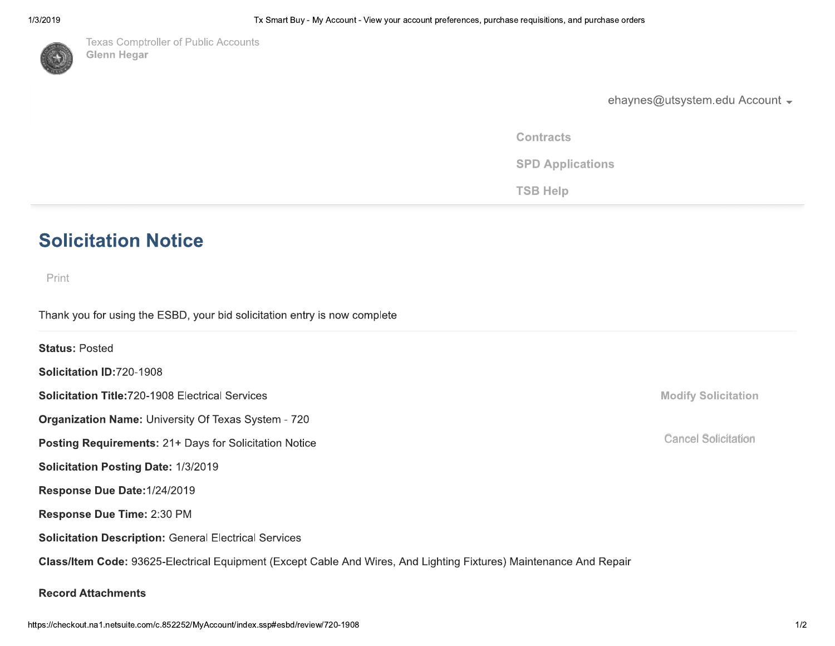

1/3/2019<br>
Tx Smart Buy - My Accou<br>
Texas Comptroller of Public Accounts<br>
Glenn Hegar<br>
The Smart Buy - My Accounts<br>
Clenn Hegar<br>
The Smart Buy - My Accounts<br>
Clenn Hegar Tx Smart Buy - My Account -<br>
Texas Comptroller of Public Accounts<br>
Glenn Hegar<br>  $\begin{pmatrix} 1 & 0 \\ 0 & 1 \end{pmatrix}$  Glenn Hegar

urchase requisitions, and purchase orders<br>
ehaynes@utsystem.edu Account<br>
Contracts<br>
SPD Applications<br>
TSB Help ehaynes@utsystem.edu<br>
Contracts<br>
SPD Applications<br>
TSB Help

ehaynes@uts<br>
Contracts<br>
SPD Applications<br>
TSB Help ehaynes@utsys<br>Contracts<br>SPD Applications<br>TSB Help

# **Solicitation Not<br>
Print<br>
Thank you for using the ESE<br>
Status: Posted<br>
Solicitation ID:720-1908 Solicitation |<br>
Print<br>
Thank you for using the<br>
Status: Posted<br>
Solicitation ID:720-19<br>
Solicitation Title:720-Solicitation Notice**<br>
Print<br>
Thank you for using the ESBD, your bid solicitati<br> **Status:** Posted<br> **Solicitation ID:720-1908**<br> **Solicitation Title:720-1908** Electrical Services<br> **Organization Name:** University Of Texas Sys

Thank you for using the ESBD, your bid solicitation entry is n<br>
Status: Posted<br>
Solicitation ID:720-1908<br>
Solicitation Title:720-1908 Electrical Services<br>
Organization Name: University Of Texas System - 720<br>
Posting Requir Thank you for using the ESBD, your bid solicitation entry is now com<br> **Status:** Posted<br> **Solicitation ID:720-1908**<br> **Solicitation Title:720-1908** Electrical Services<br> **Organization Name:** University Of Texas System - 720<br> The ESBD, your bid solicitation entry is now complete<br>1908<br>0-1908 Electrical Services<br>: University Of Texas System - 720<br>**nts:** 21+ Days for Solicitation Notice<br>**Date:** 1/3/2019<br>:: 1/24/2019<br>**2:** 2:30 PM Solicitation Notice<br>
Print<br>
Thank you for using the ESBD, your bid solicitation entry is now compl<br>
Status: Posted<br>
Solicitation ID:720-1908<br>
Solicitation Title:720-1908<br>
Organization Name: University Of Texas System - 720 **Individual Munder**<br>
Internative on the ESBD, your bid solicitation entry is now complete<br>
Unitation ID:720-1908<br>
Di**tation Title:720-1908**<br>
Electrical Services<br> **Anization Name:** University Of Texas System - 720

Print<br>
Print<br>
Thank you for using the ESBD, your<br>
Status: Posted<br>
Solicitation ID:720-1908<br>
Solicitation Title:720-1908 Electrica<br>
Organization Name: University Of T<br>
Posting Requirements: 21+ Days fo Print<br>
Thank you for using the ESBD, your bid solicite<br>
Status: Posted<br>
Solicitation ID:720-1908<br>
Solicitation Title:720-1908 Electrical Services<br>
Organization Name: University Of Texas Syst<br>
Posting Requirements: 21+ Days Status: Posted<br>
Solicitation ID:720-1908<br>
Solicitation Title:720-1908 Electrical Services<br>
Organization Name: University Of Texas System - 720<br>
Posting Requirements: 21+ Days for Solicitation Notice<br>
Solicitation Posting D )-1908<br>20-1908 Electrical Services<br>ne: University Of Texas System - 720<br>nents: 21+ Days for Solicitation Notice<br>ng Date: 1/3/2019<br>te:1/24/2019<br>me: 2:30 PM<br>iption: General Electrical Services

Class/Item Code:<br>Record Attachmer<br>https://checkout.na1.netsuite Class/Item Code: 93625-Electrical Equip<br>Record Attachments<br>https://checkout.na1.netsuite.com/c.852252/MyAccount/ tem Code: 93625-Electrical Equipment (<br>
Attachments<br>
out.na1.netsuite.com/c.852252/MyAccount/index.ssp# ode: 93625-Electrical Equipment (Except C<br>h<mark>ments</mark><br>netsuite.com/c.852252/MyAccount/index.ssp#esbd/reviev 25-Electrical Equipment (Except Cable And Wii<br>//c.852252/MyAccount/index.ssp#esbd/review/720-1908<br>//c.852252/MyAccount/index.ssp#esbd/review/720-1908 Equipment (Except Cable And Wires, A<br>-<br>-<br>count/index.ssp#esbd/review/720-1908 oment (Except Cable And Wires, And Light)<br>ndex.ssp#esbd/review/720-1908<br> Solicitation ID:720-1908<br>
Solicitation Title:720-1908 Electrical Services<br>
Organization Name: University Of Texas System -<br>
Posting Requirements: 21+ Days for Solicitation N<br>
Solicitation Posting Date: 1/3/2019<br>
Response D ation ID:720-1908<br>
ation Title:720-1908 Electrical Services<br>
zation Name: University Of Texas System - 720<br>
g Requirements: 21+ Days for Solicitation Notice<br>
ation Posting Date: 1/3/2019<br>
nse Due Date:1/24/2019<br>
nse Due Ti Solicitation Title:720-1908 Electrical Service<br>Organization Name: University Of Texas Sys<br>Posting Requirements: 21+ Days for Solicita<br>Solicitation Posting Date: 1/3/2019<br>Response Due Date:1/24/2019<br>Response Due Time: 2:30 iolicitation Title:720-1908 Electrical Services<br>
Prganization Name: University Of Texas System - 72<br>
Posting Requirements: 21+ Days for Solicitation No<br>
colicitation Posting Date: 1/3/2019<br>
Response Due Date:1/24/2019<br>
Res Organization Name: University Of Texas System - 7<br>
Posting Requirements: 21+ Days for Solicitation N<br>
Solicitation Posting Date: 1/3/2019<br>
Response Due Date:1/24/2019<br>
Response Due Time: 2:30 PM<br>
Solicitation Description: Posting Requirements: 21+ Days for Solicitation Notice<br>
Solicitation Posting Date: 1/3/2019<br>
Response Due Date:1/24/2019<br>
Response Due Time: 2:30 PM<br>
Solicitation Description: General Electrical Services<br>
Class/Item Code: : 21+ Days for Solicitation Notice<br>**ate:** 1/3/2019<br>24/2019<br>::30 PM<br>**n**: General Electrical Services<br>5-Electrical Equipment (Except Cable And Wires, A<br>c.852252/MyAccount/index.ssp#esbd/review/720-1908 Thank you for using the ESBD, your bid sclicidation entry is now complete<br>
Status: Posted<br>
Solicitation ID:720-1908<br>
Solicitation Title:720-1908<br>
Organization Name: University Of Texas System - 720<br>
Posting Requirements: 2 Response Due Date:1/24/2019<br>Response Due Time: 2:30 PM<br>Solicitation Description: General Electrica<br>Class/Item Code: 93625-Electrical Equipm<br>Record Attachments<br>https://checkout.na1.netsuite.com/c.852252/MyAccount/inde

Modify Solicitation<br>Cancel Solicitation<br>Cancel Solicitation Modify Solicitation<br>Cancel Solicitation<br>Cancel Solicitation Modify Solicitation<br>Cancel Solicitation Modify Solicitation<br>Cancel Solicitation<br>Cancel Solicitation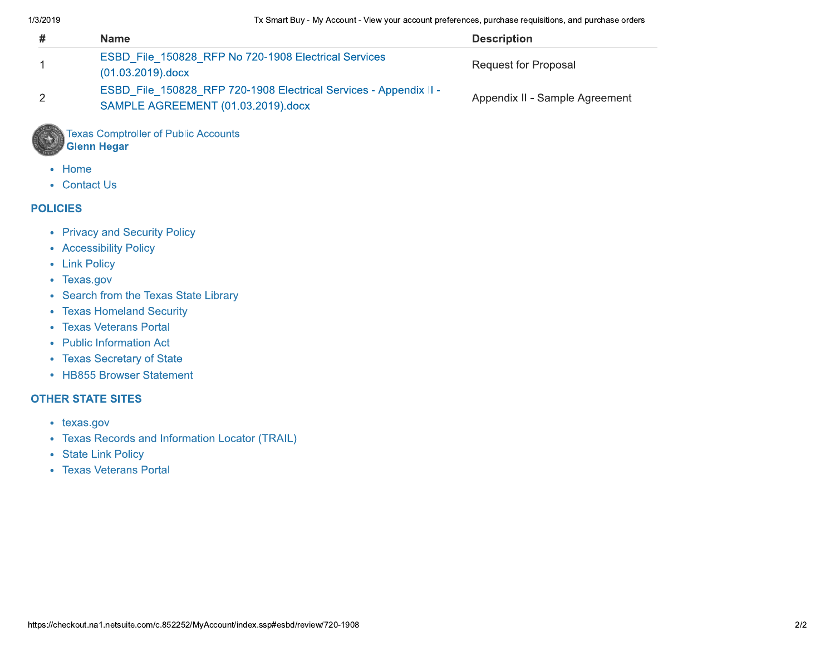Tx Smart Buy - My Account - View your account preferences, purchase requisitions, and purchase orders

| 17 J Z J T J               | i's oman buy - my Account - view your account preferences, purchase requisitions, and purchase orders                                                                                                                                         |                                |
|----------------------------|-----------------------------------------------------------------------------------------------------------------------------------------------------------------------------------------------------------------------------------------------|--------------------------------|
| #                          | <b>Name</b>                                                                                                                                                                                                                                   | <b>Description</b>             |
| 1                          | ESBD File 150828 RFP No 720-1908 Electrical Services<br>(01.03.2019).docx                                                                                                                                                                     | <b>Request for Proposal</b>    |
| $\overline{2}$             | ESBD_File_150828_RFP 720-1908 Electrical Services - Appendix II -<br>SAMPLE AGREEMENT (01.03.2019).docx                                                                                                                                       | Appendix II - Sample Agreement |
|                            | <b>Texas Comptroller of Public Accounts</b><br><b>Glenn Hegar</b>                                                                                                                                                                             |                                |
| Home<br>• Contact Us       |                                                                                                                                                                                                                                               |                                |
| <b>POLICIES</b>            |                                                                                                                                                                                                                                               |                                |
| • Link Policy<br>Texas.gov | • Privacy and Security Policy<br>• Accessibility Policy<br>Search from the Texas State Library<br>• Texas Homeland Security<br>• Texas Veterans Portal<br>• Public Information Act<br>• Texas Secretary of State<br>• HB855 Browser Statement |                                |
| <b>OTHER STATE SITES</b>   |                                                                                                                                                                                                                                               |                                |
| • texas.gov                | <b>Texas Records and Information Locator (TRAIL)</b><br>• State Link Policy<br>• Texas Veterans Portal                                                                                                                                        |                                |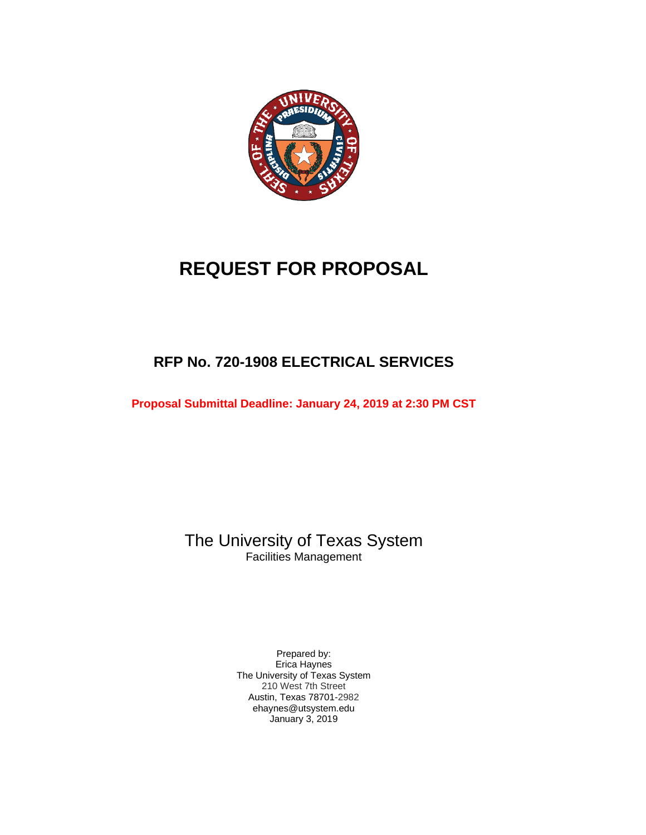

# **REQUEST FOR PROPOSAL**

# **RFP No. 720-1908 ELECTRICAL SERVICES**

**Proposal Submittal Deadline: January 24, 2019 at 2:30 PM CST**

The University of Texas System Facilities Management

> Prepared by: Erica Haynes The University of Texas System 210 West 7th Street Austin, Texas 78701-2982 ehaynes@utsystem.edu January 3, 2019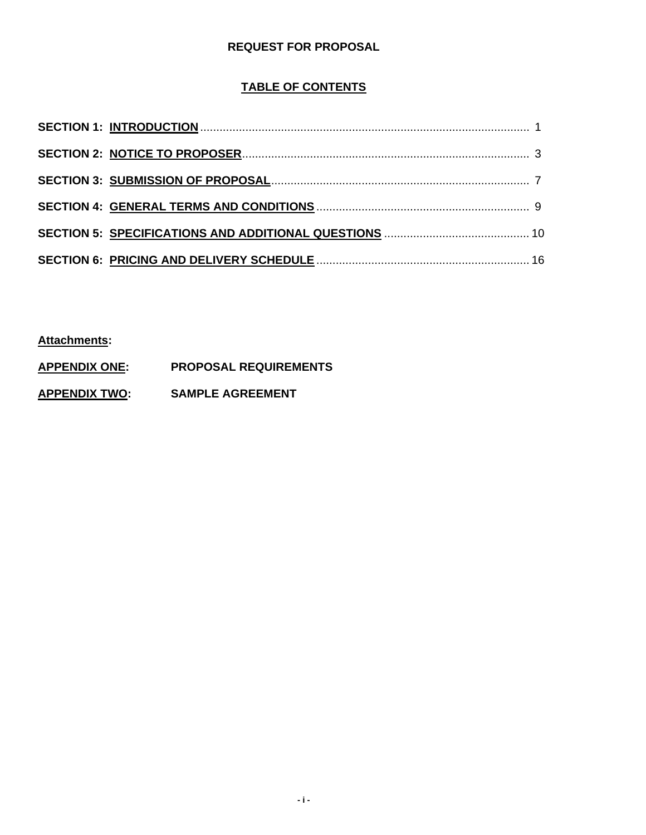## **REQUEST FOR PROPOSAL**

## **TABLE OF CONTENTS**

**Attachments:**

- **APPENDIX ONE: PROPOSAL REQUIREMENTS**
- **APPENDIX TWO: SAMPLE AGREEMENT**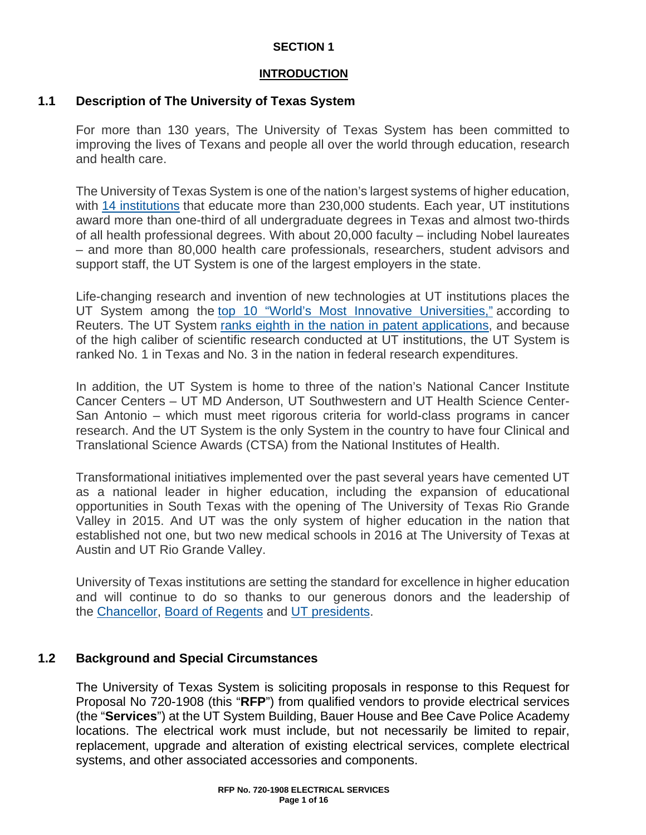## **SECTION 1**

## **INTRODUCTION**

## **1.1 Description of The University of Texas System**

For more than 130 years, The University of Texas System has been committed to improving the lives of Texans and people all over the world through education, research and health care.

The University of Texas System is one of the nation's largest systems of higher education, with [14 institutions](https://www.utsystem.edu/institutions) that educate more than 230,000 students. Each year, UT institutions award more than one-third of all undergraduate degrees in Texas and almost two-thirds of all health professional degrees. With about 20,000 faculty – including Nobel laureates – and more than 80,000 health care professionals, researchers, student advisors and support staff, the UT System is one of the largest employers in the state.

Life-changing research and invention of new technologies at UT institutions places the UT System among the [top 10 "World's Most Innovative Universities,"](https://www.utsystem.edu/news/2017/09/28/ut-system-among-top-10-most-innovative-universities-world) according to Reuters. The UT System [ranks eighth in the nation in patent applications,](https://www.utsystem.edu/news/2017/06/07/ut-system-ranks-8th-globally-most-us-patents-granted-2016) and because of the high caliber of scientific research conducted at UT institutions, the UT System is ranked No. 1 in Texas and No. 3 in the nation in federal research expenditures.

In addition, the UT System is home to three of the nation's National Cancer Institute Cancer Centers – UT MD Anderson, UT Southwestern and UT Health Science Center-San Antonio – which must meet rigorous criteria for world-class programs in cancer research. And the UT System is the only System in the country to have four Clinical and Translational Science Awards (CTSA) from the National Institutes of Health.

Transformational initiatives implemented over the past several years have cemented UT as a national leader in higher education, including the expansion of educational opportunities in South Texas with the opening of The University of Texas Rio Grande Valley in 2015. And UT was the only system of higher education in the nation that established not one, but two new medical schools in 2016 at The University of Texas at Austin and UT Rio Grande Valley.

University of Texas institutions are setting the standard for excellence in higher education and will continue to do so thanks to our generous donors and the leadership of the [Chancellor,](https://www.utsystem.edu/chancellor) [Board of Regents](https://www.utsystem.edu/regents) and [UT presidents.](https://www.utsystem.edu/institutions)

## **1.2 Background and Special Circumstances**

The University of Texas System is soliciting proposals in response to this Request for Proposal No 720-1908 (this "**RFP**") from qualified vendors to provide electrical services (the "**Services**") at the UT System Building, Bauer House and Bee Cave Police Academy locations. The electrical work must include, but not necessarily be limited to repair, replacement, upgrade and alteration of existing electrical services, complete electrical systems, and other associated accessories and components.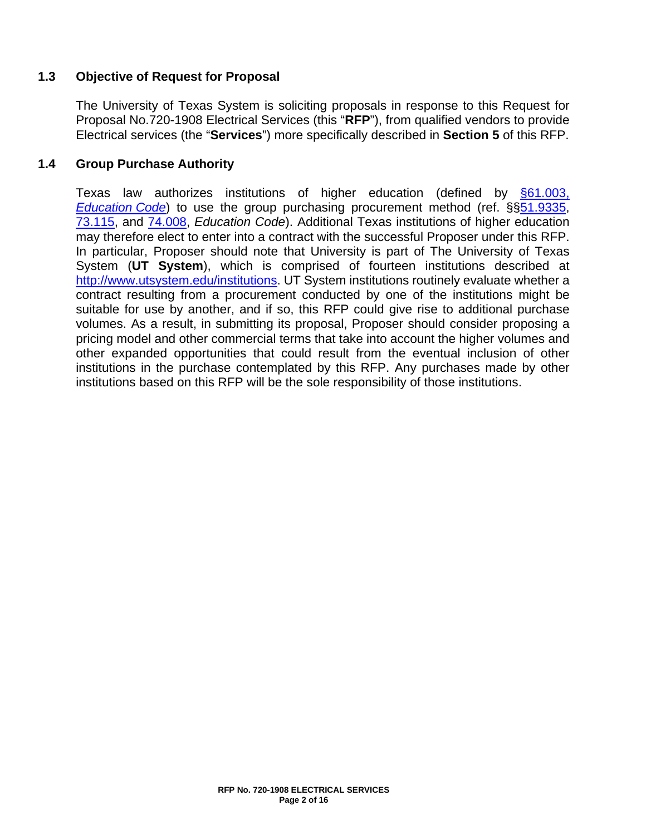## **1.3 Objective of Request for Proposal**

The University of Texas System is soliciting proposals in response to this Request for Proposal No.720-1908 Electrical Services (this "**RFP**"), from qualified vendors to provide Electrical services (the "**Services**") more specifically described in **Section 5** of this RFP.

## **1.4 Group Purchase Authority**

Texas law authorizes institutions of higher education (defined by [§61.003,](http://www.statutes.legis.state.tx.us/Docs/ED/htm/ED.61.htm#61.003)  *[Education](http://www.statutes.legis.state.tx.us/Docs/ED/htm/ED.61.htm#61.003) Code*) to use the group purchasing procurement method (ref. §[§51.9335,](http://www.statutes.legis.state.tx.us/Docs/ED/htm/ED.51.htm#51.9335) [73.115,](http://www.statutes.legis.state.tx.us/Docs/ED/htm/ED.73.htm#73.115) and [74.008,](http://www.statutes.legis.state.tx.us/Docs/ED/htm/ED.74.htm#74.008) *Education Code*). Additional Texas institutions of higher education may therefore elect to enter into a contract with the successful Proposer under this RFP. In particular, Proposer should note that University is part of The University of Texas System (**UT System**), which is comprised of fourteen institutions described at [http://www.utsystem.edu/institutions.](http://www.utsystem.edu/institutions) UT System institutions routinely evaluate whether a contract resulting from a procurement conducted by one of the institutions might be suitable for use by another, and if so, this RFP could give rise to additional purchase volumes. As a result, in submitting its proposal, Proposer should consider proposing a pricing model and other commercial terms that take into account the higher volumes and other expanded opportunities that could result from the eventual inclusion of other institutions in the purchase contemplated by this RFP. Any purchases made by other institutions based on this RFP will be the sole responsibility of those institutions.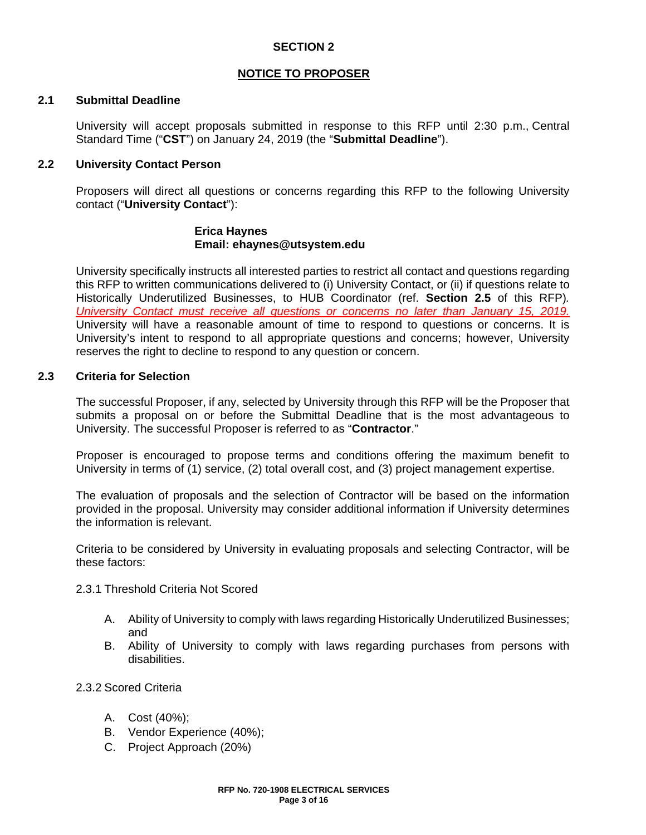## **SECTION 2**

## **NOTICE TO PROPOSER**

## **2.1 Submittal Deadline**

University will accept proposals submitted in response to this RFP until 2:30 p.m., Central Standard Time ("**CST**") on January 24, 2019 (the "**Submittal Deadline**").

## **2.2 University Contact Person**

Proposers will direct all questions or concerns regarding this RFP to the following University contact ("**University Contact**"):

## **Erica Haynes Email: ehaynes@utsystem.edu**

University specifically instructs all interested parties to restrict all contact and questions regarding this RFP to written communications delivered to (i) University Contact, or (ii) if questions relate to Historically Underutilized Businesses, to HUB Coordinator (ref. **Section 2.5** of this RFP)*. University Contact must receive all questions or concerns no later than January 15, 2019.* University will have a reasonable amount of time to respond to questions or concerns. It is University's intent to respond to all appropriate questions and concerns; however, University reserves the right to decline to respond to any question or concern.

## **2.3 Criteria for Selection**

The successful Proposer, if any, selected by University through this RFP will be the Proposer that submits a proposal on or before the Submittal Deadline that is the most advantageous to University. The successful Proposer is referred to as "**Contractor**."

Proposer is encouraged to propose terms and conditions offering the maximum benefit to University in terms of (1) service, (2) total overall cost, and (3) project management expertise.

The evaluation of proposals and the selection of Contractor will be based on the information provided in the proposal. University may consider additional information if University determines the information is relevant.

Criteria to be considered by University in evaluating proposals and selecting Contractor, will be these factors:

- 2.3.1 Threshold Criteria Not Scored
	- A. Ability of University to comply with laws regarding Historically Underutilized Businesses; and
	- B. Ability of University to comply with laws regarding purchases from persons with disabilities.
- 2.3.2 Scored Criteria
	- A. Cost (40%);
	- B. Vendor Experience (40%);
	- C. Project Approach (20%)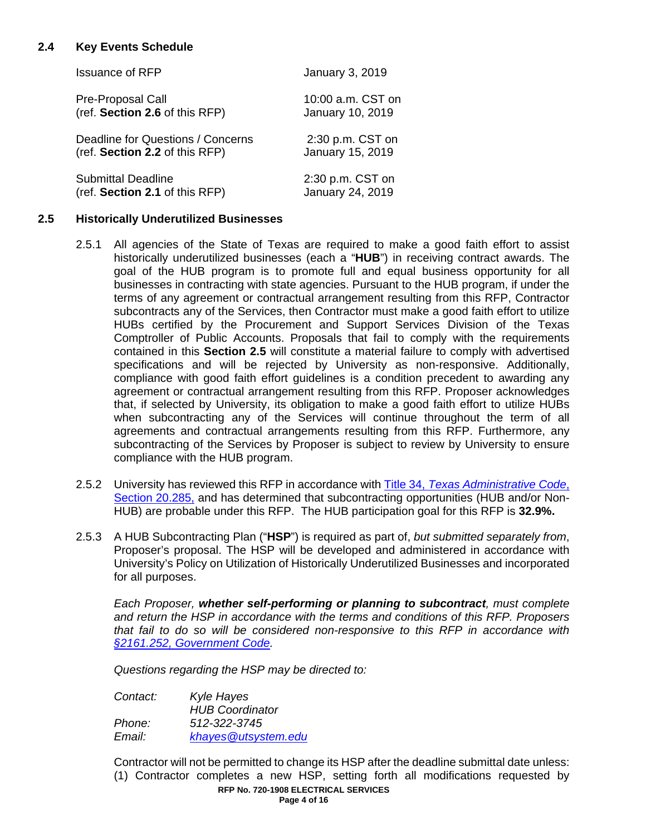## **2.4 Key Events Schedule**

| <b>Issuance of RFP</b>            | <b>January 3, 2019</b> |
|-----------------------------------|------------------------|
| Pre-Proposal Call                 | 10:00 a.m. CST on      |
| (ref. Section 2.6 of this RFP)    | January 10, 2019       |
| Deadline for Questions / Concerns | 2:30 p.m. CST on       |
| (ref. Section 2.2 of this RFP)    | January 15, 2019       |
| <b>Submittal Deadline</b>         | 2:30 p.m. CST on       |
| (ref. Section 2.1 of this RFP)    | January 24, 2019       |

## **2.5 Historically Underutilized Businesses**

- 2.5.1 All agencies of the State of Texas are required to make a good faith effort to assist historically underutilized businesses (each a "**HUB**") in receiving contract awards. The goal of the HUB program is to promote full and equal business opportunity for all businesses in contracting with state agencies. Pursuant to the HUB program, if under the terms of any agreement or contractual arrangement resulting from this RFP, Contractor subcontracts any of the Services, then Contractor must make a good faith effort to utilize HUBs certified by the Procurement and Support Services Division of the Texas Comptroller of Public Accounts. Proposals that fail to comply with the requirements contained in this **Section 2.5** will constitute a material failure to comply with advertised specifications and will be rejected by University as non-responsive. Additionally, compliance with good faith effort guidelines is a condition precedent to awarding any agreement or contractual arrangement resulting from this RFP. Proposer acknowledges that, if selected by University, its obligation to make a good faith effort to utilize HUBs when subcontracting any of the Services will continue throughout the term of all agreements and contractual arrangements resulting from this RFP. Furthermore, any subcontracting of the Services by Proposer is subject to review by University to ensure compliance with the HUB program.
- 2.5.2 University has reviewed this RFP in accordance with Title 34, *[Texas Administrative Code](http://texreg.sos.state.tx.us/public/readtac$ext.TacPage?sl=R&app=9&p_dir=&p_rloc=&p_tloc=&p_ploc=&pg=1&p_tac=&ti=34&pt=1&ch=20&rl=284)*, [Section](http://texreg.sos.state.tx.us/public/readtac$ext.TacPage?sl=R&app=9&p_dir=&p_rloc=&p_tloc=&p_ploc=&pg=1&p_tac=&ti=34&pt=1&ch=20&rl=284) 20.285, and has determined that subcontracting opportunities (HUB and/or Non-HUB) are probable under this RFP. The HUB participation goal for this RFP is **32.9%.**
- 2.5.3 A HUB Subcontracting Plan ("**HSP**") is required as part of, *but submitted separately from*, Proposer's proposal. The HSP will be developed and administered in accordance with University's Policy on Utilization of Historically Underutilized Businesses and incorporated for all purposes.

*Each Proposer, whether self-performing or planning to subcontract, must complete and return the HSP in accordance with the terms and conditions of this RFP. Proposers that fail to do so will be considered non-responsive to this RFP in accordance with [§2161.252, Government Code.](http://www.statutes.legis.state.tx.us/Docs/GV/htm/GV.2161.htm#2161.252)*

*Questions regarding the HSP may be directed to:*

*Contact: Kyle Hayes HUB Coordinator Phone: 512-322-3745 Email: [khayes@utsystem.edu](mailto:khayes@utsystem.edu)*

Contractor will not be permitted to change its HSP after the deadline submittal date unless: (1) Contractor completes a new HSP, setting forth all modifications requested by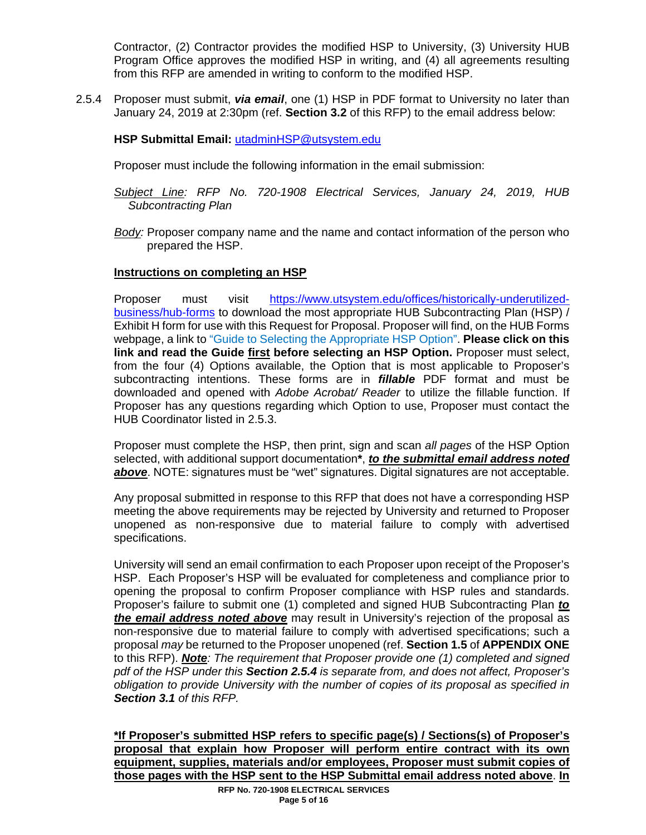Contractor, (2) Contractor provides the modified HSP to University, (3) University HUB Program Office approves the modified HSP in writing, and (4) all agreements resulting from this RFP are amended in writing to conform to the modified HSP.

2.5.4 Proposer must submit, *via email*, one (1) HSP in PDF format to University no later than January 24, 2019 at 2:30pm (ref. **Section 3.2** of this RFP) to the email address below:

## **HSP Submittal Email:** utadminHSP@utsystem.edu

Proposer must include the following information in the email submission:

- *Subject Line: RFP No. 720-1908 Electrical Services, January 24, 2019, HUB Subcontracting Plan*
- *Body:* Proposer company name and the name and contact information of the person who prepared the HSP.

## **Instructions on completing an HSP**

Proposer must visit [https://www.utsystem.edu/offices/historically-underutilized](https://www.utsystem.edu/offices/historically-underutilized-business/hub-forms)[business/hub-forms](https://www.utsystem.edu/offices/historically-underutilized-business/hub-forms) to download the most appropriate HUB Subcontracting Plan (HSP) / Exhibit H form for use with this Request for Proposal. Proposer will find, on the HUB Forms webpage, a link to "Guide to Selecting the Appropriate HSP Option". **Please click on this link and read the Guide first before selecting an HSP Option.** Proposer must select, from the four (4) Options available, the Option that is most applicable to Proposer's subcontracting intentions. These forms are in *fillable* PDF format and must be downloaded and opened with *Adobe Acrobat/ Reader* to utilize the fillable function. If Proposer has any questions regarding which Option to use, Proposer must contact the HUB Coordinator listed in 2.5.3.

Proposer must complete the HSP, then print, sign and scan *all pages* of the HSP Option selected, with additional support documentation**\***, *to the submittal email address noted above*. NOTE: signatures must be "wet" signatures. Digital signatures are not acceptable.

Any proposal submitted in response to this RFP that does not have a corresponding HSP meeting the above requirements may be rejected by University and returned to Proposer unopened as non-responsive due to material failure to comply with advertised specifications.

University will send an email confirmation to each Proposer upon receipt of the Proposer's HSP. Each Proposer's HSP will be evaluated for completeness and compliance prior to opening the proposal to confirm Proposer compliance with HSP rules and standards. Proposer's failure to submit one (1) completed and signed HUB Subcontracting Plan *to the email address noted above* may result in University's rejection of the proposal as non-responsive due to material failure to comply with advertised specifications; such a proposal *may* be returned to the Proposer unopened (ref. **Section 1.5** of **APPENDIX ONE** to this RFP). *Note: The requirement that Proposer provide one (1) completed and signed pdf of the HSP under this Section 2.5.4 is separate from, and does not affect, Proposer's obligation to provide University with the number of copies of its proposal as specified in Section 3.1 of this RFP.* 

**\*If Proposer's submitted HSP refers to specific page(s) / Sections(s) of Proposer's proposal that explain how Proposer will perform entire contract with its own equipment, supplies, materials and/or employees, Proposer must submit copies of those pages with the HSP sent to the HSP Submittal email address noted above**. **In**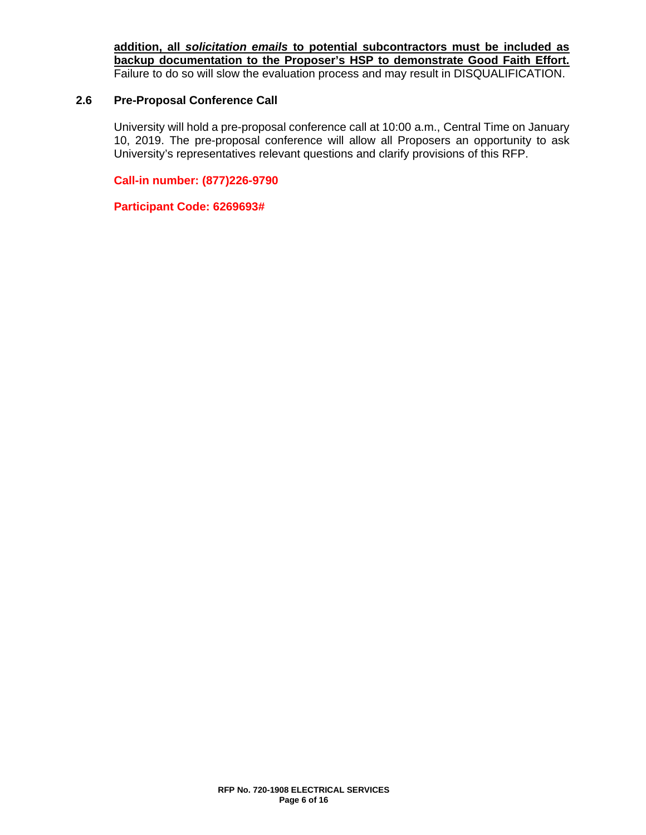**addition, all** *solicitation emails* **to potential subcontractors must be included as backup documentation to the Proposer's HSP to demonstrate Good Faith Effort.** Failure to do so will slow the evaluation process and may result in DISQUALIFICATION.

## **2.6 Pre-Proposal Conference Call**

University will hold a pre-proposal conference call at 10:00 a.m., Central Time on January 10, 2019. The pre-proposal conference will allow all Proposers an opportunity to ask University's representatives relevant questions and clarify provisions of this RFP.

**Call-in number: (877)226-9790**

**Participant Code: 6269693#**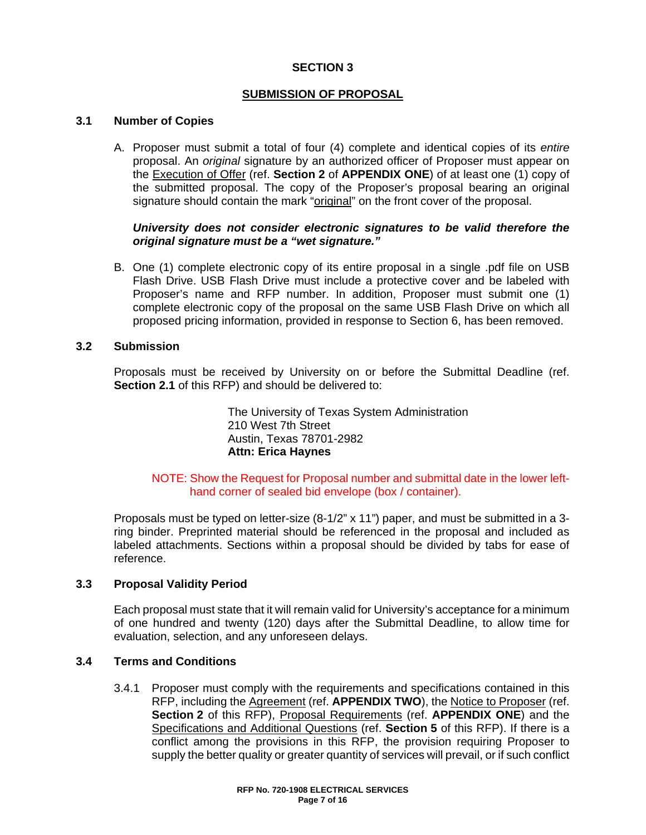## **SECTION 3**

## **SUBMISSION OF PROPOSAL**

## **3.1 Number of Copies**

A. Proposer must submit a total of four (4) complete and identical copies of its *entire* proposal. An *original* signature by an authorized officer of Proposer must appear on the Execution of Offer (ref. **Section 2** of **APPENDIX ONE**) of at least one (1) copy of the submitted proposal. The copy of the Proposer's proposal bearing an original signature should contain the mark "original" on the front cover of the proposal.

## *University does not consider electronic signatures to be valid therefore the original signature must be a "wet signature."*

B. One (1) complete electronic copy of its entire proposal in a single .pdf file on USB Flash Drive. USB Flash Drive must include a protective cover and be labeled with Proposer's name and RFP number. In addition, Proposer must submit one (1) complete electronic copy of the proposal on the same USB Flash Drive on which all proposed pricing information, provided in response to Section 6, has been removed.

## **3.2 Submission**

Proposals must be received by University on or before the Submittal Deadline (ref. **Section 2.1** of this RFP) and should be delivered to:

> The University of Texas System Administration 210 West 7th Street Austin, Texas 78701-2982 **Attn: Erica Haynes**

NOTE: Show the Request for Proposal number and submittal date in the lower lefthand corner of sealed bid envelope (box / container).

Proposals must be typed on letter-size (8-1/2" x 11") paper, and must be submitted in a 3 ring binder. Preprinted material should be referenced in the proposal and included as labeled attachments. Sections within a proposal should be divided by tabs for ease of reference.

## **3.3 Proposal Validity Period**

Each proposal must state that it will remain valid for University's acceptance for a minimum of one hundred and twenty (120) days after the Submittal Deadline, to allow time for evaluation, selection, and any unforeseen delays.

## **3.4 Terms and Conditions**

3.4.1 Proposer must comply with the requirements and specifications contained in this RFP, including the Agreement (ref. **APPENDIX TWO**), the Notice to Proposer (ref. **Section 2** of this RFP), Proposal Requirements (ref. **APPENDIX ONE**) and the Specifications and Additional Questions (ref. **Section 5** of this RFP). If there is a conflict among the provisions in this RFP, the provision requiring Proposer to supply the better quality or greater quantity of services will prevail, or if such conflict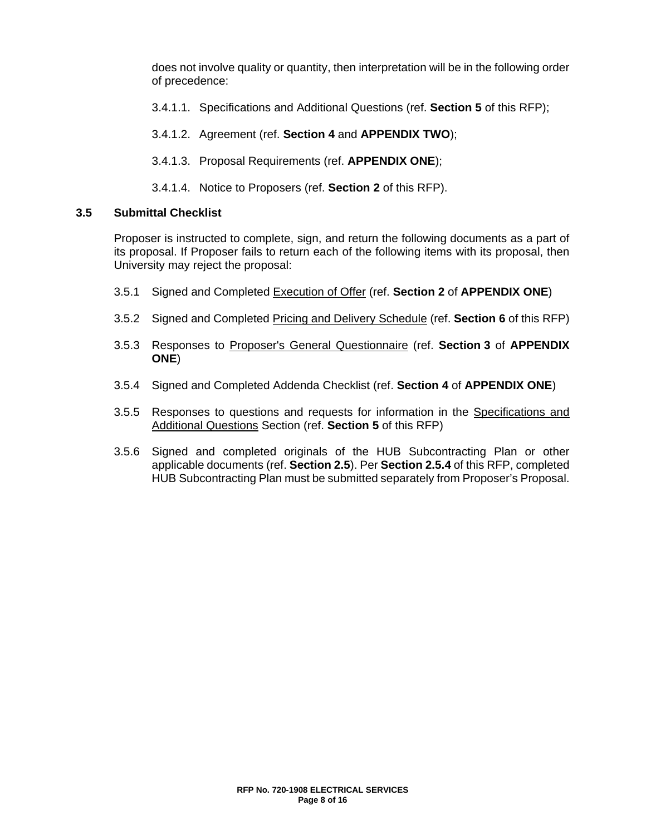does not involve quality or quantity, then interpretation will be in the following order of precedence:

- 3.4.1.1. Specifications and Additional Questions (ref. **Section 5** of this RFP);
- 3.4.1.2. Agreement (ref. **Section 4** and **APPENDIX TWO**);
- 3.4.1.3. Proposal Requirements (ref. **APPENDIX ONE**);
- 3.4.1.4. Notice to Proposers (ref. **Section 2** of this RFP).

## **3.5 Submittal Checklist**

Proposer is instructed to complete, sign, and return the following documents as a part of its proposal. If Proposer fails to return each of the following items with its proposal, then University may reject the proposal:

- 3.5.1 Signed and Completed Execution of Offer (ref. **Section 2** of **APPENDIX ONE**)
- 3.5.2 Signed and Completed Pricing and Delivery Schedule (ref. **Section 6** of this RFP)
- 3.5.3 Responses to Proposer's General Questionnaire (ref. **Section 3** of **APPENDIX ONE**)
- 3.5.4 Signed and Completed Addenda Checklist (ref. **Section 4** of **APPENDIX ONE**)
- 3.5.5 Responses to questions and requests for information in the Specifications and Additional Questions Section (ref. **Section 5** of this RFP)
- 3.5.6 Signed and completed originals of the HUB Subcontracting Plan or other applicable documents (ref. **Section 2.5**). Per **Section 2.5.4** of this RFP, completed HUB Subcontracting Plan must be submitted separately from Proposer's Proposal.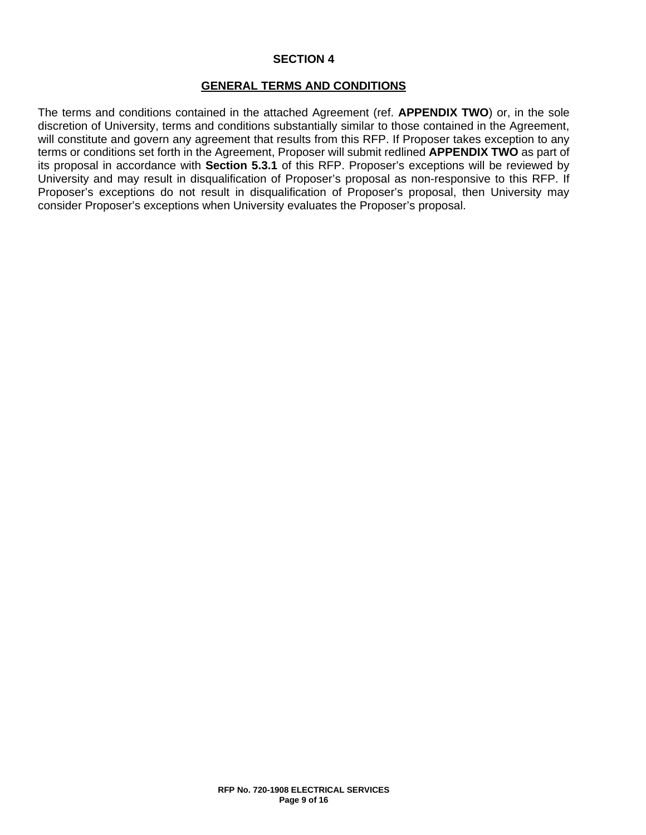## **SECTION 4**

## **GENERAL TERMS AND CONDITIONS**

The terms and conditions contained in the attached Agreement (ref. **APPENDIX TWO**) or, in the sole discretion of University, terms and conditions substantially similar to those contained in the Agreement, will constitute and govern any agreement that results from this RFP. If Proposer takes exception to any terms or conditions set forth in the Agreement, Proposer will submit redlined **APPENDIX TWO** as part of its proposal in accordance with **Section 5.3.1** of this RFP. Proposer's exceptions will be reviewed by University and may result in disqualification of Proposer's proposal as non-responsive to this RFP. If Proposer's exceptions do not result in disqualification of Proposer's proposal, then University may consider Proposer's exceptions when University evaluates the Proposer's proposal.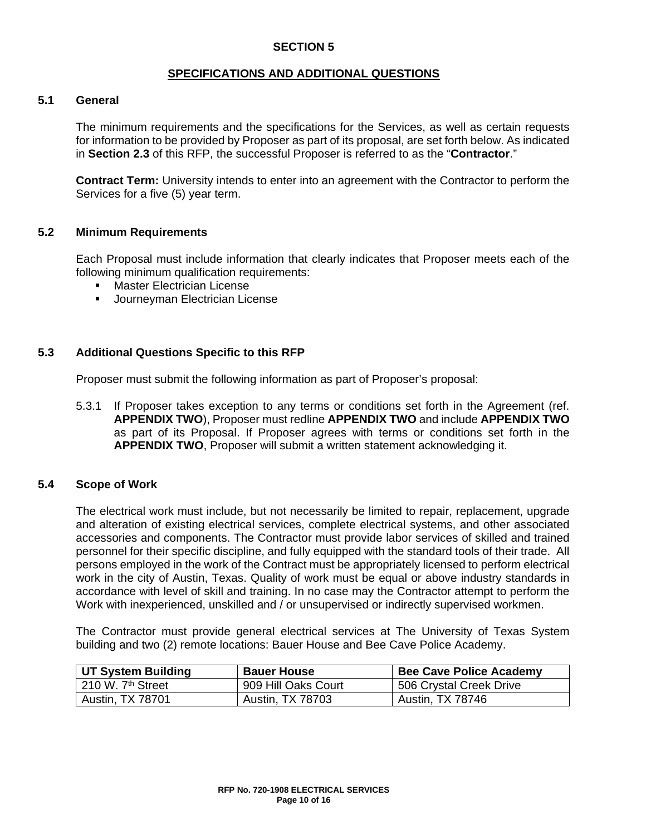## **SECTION 5**

## **SPECIFICATIONS AND ADDITIONAL QUESTIONS**

## **5.1 General**

The minimum requirements and the specifications for the Services, as well as certain requests for information to be provided by Proposer as part of its proposal, are set forth below. As indicated in **Section 2.3** of this RFP, the successful Proposer is referred to as the "**Contractor**."

**Contract Term:** University intends to enter into an agreement with the Contractor to perform the Services for a five (5) year term.

## **5.2 Minimum Requirements**

Each Proposal must include information that clearly indicates that Proposer meets each of the following minimum qualification requirements:

- **Master Electrician License**
- **Journeyman Electrician License**

## **5.3 Additional Questions Specific to this RFP**

Proposer must submit the following information as part of Proposer's proposal:

5.3.1 If Proposer takes exception to any terms or conditions set forth in the Agreement (ref. **APPENDIX TWO**), Proposer must redline **APPENDIX TWO** and include **APPENDIX TWO** as part of its Proposal. If Proposer agrees with terms or conditions set forth in the **APPENDIX TWO**, Proposer will submit a written statement acknowledging it.

## **5.4 Scope of Work**

The electrical work must include, but not necessarily be limited to repair, replacement, upgrade and alteration of existing electrical services, complete electrical systems, and other associated accessories and components. The Contractor must provide labor services of skilled and trained personnel for their specific discipline, and fully equipped with the standard tools of their trade. All persons employed in the work of the Contract must be appropriately licensed to perform electrical work in the city of Austin, Texas. Quality of work must be equal or above industry standards in accordance with level of skill and training. In no case may the Contractor attempt to perform the Work with inexperienced, unskilled and / or unsupervised or indirectly supervised workmen.

The Contractor must provide general electrical services at The University of Texas System building and two (2) remote locations: Bauer House and Bee Cave Police Academy.

| UT System Building              | <b>Bauer House</b>      | <b>Bee Cave Police Academy</b> |
|---------------------------------|-------------------------|--------------------------------|
| l 210 W. 7 <sup>th</sup> Street | 909 Hill Oaks Court     | 506 Crystal Creek Drive        |
| <b>Austin, TX 78701</b>         | <b>Austin, TX 78703</b> | <b>Austin, TX 78746</b>        |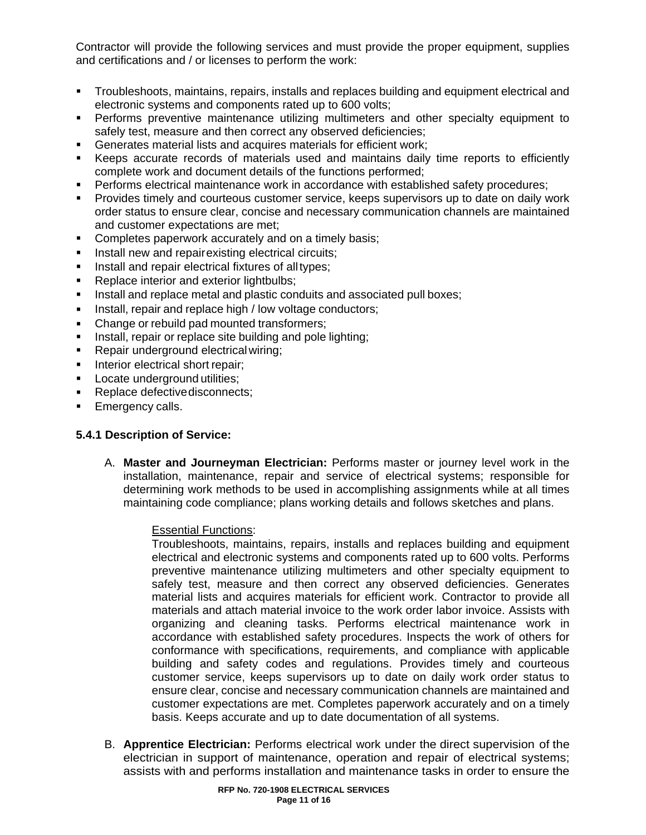Contractor will provide the following services and must provide the proper equipment, supplies and certifications and / or licenses to perform the work:

- Troubleshoots, maintains, repairs, installs and replaces building and equipment electrical and electronic systems and components rated up to 600 volts;
- Performs preventive maintenance utilizing multimeters and other specialty equipment to safely test, measure and then correct any observed deficiencies;
- Generates material lists and acquires materials for efficient work;
- Keeps accurate records of materials used and maintains daily time reports to efficiently complete work and document details of the functions performed;
- Performs electrical maintenance work in accordance with established safety procedures;
- Provides timely and courteous customer service, keeps supervisors up to date on daily work order status to ensure clear, concise and necessary communication channels are maintained and customer expectations are met;
- **Completes paperwork accurately and on a timely basis;**
- **Install new and repairexisting electrical circuits;**
- Install and repair electrical fixtures of alltypes;
- Replace interior and exterior lightbulbs:
- Install and replace metal and plastic conduits and associated pull boxes;
- Install, repair and replace high / low voltage conductors;
- Change or rebuild pad mounted transformers;
- Install, repair or replace site building and pole lighting;
- **Repair underground electrical wiring;**
- Interior electrical short repair;
- **Locate underground utilities:**
- Replace defectivedisconnects;
- Emergency calls.

## **5.4.1 Description of Service:**

A. **Master and Journeyman Electrician:** Performs master or journey level work in the installation, maintenance, repair and service of electrical systems; responsible for determining work methods to be used in accomplishing assignments while at all times maintaining code compliance; plans working details and follows sketches and plans.

## Essential Functions:

Troubleshoots, maintains, repairs, installs and replaces building and equipment electrical and electronic systems and components rated up to 600 volts. Performs preventive maintenance utilizing multimeters and other specialty equipment to safely test, measure and then correct any observed deficiencies. Generates material lists and acquires materials for efficient work. Contractor to provide all materials and attach material invoice to the work order labor invoice. Assists with organizing and cleaning tasks. Performs electrical maintenance work in accordance with established safety procedures. Inspects the work of others for conformance with specifications, requirements, and compliance with applicable building and safety codes and regulations. Provides timely and courteous customer service, keeps supervisors up to date on daily work order status to ensure clear, concise and necessary communication channels are maintained and customer expectations are met. Completes paperwork accurately and on a timely basis. Keeps accurate and up to date documentation of all systems.

B. **Apprentice Electrician:** Performs electrical work under the direct supervision of the electrician in support of maintenance, operation and repair of electrical systems; assists with and performs installation and maintenance tasks in order to ensure the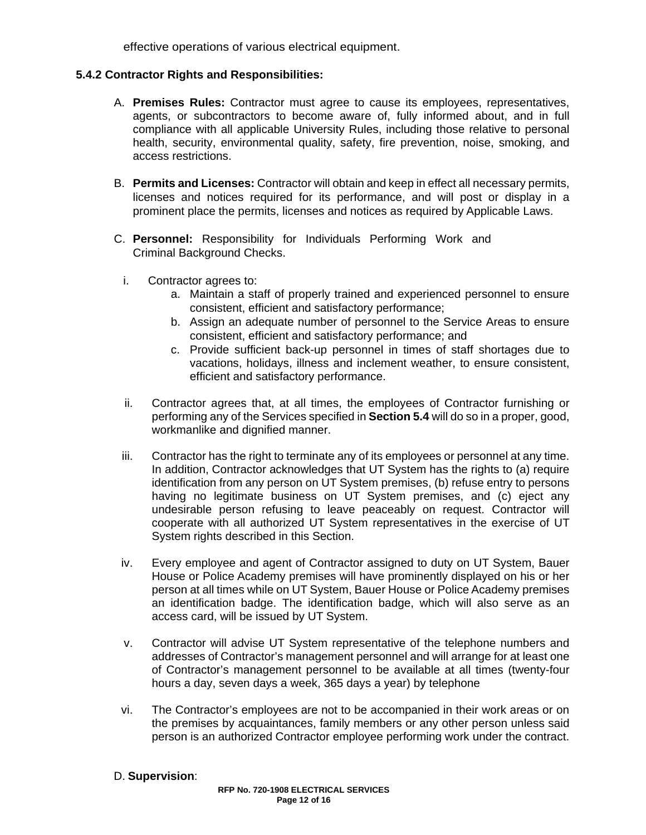effective operations of various electrical equipment.

## **5.4.2 Contractor Rights and Responsibilities:**

- A. **Premises Rules:** Contractor must agree to cause its employees, representatives, agents, or subcontractors to become aware of, fully informed about, and in full compliance with all applicable University Rules, including those relative to personal health, security, environmental quality, safety, fire prevention, noise, smoking, and access restrictions.
- B. **Permits and Licenses:** Contractor will obtain and keep in effect all necessary permits, licenses and notices required for its performance, and will post or display in a prominent place the permits, licenses and notices as required by Applicable Laws.
- C. **Personnel:** Responsibility for Individuals Performing Work and Criminal Background Checks.
	- i. Contractor agrees to:
		- a. Maintain a staff of properly trained and experienced personnel to ensure consistent, efficient and satisfactory performance;
		- b. Assign an adequate number of personnel to the Service Areas to ensure consistent, efficient and satisfactory performance; and
		- c. Provide sufficient back-up personnel in times of staff shortages due to vacations, holidays, illness and inclement weather, to ensure consistent, efficient and satisfactory performance.
	- ii. Contractor agrees that, at all times, the employees of Contractor furnishing or performing any of the Services specified in **Section 5.4** will do so in a proper, good, workmanlike and dignified manner.
	- iii. Contractor has the right to terminate any of its employees or personnel at any time. In addition, Contractor acknowledges that UT System has the rights to (a) require identification from any person on UT System premises, (b) refuse entry to persons having no legitimate business on UT System premises, and (c) eject any undesirable person refusing to leave peaceably on request. Contractor will cooperate with all authorized UT System representatives in the exercise of UT System rights described in this Section.
	- iv. Every employee and agent of Contractor assigned to duty on UT System, Bauer House or Police Academy premises will have prominently displayed on his or her person at all times while on UT System, Bauer House or Police Academy premises an identification badge. The identification badge, which will also serve as an access card, will be issued by UT System.
	- v. Contractor will advise UT System representative of the telephone numbers and addresses of Contractor's management personnel and will arrange for at least one of Contractor's management personnel to be available at all times (twenty-four hours a day, seven days a week, 365 days a year) by telephone
	- vi. The Contractor's employees are not to be accompanied in their work areas or on the premises by acquaintances, family members or any other person unless said person is an authorized Contractor employee performing work under the contract.

## D. **Supervision**: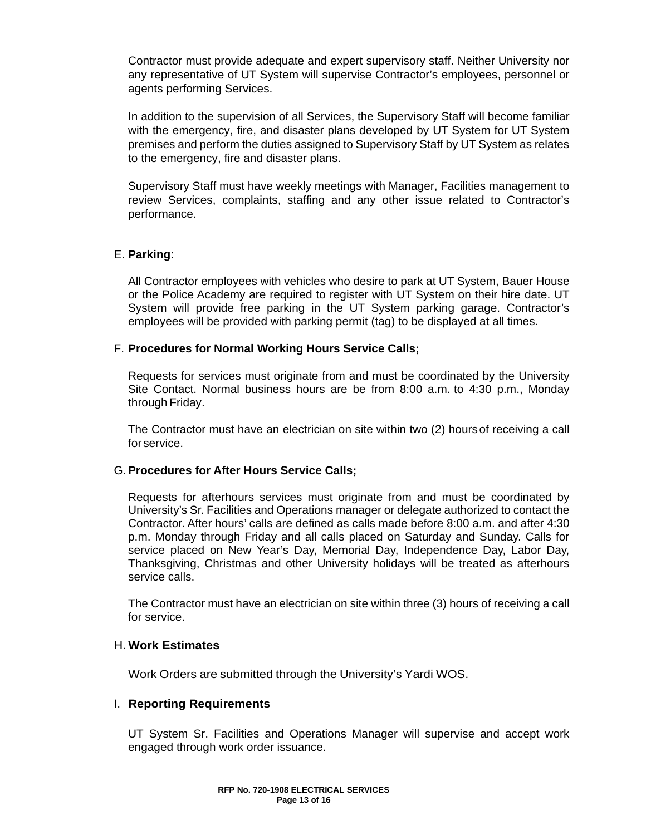Contractor must provide adequate and expert supervisory staff. Neither University nor any representative of UT System will supervise Contractor's employees, personnel or agents performing Services.

In addition to the supervision of all Services, the Supervisory Staff will become familiar with the emergency, fire, and disaster plans developed by UT System for UT System premises and perform the duties assigned to Supervisory Staff by UT System as relates to the emergency, fire and disaster plans.

Supervisory Staff must have weekly meetings with Manager, Facilities management to review Services, complaints, staffing and any other issue related to Contractor's performance.

## E. **Parking**:

All Contractor employees with vehicles who desire to park at UT System, Bauer House or the Police Academy are required to register with UT System on their hire date. UT System will provide free parking in the UT System parking garage. Contractor's employees will be provided with parking permit (tag) to be displayed at all times.

## F. **Procedures for Normal Working Hours Service Calls;**

Requests for services must originate from and must be coordinated by the University Site Contact. Normal business hours are be from 8:00 a.m. to 4:30 p.m., Monday through Friday.

The Contractor must have an electrician on site within two (2) hoursof receiving a call for service.

## G. **Procedures for After Hours Service Calls;**

Requests for afterhours services must originate from and must be coordinated by University's Sr. Facilities and Operations manager or delegate authorized to contact the Contractor. After hours' calls are defined as calls made before 8:00 a.m. and after 4:30 p.m. Monday through Friday and all calls placed on Saturday and Sunday. Calls for service placed on New Year's Day, Memorial Day, Independence Day, Labor Day, Thanksgiving, Christmas and other University holidays will be treated as afterhours service calls.

The Contractor must have an electrician on site within three (3) hours of receiving a call for service.

## H. **Work Estimates**

Work Orders are submitted through the University's Yardi WOS.

## I. **Reporting Requirements**

UT System Sr. Facilities and Operations Manager will supervise and accept work engaged through work order issuance.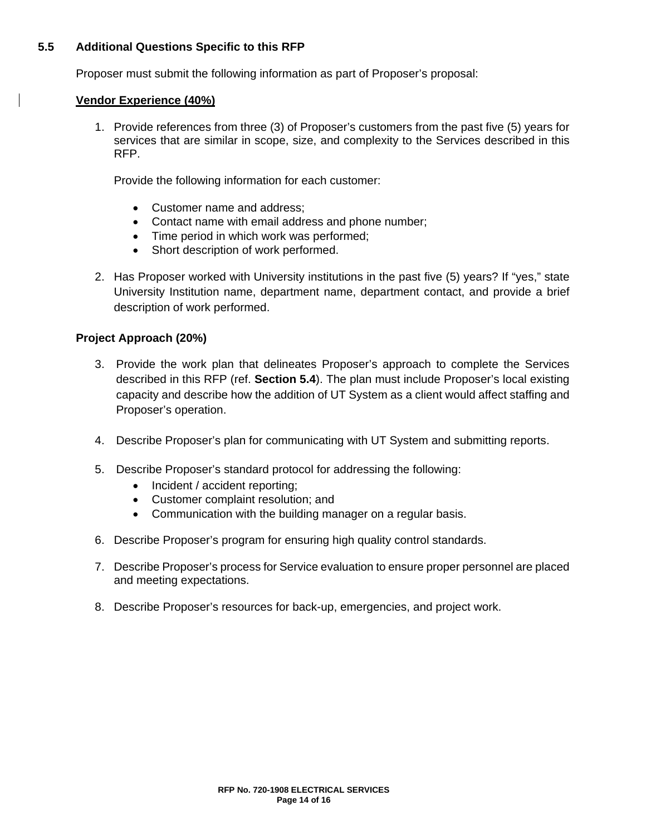## **5.5 Additional Questions Specific to this RFP**

Proposer must submit the following information as part of Proposer's proposal:

## **Vendor Experience (40%)**

1. Provide references from three (3) of Proposer's customers from the past five (5) years for services that are similar in scope, size, and complexity to the Services described in this RFP.

Provide the following information for each customer:

- Customer name and address;
- Contact name with email address and phone number;
- Time period in which work was performed;
- Short description of work performed.
- 2. Has Proposer worked with University institutions in the past five (5) years? If "yes," state University Institution name, department name, department contact, and provide a brief description of work performed.

## **Project Approach (20%)**

- 3. Provide the work plan that delineates Proposer's approach to complete the Services described in this RFP (ref. **Section 5.4**). The plan must include Proposer's local existing capacity and describe how the addition of UT System as a client would affect staffing and Proposer's operation.
- 4. Describe Proposer's plan for communicating with UT System and submitting reports.
- 5. Describe Proposer's standard protocol for addressing the following:
	- Incident / accident reporting;
	- Customer complaint resolution; and
	- Communication with the building manager on a regular basis.
- 6. Describe Proposer's program for ensuring high quality control standards.
- 7. Describe Proposer's process for Service evaluation to ensure proper personnel are placed and meeting expectations.
- 8. Describe Proposer's resources for back-up, emergencies, and project work.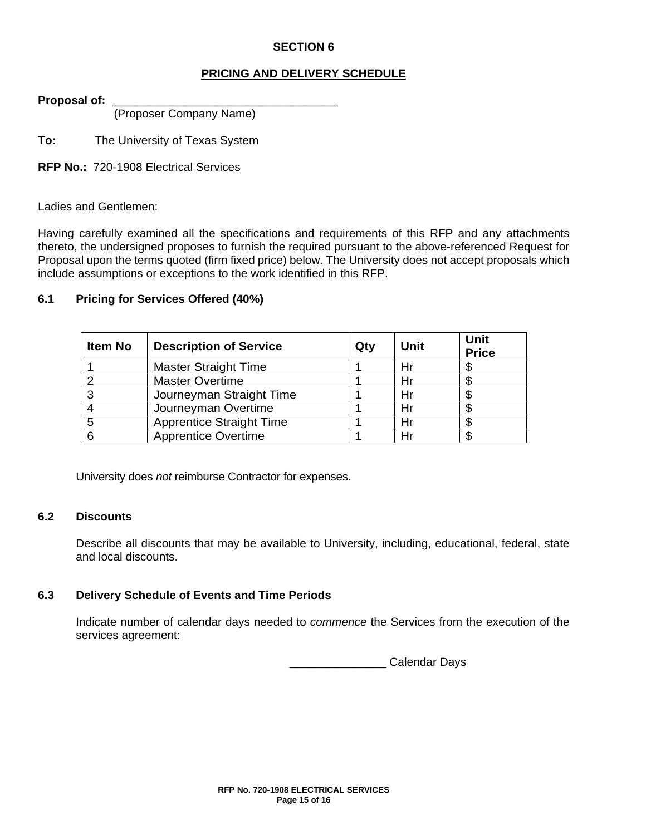## **SECTION 6**

## **PRICING AND DELIVERY SCHEDULE**

Proposal of:

(Proposer Company Name)

**To:** The University of Texas System

**RFP No.:** 720-1908 Electrical Services

Ladies and Gentlemen:

Having carefully examined all the specifications and requirements of this RFP and any attachments thereto, the undersigned proposes to furnish the required pursuant to the above-referenced Request for Proposal upon the terms quoted (firm fixed price) below. The University does not accept proposals which include assumptions or exceptions to the work identified in this RFP.

## **6.1 Pricing for Services Offered (40%)**

| <b>Item No</b> | <b>Description of Service</b>   | Qty | Unit | Unit<br><b>Price</b> |
|----------------|---------------------------------|-----|------|----------------------|
|                | Master Straight Time            |     | Hr   |                      |
| ◠              | <b>Master Overtime</b>          |     | Hı   |                      |
| ?              | Journeyman Straight Time        |     | Hr   |                      |
|                | Journeyman Overtime             |     | Hı   |                      |
| 5              | <b>Apprentice Straight Time</b> |     | Hr   |                      |
| 6              | <b>Apprentice Overtime</b>      |     | н    |                      |

University does *not* reimburse Contractor for expenses.

## **6.2 Discounts**

Describe all discounts that may be available to University, including, educational, federal, state and local discounts.

## **6.3 Delivery Schedule of Events and Time Periods**

Indicate number of calendar days needed to *commence* the Services from the execution of the services agreement:

\_\_\_\_\_\_\_\_\_\_\_\_\_\_\_ Calendar Days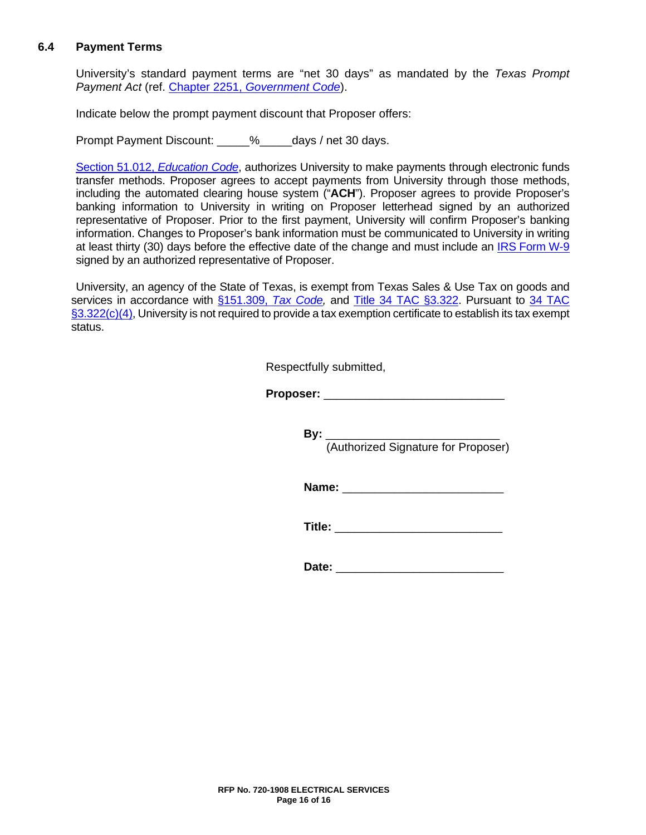## **6.4 Payment Terms**

University's standard payment terms are "net 30 days" as mandated by the *Texas Prompt Payment Act* (ref. Chapter 2251, *[Government Code](http://www.statutes.legis.state.tx.us/Docs/GV/htm/GV.2251.htm)*).

Indicate below the prompt payment discount that Proposer offers:

Prompt Payment Discount: \_\_\_\_\_% days / net 30 days.

[Section 51.012,](http://www.statutes.legis.state.tx.us/Docs/ED/htm/ED.51.htm#51.012) *Education Code*, authorizes University to make payments through electronic funds transfer methods. Proposer agrees to accept payments from University through those methods, including the automated clearing house system ("**ACH**"). Proposer agrees to provide Proposer's banking information to University in writing on Proposer letterhead signed by an authorized representative of Proposer. Prior to the first payment, University will confirm Proposer's banking information. Changes to Proposer's bank information must be communicated to University in writing at least thirty (30) days before the effective date of the change and must include an IRS [Form](https://www.irs.gov/uac/about-form-w9) W-9 signed by an authorized representative of Proposer.

University, an agency of the State of Texas, is exempt from Texas Sales & Use Tax on goods and services in accordance with [§151.309,](http://www.statutes.legis.state.tx.us/Docs/TX/htm/TX.151.htm#151.309) *Tax Code,* and [Title 34 TAC](http://texreg.sos.state.tx.us/public/readtac$ext.TacPage?sl=R&app=9&p_dir=&p_rloc=&p_tloc=&p_ploc=&pg=1&p_tac=&ti=34&pt=1&ch=3&rl=322) §3.322. Pursuant to [34 TAC](http://texreg.sos.state.tx.us/public/readtac$ext.TacPage?sl=R&app=9&p_dir=&p_rloc=&p_tloc=&p_ploc=&pg=1&p_tac=&ti=34&pt=1&ch=3&rl=322)  [§3.322\(c\)\(4\),](http://texreg.sos.state.tx.us/public/readtac$ext.TacPage?sl=R&app=9&p_dir=&p_rloc=&p_tloc=&p_ploc=&pg=1&p_tac=&ti=34&pt=1&ch=3&rl=322) University is not required to provide a tax exemption certificate to establish its tax exempt status.

Respectfully submitted,

**Proposer:** \_\_\_\_\_\_\_\_\_\_\_\_\_\_\_\_\_\_\_\_\_\_\_\_\_\_\_\_

**By:** \_\_\_\_\_\_\_\_\_\_\_\_\_\_\_\_\_\_\_\_\_\_\_\_\_\_\_ (Authorized Signature for Proposer)

**Name:**  $\blacksquare$ 

**Title:** \_\_\_\_\_\_\_\_\_\_\_\_\_\_\_\_\_\_\_\_\_\_\_\_\_\_

**Date:**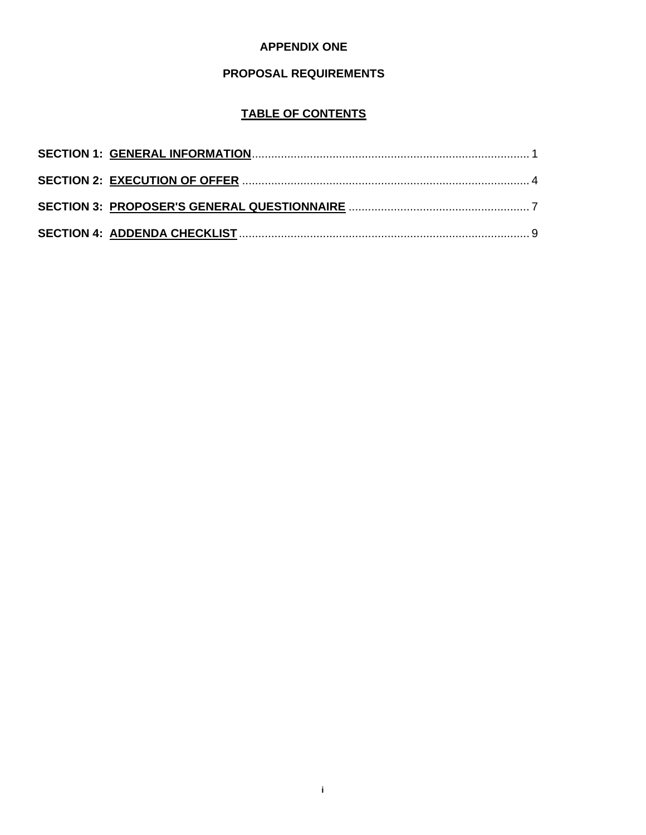## **APPENDIX ONE**

## **PROPOSAL REQUIREMENTS**

## **TABLE OF CONTENTS**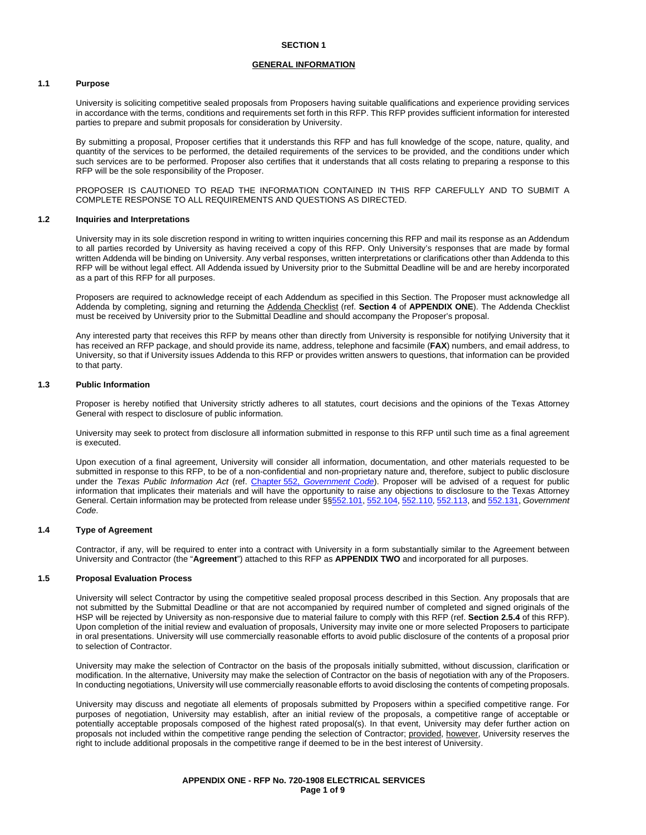#### **GENERAL INFORMATION**

#### **1.1 Purpose**

University is soliciting competitive sealed proposals from Proposers having suitable qualifications and experience providing services in accordance with the terms, conditions and requirements set forth in this RFP. This RFP provides sufficient information for interested parties to prepare and submit proposals for consideration by University.

By submitting a proposal, Proposer certifies that it understands this RFP and has full knowledge of the scope, nature, quality, and quantity of the services to be performed, the detailed requirements of the services to be provided, and the conditions under which such services are to be performed. Proposer also certifies that it understands that all costs relating to preparing a response to this RFP will be the sole responsibility of the Proposer.

PROPOSER IS CAUTIONED TO READ THE INFORMATION CONTAINED IN THIS RFP CAREFULLY AND TO SUBMIT A COMPLETE RESPONSE TO ALL REQUIREMENTS AND QUESTIONS AS DIRECTED.

#### **1.2 Inquiries and Interpretations**

University may in its sole discretion respond in writing to written inquiries concerning this RFP and mail its response as an Addendum to all parties recorded by University as having received a copy of this RFP. Only University's responses that are made by formal written Addenda will be binding on University. Any verbal responses, written interpretations or clarifications other than Addenda to this RFP will be without legal effect. All Addenda issued by University prior to the Submittal Deadline will be and are hereby incorporated as a part of this RFP for all purposes.

Proposers are required to acknowledge receipt of each Addendum as specified in this Section. The Proposer must acknowledge all Addenda by completing, signing and returning the Addenda Checklist (ref. **Section 4** of **APPENDIX ONE**). The Addenda Checklist must be received by University prior to the Submittal Deadline and should accompany the Proposer's proposal.

Any interested party that receives this RFP by means other than directly from University is responsible for notifying University that it has received an RFP package, and should provide its name, address, telephone and facsimile (**FAX**) numbers, and email address, to University, so that if University issues Addenda to this RFP or provides written answers to questions, that information can be provided to that party.

#### **1.3 Public Information**

Proposer is hereby notified that University strictly adheres to all statutes, court decisions and the opinions of the Texas Attorney General with respect to disclosure of public information.

University may seek to protect from disclosure all information submitted in response to this RFP until such time as a final agreement is executed.

Upon execution of a final agreement, University will consider all information, documentation, and other materials requested to be submitted in response to this RFP, to be of a non-confidential and non-proprietary nature and, therefore, subject to public disclosure under the *Texas Public Information Act* (ref. Chapter 552, *[Government Code](http://www.statutes.legis.state.tx.us/Docs/GV/htm/GV.552.htm)*). Proposer will be advised of a request for public information that implicates their materials and will have the opportunity to raise any objections to disclosure to the Texas Attorney General. Certain information may be protected from release under §[§552.101,](http://www.statutes.legis.state.tx.us/Docs/GV/htm/GV.552.htm#552.101) [552.104,](http://www.statutes.legis.state.tx.us/Docs/GV/htm/GV.552.htm#552.104) [552.110,](http://www.statutes.legis.state.tx.us/Docs/GV/htm/GV.552.htm#552.110) [552.113,](http://www.statutes.legis.state.tx.us/Docs/GV/htm/GV.552.htm#552.113) and [552.131,](http://www.statutes.legis.state.tx.us/Docs/GV/htm/GV.552.htm#552.131) *Government Code*.

#### **1.4 Type of Agreement**

Contractor, if any, will be required to enter into a contract with University in a form substantially similar to the Agreement between University and Contractor (the "**Agreement**") attached to this RFP as **APPENDIX TWO** and incorporated for all purposes.

#### **1.5 Proposal Evaluation Process**

University will select Contractor by using the competitive sealed proposal process described in this Section. Any proposals that are not submitted by the Submittal Deadline or that are not accompanied by required number of completed and signed originals of the HSP will be rejected by University as non-responsive due to material failure to comply with this RFP (ref. **Section 2.5.4** of this RFP). Upon completion of the initial review and evaluation of proposals, University may invite one or more selected Proposers to participate in oral presentations. University will use commercially reasonable efforts to avoid public disclosure of the contents of a proposal prior to selection of Contractor.

University may make the selection of Contractor on the basis of the proposals initially submitted, without discussion, clarification or modification. In the alternative, University may make the selection of Contractor on the basis of negotiation with any of the Proposers. In conducting negotiations, University will use commercially reasonable efforts to avoid disclosing the contents of competing proposals.

University may discuss and negotiate all elements of proposals submitted by Proposers within a specified competitive range. For purposes of negotiation, University may establish, after an initial review of the proposals, a competitive range of acceptable or potentially acceptable proposals composed of the highest rated proposal(s). In that event, University may defer further action on proposals not included within the competitive range pending the selection of Contractor; provided, however, University reserves the right to include additional proposals in the competitive range if deemed to be in the best interest of University.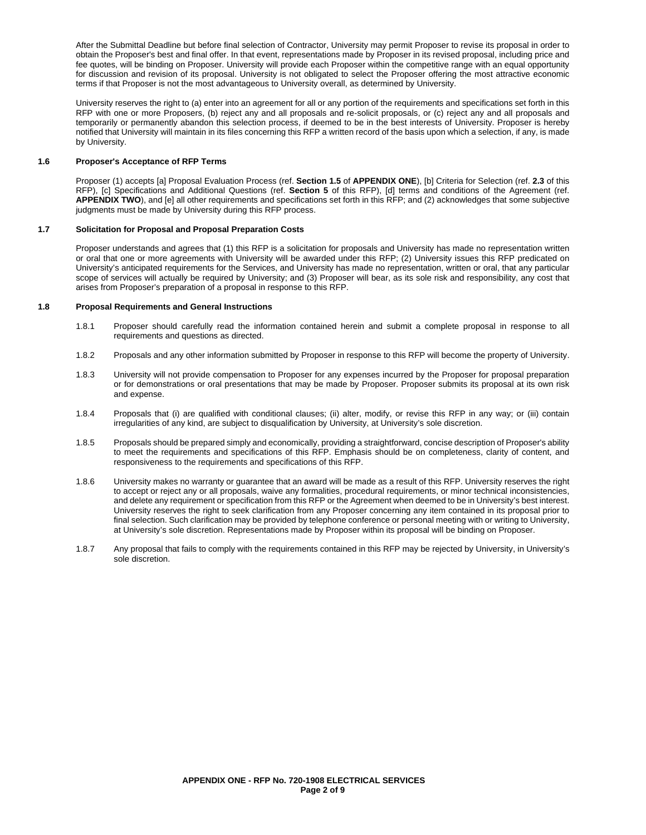After the Submittal Deadline but before final selection of Contractor, University may permit Proposer to revise its proposal in order to obtain the Proposer's best and final offer. In that event, representations made by Proposer in its revised proposal, including price and fee quotes, will be binding on Proposer. University will provide each Proposer within the competitive range with an equal opportunity for discussion and revision of its proposal. University is not obligated to select the Proposer offering the most attractive economic terms if that Proposer is not the most advantageous to University overall, as determined by University.

University reserves the right to (a) enter into an agreement for all or any portion of the requirements and specifications set forth in this RFP with one or more Proposers, (b) reject any and all proposals and re-solicit proposals, or (c) reject any and all proposals and temporarily or permanently abandon this selection process, if deemed to be in the best interests of University. Proposer is hereby notified that University will maintain in its files concerning this RFP a written record of the basis upon which a selection, if any, is made by University.

#### **1.6 Proposer's Acceptance of RFP Terms**

Proposer (1) accepts [a] Proposal Evaluation Process (ref. **Section 1.5** of **APPENDIX ONE**), [b] Criteria for Selection (ref. **2.3** of this RFP), [c] Specifications and Additional Questions (ref. **Section 5** of this RFP), [d] terms and conditions of the Agreement (ref. **APPENDIX TWO**), and [e] all other requirements and specifications set forth in this RFP; and (2) acknowledges that some subjective judgments must be made by University during this RFP process.

#### **1.7 Solicitation for Proposal and Proposal Preparation Costs**

Proposer understands and agrees that (1) this RFP is a solicitation for proposals and University has made no representation written or oral that one or more agreements with University will be awarded under this RFP; (2) University issues this RFP predicated on University's anticipated requirements for the Services, and University has made no representation, written or oral, that any particular scope of services will actually be required by University; and (3) Proposer will bear, as its sole risk and responsibility, any cost that arises from Proposer's preparation of a proposal in response to this RFP.

#### **1.8 Proposal Requirements and General Instructions**

- 1.8.1 Proposer should carefully read the information contained herein and submit a complete proposal in response to all requirements and questions as directed.
- 1.8.2 Proposals and any other information submitted by Proposer in response to this RFP will become the property of University.
- 1.8.3 University will not provide compensation to Proposer for any expenses incurred by the Proposer for proposal preparation or for demonstrations or oral presentations that may be made by Proposer. Proposer submits its proposal at its own risk and expense.
- 1.8.4 Proposals that (i) are qualified with conditional clauses; (ii) alter, modify, or revise this RFP in any way; or (iii) contain irregularities of any kind, are subject to disqualification by University, at University's sole discretion.
- 1.8.5 Proposals should be prepared simply and economically, providing a straightforward, concise description of Proposer's ability to meet the requirements and specifications of this RFP. Emphasis should be on completeness, clarity of content, and responsiveness to the requirements and specifications of this RFP.
- 1.8.6 University makes no warranty or guarantee that an award will be made as a result of this RFP. University reserves the right to accept or reject any or all proposals, waive any formalities, procedural requirements, or minor technical inconsistencies, and delete any requirement or specification from this RFP or the Agreement when deemed to be in University's best interest. University reserves the right to seek clarification from any Proposer concerning any item contained in its proposal prior to final selection. Such clarification may be provided by telephone conference or personal meeting with or writing to University, at University's sole discretion. Representations made by Proposer within its proposal will be binding on Proposer.
- 1.8.7 Any proposal that fails to comply with the requirements contained in this RFP may be rejected by University, in University's sole discretion.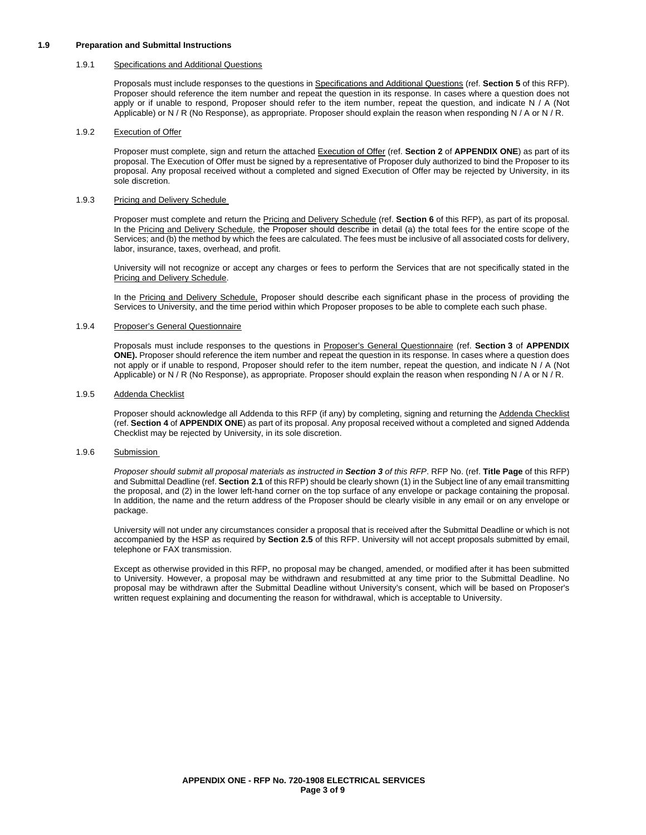#### **1.9 Preparation and Submittal Instructions**

#### 1.9.1 Specifications and Additional Questions

Proposals must include responses to the questions in Specifications and Additional Questions (ref. **Section 5** of this RFP). Proposer should reference the item number and repeat the question in its response. In cases where a question does not apply or if unable to respond, Proposer should refer to the item number, repeat the question, and indicate N / A (Not Applicable) or N / R (No Response), as appropriate. Proposer should explain the reason when responding N / A or N / R.

#### 1.9.2 Execution of Offer

Proposer must complete, sign and return the attached Execution of Offer (ref. **Section 2** of **APPENDIX ONE**) as part of its proposal. The Execution of Offer must be signed by a representative of Proposer duly authorized to bind the Proposer to its proposal. Any proposal received without a completed and signed Execution of Offer may be rejected by University, in its sole discretion.

#### 1.9.3 Pricing and Delivery Schedule

Proposer must complete and return the Pricing and Delivery Schedule (ref. **Section 6** of this RFP), as part of its proposal. In the Pricing and Delivery Schedule, the Proposer should describe in detail (a) the total fees for the entire scope of the Services; and (b) the method by which the fees are calculated. The fees must be inclusive of all associated costs for delivery, labor, insurance, taxes, overhead, and profit.

University will not recognize or accept any charges or fees to perform the Services that are not specifically stated in the Pricing and Delivery Schedule.

In the Pricing and Delivery Schedule, Proposer should describe each significant phase in the process of providing the Services to University, and the time period within which Proposer proposes to be able to complete each such phase.

#### 1.9.4 Proposer's General Questionnaire

Proposals must include responses to the questions in Proposer's General Questionnaire (ref. **Section 3** of **APPENDIX ONE).** Proposer should reference the item number and repeat the question in its response. In cases where a question does not apply or if unable to respond, Proposer should refer to the item number, repeat the question, and indicate N / A (Not Applicable) or N / R (No Response), as appropriate. Proposer should explain the reason when responding N / A or N / R.

#### 1.9.5 Addenda Checklist

Proposer should acknowledge all Addenda to this RFP (if any) by completing, signing and returning the Addenda Checklist (ref. **Section 4** of **APPENDIX ONE**) as part of its proposal. Any proposal received without a completed and signed Addenda Checklist may be rejected by University, in its sole discretion.

#### 1.9.6 Submission

*Proposer should submit all proposal materials as instructed in Section 3 of this RFP*. RFP No. (ref. **Title Page** of this RFP) and Submittal Deadline (ref. **Section 2.1** of this RFP) should be clearly shown (1) in the Subject line of any email transmitting the proposal, and (2) in the lower left-hand corner on the top surface of any envelope or package containing the proposal. In addition, the name and the return address of the Proposer should be clearly visible in any email or on any envelope or package.

University will not under any circumstances consider a proposal that is received after the Submittal Deadline or which is not accompanied by the HSP as required by **Section 2.5** of this RFP. University will not accept proposals submitted by email, telephone or FAX transmission.

Except as otherwise provided in this RFP, no proposal may be changed, amended, or modified after it has been submitted to University. However, a proposal may be withdrawn and resubmitted at any time prior to the Submittal Deadline. No proposal may be withdrawn after the Submittal Deadline without University's consent, which will be based on Proposer's written request explaining and documenting the reason for withdrawal, which is acceptable to University.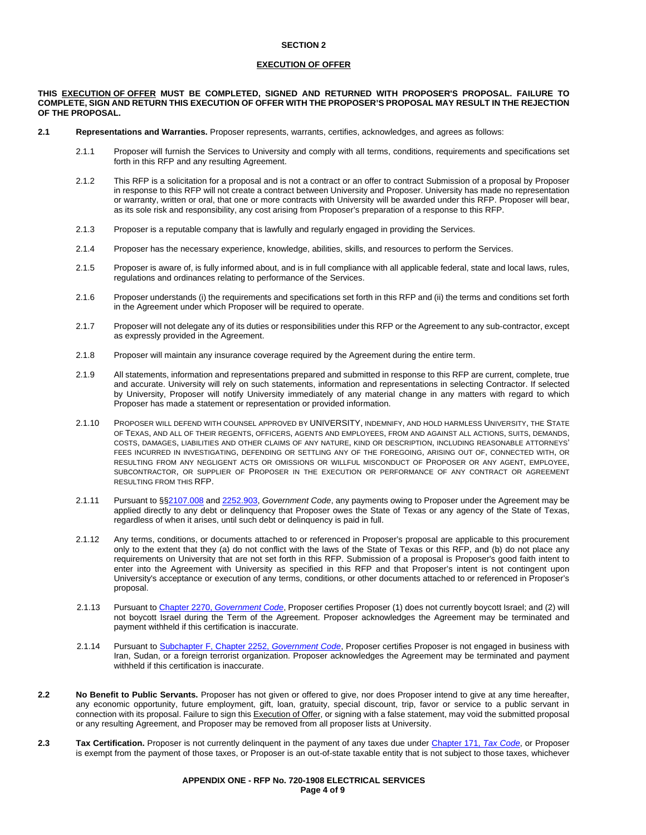#### **SECTION 2**

#### **EXECUTION OF OFFER**

#### **THIS EXECUTION OF OFFER MUST BE COMPLETED, SIGNED AND RETURNED WITH PROPOSER'S PROPOSAL. FAILURE TO COMPLETE, SIGN AND RETURN THIS EXECUTION OF OFFER WITH THE PROPOSER'S PROPOSAL MAY RESULT IN THE REJECTION OF THE PROPOSAL.**

- **2.1 Representations and Warranties.** Proposer represents, warrants, certifies, acknowledges, and agrees as follows:
	- 2.1.1 Proposer will furnish the Services to University and comply with all terms, conditions, requirements and specifications set forth in this RFP and any resulting Agreement.
	- 2.1.2 This RFP is a solicitation for a proposal and is not a contract or an offer to contract Submission of a proposal by Proposer in response to this RFP will not create a contract between University and Proposer. University has made no representation or warranty, written or oral, that one or more contracts with University will be awarded under this RFP. Proposer will bear, as its sole risk and responsibility, any cost arising from Proposer's preparation of a response to this RFP.
	- 2.1.3 Proposer is a reputable company that is lawfully and regularly engaged in providing the Services.
	- 2.1.4 Proposer has the necessary experience, knowledge, abilities, skills, and resources to perform the Services.
	- 2.1.5 Proposer is aware of, is fully informed about, and is in full compliance with all applicable federal, state and local laws, rules, regulations and ordinances relating to performance of the Services.
	- 2.1.6 Proposer understands (i) the requirements and specifications set forth in this RFP and (ii) the terms and conditions set forth in the Agreement under which Proposer will be required to operate.
	- 2.1.7 Proposer will not delegate any of its duties or responsibilities under this RFP or the Agreement to any sub-contractor, except as expressly provided in the Agreement.
	- 2.1.8 Proposer will maintain any insurance coverage required by the Agreement during the entire term.
	- 2.1.9 All statements, information and representations prepared and submitted in response to this RFP are current, complete, true and accurate. University will rely on such statements, information and representations in selecting Contractor. If selected by University, Proposer will notify University immediately of any material change in any matters with regard to which Proposer has made a statement or representation or provided information.
	- 2.1.10 PROPOSER WILL DEFEND WITH COUNSEL APPROVED BY UNIVERSITY, INDEMNIFY, AND HOLD HARMLESS UNIVERSITY, THE STATE OF TEXAS, AND ALL OF THEIR REGENTS, OFFICERS, AGENTS AND EMPLOYEES, FROM AND AGAINST ALL ACTIONS, SUITS, DEMANDS, COSTS, DAMAGES, LIABILITIES AND OTHER CLAIMS OF ANY NATURE, KIND OR DESCRIPTION, INCLUDING REASONABLE ATTORNEYS' FEES INCURRED IN INVESTIGATING, DEFENDING OR SETTLING ANY OF THE FOREGOING, ARISING OUT OF, CONNECTED WITH, OR RESULTING FROM ANY NEGLIGENT ACTS OR OMISSIONS OR WILLFUL MISCONDUCT OF PROPOSER OR ANY AGENT, EMPLOYEE, SUBCONTRACTOR, OR SUPPLIER OF PROPOSER IN THE EXECUTION OR PERFORMANCE OF ANY CONTRACT OR AGREEMENT RESULTING FROM THIS RFP.
	- 2.1.11 Pursuant to §[§2107.008](http://www.statutes.legis.state.tx.us/Docs/GV/htm/GV.2107.htm#2107.008) and [2252.903,](http://www.statutes.legis.state.tx.us/Docs/GV/htm/GV.2252.htm#2252.903) *Government Code*, any payments owing to Proposer under the Agreement may be applied directly to any debt or delinquency that Proposer owes the State of Texas or any agency of the State of Texas, regardless of when it arises, until such debt or delinquency is paid in full.
	- 2.1.12 Any terms, conditions, or documents attached to or referenced in Proposer's proposal are applicable to this procurement only to the extent that they (a) do not conflict with the laws of the State of Texas or this RFP, and (b) do not place any requirements on University that are not set forth in this RFP. Submission of a proposal is Proposer's good faith intent to enter into the Agreement with University as specified in this RFP and that Proposer's intent is not contingent upon University's acceptance or execution of any terms, conditions, or other documents attached to or referenced in Proposer's proposal.
	- 2.1.13 Pursuant to Chapter 2270, *[Government Code](http://www.statutes.legis.state.tx.us/Docs/GV/htm/GV.2270.v2.htm)*, Proposer certifies Proposer (1) does not currently boycott Israel; and (2) will not boycott Israel during the Term of the Agreement. Proposer acknowledges the Agreement may be terminated and payment withheld if this certification is inaccurate.
	- 2.1.14 Pursuant t[o Subchapter F, Chapter 2252,](http://www.statutes.legis.state.tx.us/Docs/GV/htm/GV.2252.htm#F) *Government Code*, Proposer certifies Proposer is not engaged in business with Iran, Sudan, or a foreign terrorist organization. Proposer acknowledges the Agreement may be terminated and payment withheld if this certification is inaccurate.
- **2.2 No Benefit to Public Servants.** Proposer has not given or offered to give, nor does Proposer intend to give at any time hereafter, any economic opportunity, future employment, gift, loan, gratuity, special discount, trip, favor or service to a public servant in connection with its proposal. Failure to sign this Execution of Offer, or signing with a false statement, may void the submitted proposal or any resulting Agreement, and Proposer may be removed from all proposer lists at University.
- **2.3 Tax Certification.** Proposer is not currently delinquent in the payment of any taxes due under Chapter 171, *[Tax Code](http://www.statutes.legis.state.tx.us/Docs/TX/htm/TX.171.htm)*, or Proposer is exempt from the payment of those taxes, or Proposer is an out-of-state taxable entity that is not subject to those taxes, whichever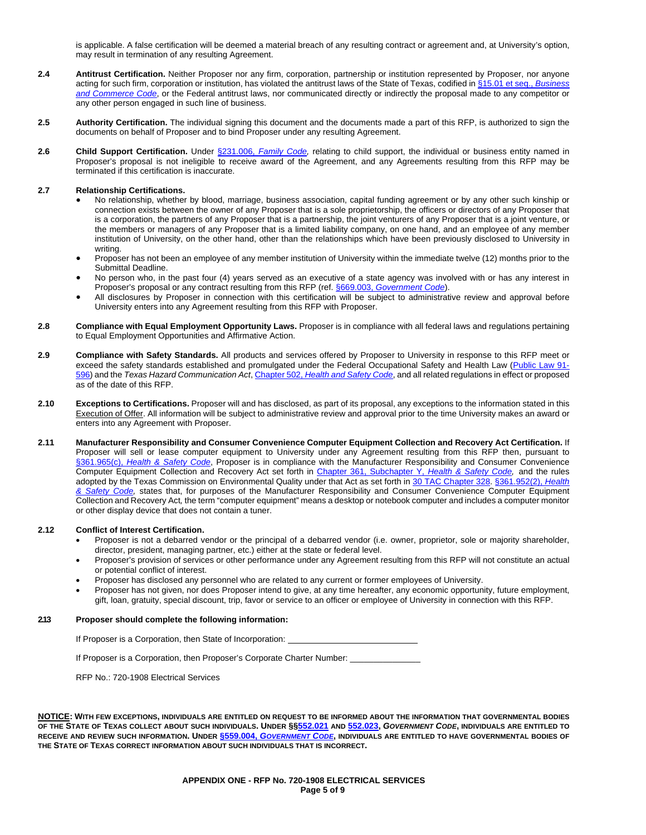is applicable. A false certification will be deemed a material breach of any resulting contract or agreement and, at University's option, may result in termination of any resulting Agreement.

- **2.4 Antitrust Certification.** Neither Proposer nor any firm, corporation, partnership or institution represented by Proposer, nor anyone acting for such firm, corporation or institution, has violated the antitrust laws of the State of Texas, codified in [§15.01 et seq.,](http://www.statutes.legis.state.tx.us/Docs/BC/htm/BC.15.htm) *Business [and Commerce Code](http://www.statutes.legis.state.tx.us/Docs/BC/htm/BC.15.htm)*, or the Federal antitrust laws, nor communicated directly or indirectly the proposal made to any competitor or any other person engaged in such line of business.
- **2.5 Authority Certification.** The individual signing this document and the documents made a part of this RFP, is authorized to sign the documents on behalf of Proposer and to bind Proposer under any resulting Agreement.
- **2.6 Child Support Certification.** Under §231.006, *[Family Code,](http://www.statutes.legis.state.tx.us/Docs/FA/htm/FA.231.htm#231.006)* relating to child support, the individual or business entity named in Proposer's proposal is not ineligible to receive award of the Agreement, and any Agreements resulting from this RFP may be terminated if this certification is inaccurate.

#### **2.7 Relationship Certifications.**

- No relationship, whether by blood, marriage, business association, capital funding agreement or by any other such kinship or connection exists between the owner of any Proposer that is a sole proprietorship, the officers or directors of any Proposer that is a corporation, the partners of any Proposer that is a partnership, the joint venturers of any Proposer that is a joint venture, or the members or managers of any Proposer that is a limited liability company, on one hand, and an employee of any member institution of University, on the other hand, other than the relationships which have been previously disclosed to University in writing.
- Proposer has not been an employee of any member institution of University within the immediate twelve (12) months prior to the Submittal Deadline.
- No person who, in the past four (4) years served as an executive of a state agency was involved with or has any interest in Proposer's proposal or any contract resulting from this RFP (ref. §669.003, *[Government Code](http://www.statutes.legis.state.tx.us/Docs/GV/htm/GV.669.htm#669.003)*).
- All disclosures by Proposer in connection with this certification will be subject to administrative review and approval before University enters into any Agreement resulting from this RFP with Proposer.
- **2.8 Compliance with Equal Employment Opportunity Laws.** Proposer is in compliance with all federal laws and regulations pertaining to Equal Employment Opportunities and Affirmative Action.
- **2.9 Compliance with Safety Standards.** All products and services offered by Proposer to University in response to this RFP meet or exceed the safety standards established and promulgated under the Federal Occupational Safety and Health Law [\(Public Law 91-](https://www.osha.gov/pls/oshaweb/owadisp.show_document?p_table=OSHACT&p_id=2743) [596\)](https://www.osha.gov/pls/oshaweb/owadisp.show_document?p_table=OSHACT&p_id=2743) and the *Texas Hazard Communication Act*, Chapter 502, *[Health and Safety Code](http://www.statutes.legis.state.tx.us/Docs/HS/htm/HS.502.htm)*, and all related regulations in effect or proposed as of the date of this RFP.
- **2.10 Exceptions to Certifications.** Proposer will and has disclosed, as part of its proposal, any exceptions to the information stated in this Execution of Offer. All information will be subject to administrative review and approval prior to the time University makes an award or enters into any Agreement with Proposer.
- **2.11 Manufacturer Responsibility and Consumer Convenience Computer Equipment Collection and Recovery Act Certification.** If Proposer will sell or lease computer equipment to University under any Agreement resulting from this RFP then, pursuant to §361.965(c), *[Health & Safety Code](http://www.statutes.legis.state.tx.us/Docs/HS/htm/HS.361.htm#361.965)*, Proposer is in compliance with the Manufacturer Responsibility and Consumer Convenience Computer Equipment Collection and Recovery Act set forth in [Chapter 361, Subchapter Y,](http://www.statutes.legis.state.tx.us/Docs/HS/htm/HS.361.htm#Y) *Health & Safety Code,* and the rules adopted by the Texas Commission on Environmental Quality under that Act as set forth in [30 TAC Chapter 328.](http://texreg.sos.state.tx.us/public/readtac$ext.ViewTAC?tac_view=5&ti=30&pt=1&ch=328&sch=I&rl=Y) [§361.952\(2\),](http://www.statutes.legis.state.tx.us/Docs/HS/htm/HS.361.htm#361.952) *Health [& Safety Code,](http://www.statutes.legis.state.tx.us/Docs/HS/htm/HS.361.htm#361.952)* states that, for purposes of the Manufacturer Responsibility and Consumer Convenience Computer Equipment Collection and Recovery Act*,* the term "computer equipment" means a desktop or notebook computer and includes a computer monitor or other display device that does not contain a tuner.

#### **2.12 Conflict of Interest Certification.**

- Proposer is not a debarred vendor or the principal of a debarred vendor (i.e. owner, proprietor, sole or majority shareholder, director, president, managing partner, etc.) either at the state or federal level.
- Proposer's provision of services or other performance under any Agreement resulting from this RFP will not constitute an actual or potential conflict of interest.
- Proposer has disclosed any personnel who are related to any current or former employees of University.
- Proposer has not given, nor does Proposer intend to give, at any time hereafter, any economic opportunity, future employment, gift, loan, gratuity, special discount, trip, favor or service to an officer or employee of University in connection with this RFP.

#### **2.13 Proposer should complete the following information:**

If Proposer is a Corporation, then State of Incorporation:

If Proposer is a Corporation, then Proposer's Corporate Charter Number:

RFP No.: 720-1908 Electrical Services

**NOTICE: WITH FEW EXCEPTIONS, INDIVIDUALS ARE ENTITLED ON REQUEST TO BE INFORMED ABOUT THE INFORMATION THAT GOVERNMENTAL BODIES OF THE STATE OF TEXAS COLLECT ABOUT SUCH INDIVIDUALS. UNDER §[§552.021](http://www.statutes.legis.state.tx.us/Docs/GV/htm/GV.552.htm#552.021) AND [552.023,](http://www.statutes.legis.state.tx.us/Docs/GV/htm/GV.552.htm#552.023)** *GOVERNMENT CODE***, INDIVIDUALS ARE ENTITLED TO RECEIVE AND REVIEW SUCH INFORMATION. UNDER §559.004,** *[GOVERNMENT CODE](http://www.statutes.legis.state.tx.us/Docs/GV/htm/GV.559.htm#559.004)***, INDIVIDUALS ARE ENTITLED TO HAVE GOVERNMENTAL BODIES OF THE STATE OF TEXAS CORRECT INFORMATION ABOUT SUCH INDIVIDUALS THAT IS INCORRECT.**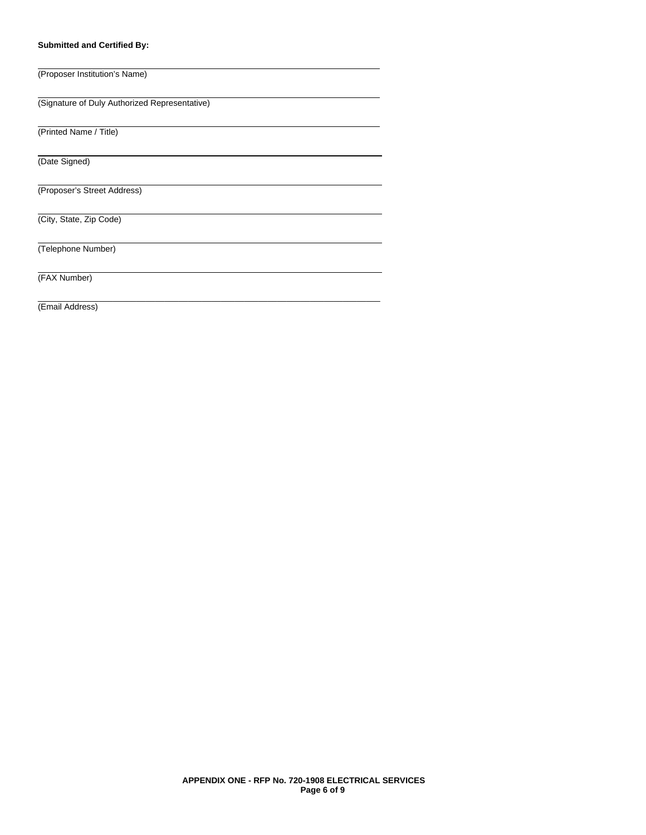#### **Submitted and Certified By:**

(Proposer Institution's Name) (Signature of Duly Authorized Representative) (Printed Name / Title) (Date Signed) (Proposer's Street Address) (City, State, Zip Code) (Telephone Number) (FAX Number) \_\_\_\_\_\_\_\_\_\_\_\_\_\_\_\_\_\_\_\_\_\_\_\_\_\_\_\_\_\_\_\_\_\_\_\_\_\_\_\_\_\_\_\_\_\_\_\_\_\_\_\_\_\_\_\_\_\_\_\_\_\_\_\_\_\_\_\_\_\_\_\_\_ (Email Address)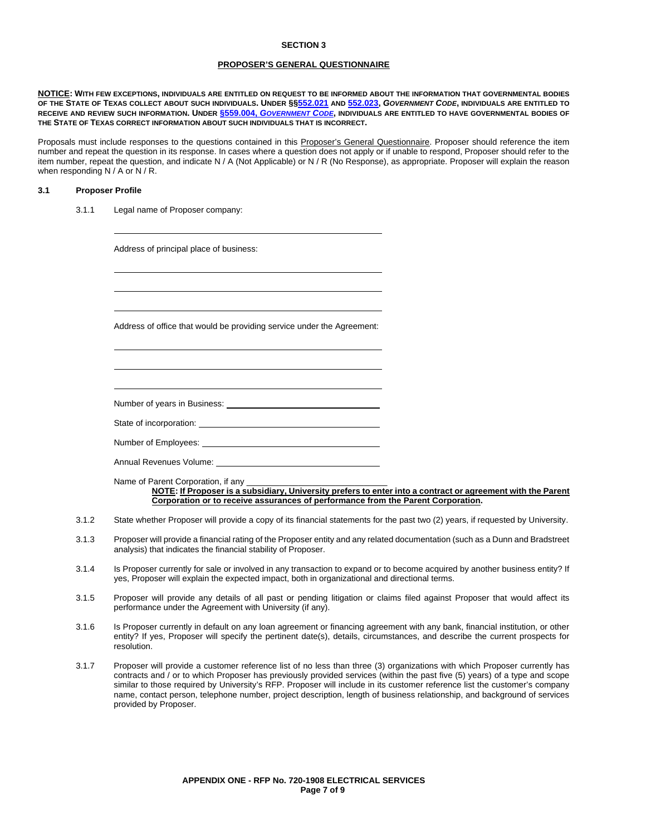#### **SECTION 3**

#### **PROPOSER'S GENERAL QUESTIONNAIRE**

**NOTICE: WITH FEW EXCEPTIONS, INDIVIDUALS ARE ENTITLED ON REQUEST TO BE INFORMED ABOUT THE INFORMATION THAT GOVERNMENTAL BODIES OF THE STATE OF TEXAS COLLECT ABOUT SUCH INDIVIDUALS. UNDER §[§552.021](http://www.statutes.legis.state.tx.us/Docs/GV/htm/GV.552.htm#552.021) AND [552.023,](http://www.statutes.legis.state.tx.us/Docs/GV/htm/GV.552.htm#552.023)** *GOVERNMENT CODE***, INDIVIDUALS ARE ENTITLED TO RECEIVE AND REVIEW SUCH INFORMATION. UNDER §559.004,** *[GOVERNMENT CODE](http://www.statutes.legis.state.tx.us/Docs/GV/htm/GV.559.htm#559.004)***, INDIVIDUALS ARE ENTITLED TO HAVE GOVERNMENTAL BODIES OF THE STATE OF TEXAS CORRECT INFORMATION ABOUT SUCH INDIVIDUALS THAT IS INCORRECT.**

Proposals must include responses to the questions contained in this Proposer's General Questionnaire. Proposer should reference the item number and repeat the question in its response. In cases where a question does not apply or if unable to respond, Proposer should refer to the item number, repeat the question, and indicate N / A (Not Applicable) or N / R (No Response), as appropriate. Proposer will explain the reason when responding N / A or N / R.

#### **3.1 Proposer Profile**

3.1.1 Legal name of Proposer company:

Address of principal place of business:

Address of office that would be providing service under the Agreement:

Number of years in Business:

State of incorporation:

Number of Employees:

Annual Revenues Volume:

Name of Parent Corporation, if any **NOTE: If Proposer is a subsidiary, University prefers to enter into a contract or agreement with the Parent Corporation or to receive assurances of performance from the Parent Corporation.** 

- 3.1.2 State whether Proposer will provide a copy of its financial statements for the past two (2) years, if requested by University.
- 3.1.3 Proposer will provide a financial rating of the Proposer entity and any related documentation (such as a Dunn and Bradstreet analysis) that indicates the financial stability of Proposer.
- 3.1.4 Is Proposer currently for sale or involved in any transaction to expand or to become acquired by another business entity? If yes, Proposer will explain the expected impact, both in organizational and directional terms.
- 3.1.5 Proposer will provide any details of all past or pending litigation or claims filed against Proposer that would affect its performance under the Agreement with University (if any).
- 3.1.6 Is Proposer currently in default on any loan agreement or financing agreement with any bank, financial institution, or other entity? If yes, Proposer will specify the pertinent date(s), details, circumstances, and describe the current prospects for resolution.
- 3.1.7 Proposer will provide a customer reference list of no less than three (3) organizations with which Proposer currently has contracts and / or to which Proposer has previously provided services (within the past five (5) years) of a type and scope similar to those required by University's RFP. Proposer will include in its customer reference list the customer's company name, contact person, telephone number, project description, length of business relationship, and background of services provided by Proposer.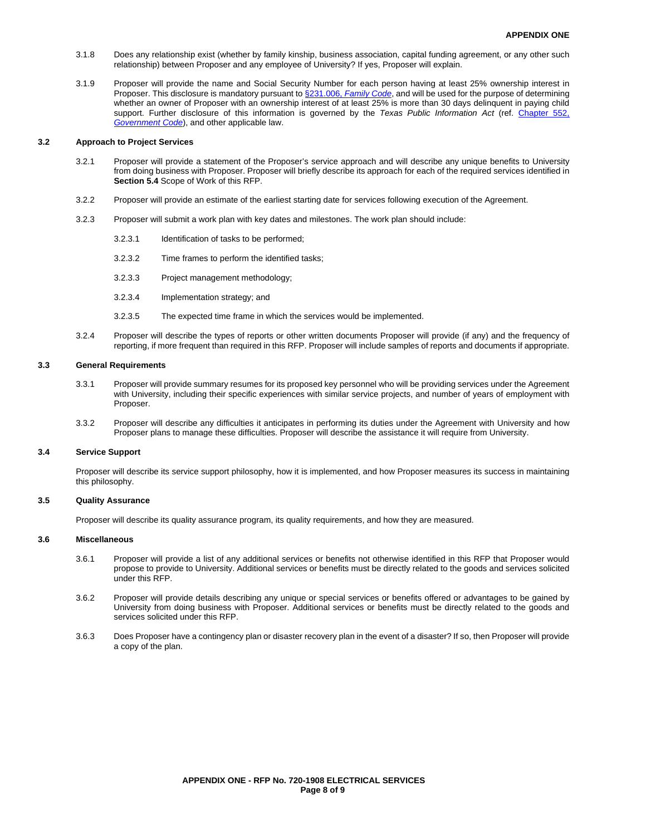- 3.1.8 Does any relationship exist (whether by family kinship, business association, capital funding agreement, or any other such relationship) between Proposer and any employee of University? If yes, Proposer will explain.
- 3.1.9 Proposer will provide the name and Social Security Number for each person having at least 25% ownership interest in Proposer. This disclosure is mandatory pursuant to §231.006, *[Family Code](http://www.statutes.legis.state.tx.us/Docs/FA/htm/FA.231.htm#231.006)*, and will be used for the purpose of determining whether an owner of Proposer with an ownership interest of at least 25% is more than 30 days delinquent in paying child support. Further disclosure of this information is governed by the *Texas Public Information Act* (ref. [Chapter 552,](http://www.statutes.legis.state.tx.us/Docs/GV/htm/GV.552.htm)  *[Government Code](http://www.statutes.legis.state.tx.us/Docs/GV/htm/GV.552.htm)*), and other applicable law.

#### **3.2 Approach to Project Services**

- 3.2.1 Proposer will provide a statement of the Proposer's service approach and will describe any unique benefits to University from doing business with Proposer. Proposer will briefly describe its approach for each of the required services identified in **Section 5.4** Scope of Work of this RFP.
- 3.2.2 Proposer will provide an estimate of the earliest starting date for services following execution of the Agreement.
- 3.2.3 Proposer will submit a work plan with key dates and milestones. The work plan should include:
	- 3.2.3.1 Identification of tasks to be performed;
	- 3.2.3.2 Time frames to perform the identified tasks;
	- 3.2.3.3 Project management methodology;
	- 3.2.3.4 Implementation strategy; and
	- 3.2.3.5 The expected time frame in which the services would be implemented.
- 3.2.4 Proposer will describe the types of reports or other written documents Proposer will provide (if any) and the frequency of reporting, if more frequent than required in this RFP. Proposer will include samples of reports and documents if appropriate.

#### **3.3 General Requirements**

- 3.3.1 Proposer will provide summary resumes for its proposed key personnel who will be providing services under the Agreement with University, including their specific experiences with similar service projects, and number of years of employment with Proposer.
- 3.3.2 Proposer will describe any difficulties it anticipates in performing its duties under the Agreement with University and how Proposer plans to manage these difficulties. Proposer will describe the assistance it will require from University.

#### **3.4 Service Support**

Proposer will describe its service support philosophy, how it is implemented, and how Proposer measures its success in maintaining this philosophy.

#### **3.5 Quality Assurance**

Proposer will describe its quality assurance program, its quality requirements, and how they are measured.

#### **3.6 Miscellaneous**

- 3.6.1 Proposer will provide a list of any additional services or benefits not otherwise identified in this RFP that Proposer would propose to provide to University. Additional services or benefits must be directly related to the goods and services solicited under this RFP.
- 3.6.2 Proposer will provide details describing any unique or special services or benefits offered or advantages to be gained by University from doing business with Proposer. Additional services or benefits must be directly related to the goods and services solicited under this RFP.
- 3.6.3 Does Proposer have a contingency plan or disaster recovery plan in the event of a disaster? If so, then Proposer will provide a copy of the plan.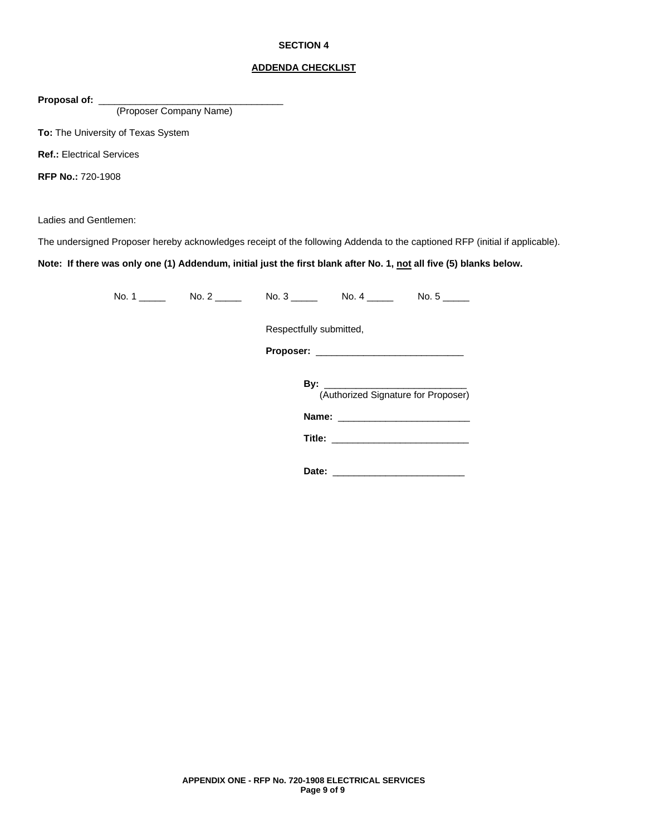#### **SECTION 4**

#### **ADDENDA CHECKLIST**

Proposal of: \_

(Proposer Company Name)

**To:** The University of Texas System

**Ref.:** Electrical Services

**RFP No.:** 720-1908

Ladies and Gentlemen:

The undersigned Proposer hereby acknowledges receipt of the following Addenda to the captioned RFP (initial if applicable).

**Note: If there was only one (1) Addendum, initial just the first blank after No. 1, not all five (5) blanks below.**

| No. $2 \overline{\phantom{a} \phantom{a}}$ | No. $3 \_$<br>No. 4 $\_\_\_\_\_\_\_\$ |
|--------------------------------------------|---------------------------------------|
|                                            | Respectfully submitted,               |
|                                            |                                       |
|                                            | (Authorized Signature for Proposer)   |
|                                            |                                       |
|                                            |                                       |
|                                            |                                       |

**Date:** \_\_\_\_\_\_\_\_\_\_\_\_\_\_\_\_\_\_\_\_\_\_\_\_\_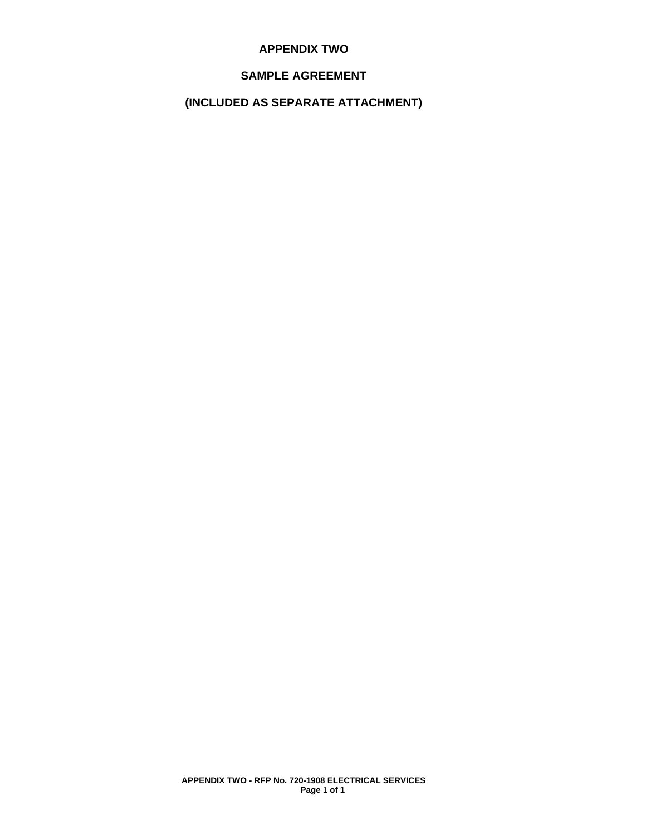## **APPENDIX TWO**

## **SAMPLE AGREEMENT**

# **(INCLUDED AS SEPARATE ATTACHMENT)**

**APPENDIX TWO - RFP No. 720-1908 ELECTRICAL SERVICES Page** 1 **of 1**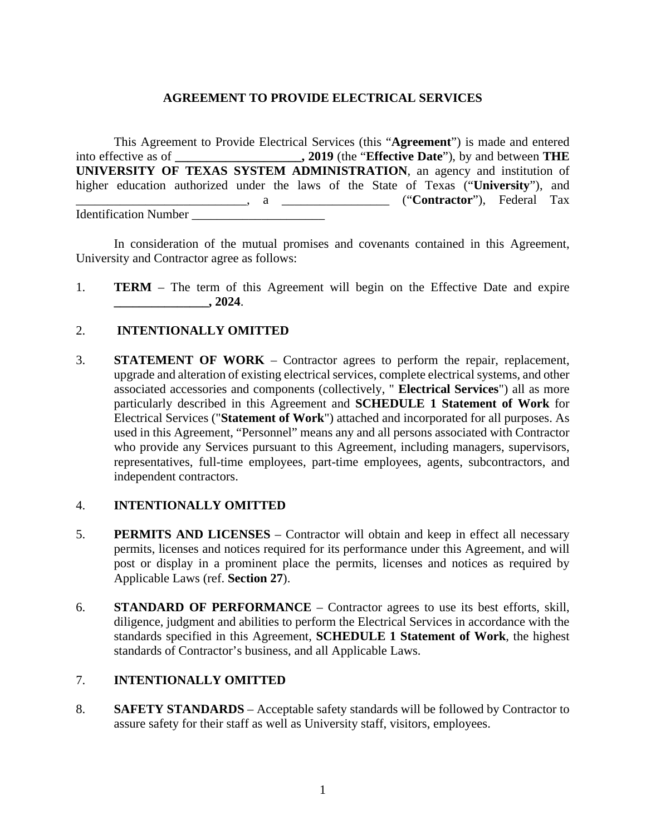## **AGREEMENT TO PROVIDE ELECTRICAL SERVICES**

This Agreement to Provide Electrical Services (this "**Agreement**") is made and entered into effective as of **\_\_\_\_\_\_\_\_\_\_\_\_\_\_\_\_\_\_\_\_, 2019** (the "**Effective Date**"), by and between **THE UNIVERSITY OF TEXAS SYSTEM ADMINISTRATION**, an agency and institution of higher education authorized under the laws of the State of Texas ("**University**"), and \_\_\_\_\_\_\_\_\_\_\_\_\_\_\_\_\_\_\_\_\_\_\_\_\_\_\_, a \_\_\_\_\_\_\_\_\_\_\_\_\_\_\_\_\_ ("**Contractor**"), Federal Tax Identification Number \_\_\_\_\_\_\_\_\_\_\_\_\_\_\_\_\_\_\_\_\_

In consideration of the mutual promises and covenants contained in this Agreement, University and Contractor agree as follows:

1. **TERM** – The term of this Agreement will begin on the Effective Date and expire **\_\_\_\_\_\_\_\_\_\_\_\_\_\_\_, 2024**.

## 2. **INTENTIONALLY OMITTED**

3. **STATEMENT OF WORK** – Contractor agrees to perform the repair, replacement, upgrade and alteration of existing electrical services, complete electrical systems, and other associated accessories and components (collectively, " **Electrical Services**") all as more particularly described in this Agreement and **SCHEDULE 1 Statement of Work** for Electrical Services ("**Statement of Work**") attached and incorporated for all purposes. As used in this Agreement, "Personnel" means any and all persons associated with Contractor who provide any Services pursuant to this Agreement, including managers, supervisors, representatives, full-time employees, part-time employees, agents, subcontractors, and independent contractors.

## 4. **INTENTIONALLY OMITTED**

- 5. **PERMITS AND LICENSES** Contractor will obtain and keep in effect all necessary permits, licenses and notices required for its performance under this Agreement, and will post or display in a prominent place the permits, licenses and notices as required by Applicable Laws (ref. **Section 27**).
- 6. **STANDARD OF PERFORMANCE** Contractor agrees to use its best efforts, skill, diligence, judgment and abilities to perform the Electrical Services in accordance with the standards specified in this Agreement, **SCHEDULE 1 Statement of Work**, the highest standards of Contractor's business, and all Applicable Laws.

## 7. **INTENTIONALLY OMITTED**

8. **SAFETY STANDARDS** – Acceptable safety standards will be followed by Contractor to assure safety for their staff as well as University staff, visitors, employees.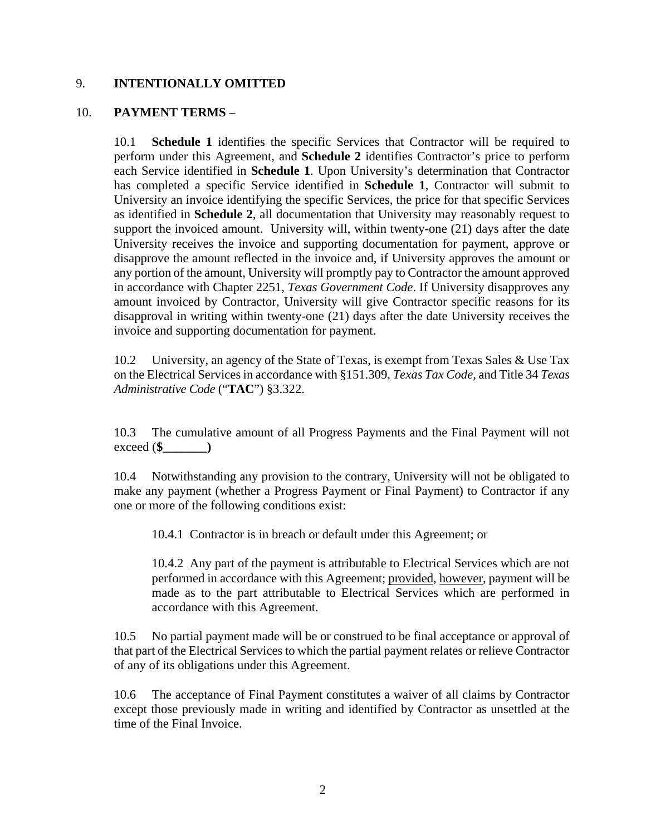## 9. **INTENTIONALLY OMITTED**

## 10. **PAYMENT TERMS** –

10.1 **Schedule 1** identifies the specific Services that Contractor will be required to perform under this Agreement, and **Schedule 2** identifies Contractor's price to perform each Service identified in **Schedule 1**. Upon University's determination that Contractor has completed a specific Service identified in **Schedule 1**, Contractor will submit to University an invoice identifying the specific Services, the price for that specific Services as identified in **Schedule 2**, all documentation that University may reasonably request to support the invoiced amount. University will, within twenty-one (21) days after the date University receives the invoice and supporting documentation for payment, approve or disapprove the amount reflected in the invoice and, if University approves the amount or any portion of the amount, University will promptly pay to Contractor the amount approved in accordance with Chapter 2251, *Texas Government Code*. If University disapproves any amount invoiced by Contractor, University will give Contractor specific reasons for its disapproval in writing within twenty-one (21) days after the date University receives the invoice and supporting documentation for payment.

10.2 University, an agency of the State of Texas, is exempt from Texas Sales & Use Tax on the Electrical Servicesin accordance with §151.309, *Texas Tax Code,* and Title 34 *Texas Administrative Code* ("**TAC**") §3.322.

10.3 The cumulative amount of all Progress Payments and the Final Payment will not exceed (**\$\_\_\_\_\_\_\_)**

10.4 Notwithstanding any provision to the contrary, University will not be obligated to make any payment (whether a Progress Payment or Final Payment) to Contractor if any one or more of the following conditions exist:

10.4.1 Contractor is in breach or default under this Agreement; or

10.4.2 Any part of the payment is attributable to Electrical Services which are not performed in accordance with this Agreement; provided, however, payment will be made as to the part attributable to Electrical Services which are performed in accordance with this Agreement.

10.5 No partial payment made will be or construed to be final acceptance or approval of that part of the Electrical Services to which the partial payment relates or relieve Contractor of any of its obligations under this Agreement.

10.6 The acceptance of Final Payment constitutes a waiver of all claims by Contractor except those previously made in writing and identified by Contractor as unsettled at the time of the Final Invoice.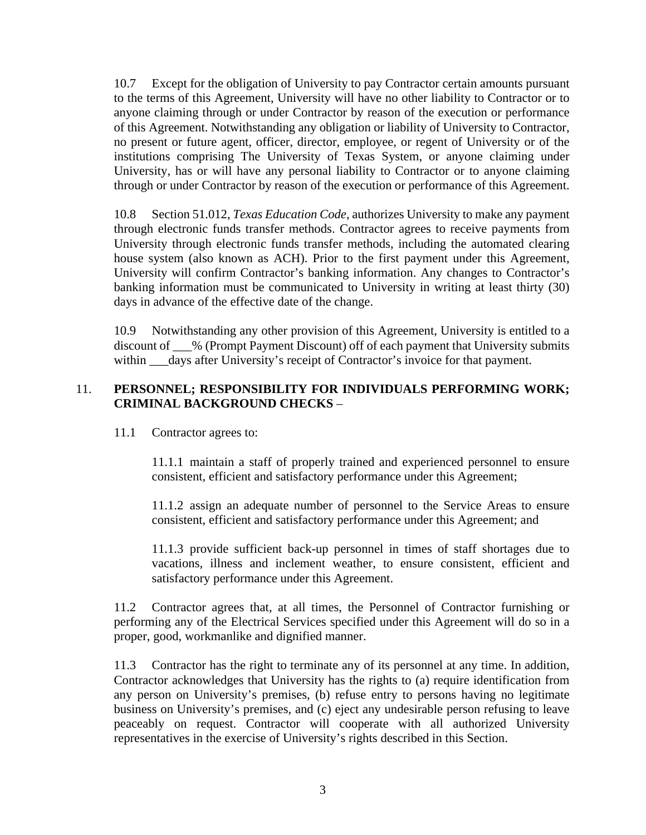10.7 Except for the obligation of University to pay Contractor certain amounts pursuant to the terms of this Agreement, University will have no other liability to Contractor or to anyone claiming through or under Contractor by reason of the execution or performance of this Agreement. Notwithstanding any obligation or liability of University to Contractor, no present or future agent, officer, director, employee, or regent of University or of the institutions comprising The University of Texas System, or anyone claiming under University, has or will have any personal liability to Contractor or to anyone claiming through or under Contractor by reason of the execution or performance of this Agreement.

10.8 Section 51.012, *Texas Education Code*, authorizes University to make any payment through electronic funds transfer methods. Contractor agrees to receive payments from University through electronic funds transfer methods, including the automated clearing house system (also known as ACH). Prior to the first payment under this Agreement, University will confirm Contractor's banking information. Any changes to Contractor's banking information must be communicated to University in writing at least thirty (30) days in advance of the effective date of the change.

10.9 Notwithstanding any other provision of this Agreement, University is entitled to a discount of \_\_\_% (Prompt Payment Discount) off of each payment that University submits within \_\_\_days after University's receipt of Contractor's invoice for that payment.

## 11. **PERSONNEL; RESPONSIBILITY FOR INDIVIDUALS PERFORMING WORK; CRIMINAL BACKGROUND CHECKS** –

11.1 Contractor agrees to:

11.1.1 maintain a staff of properly trained and experienced personnel to ensure consistent, efficient and satisfactory performance under this Agreement;

11.1.2 assign an adequate number of personnel to the Service Areas to ensure consistent, efficient and satisfactory performance under this Agreement; and

11.1.3 provide sufficient back-up personnel in times of staff shortages due to vacations, illness and inclement weather, to ensure consistent, efficient and satisfactory performance under this Agreement.

11.2 Contractor agrees that, at all times, the Personnel of Contractor furnishing or performing any of the Electrical Services specified under this Agreement will do so in a proper, good, workmanlike and dignified manner.

11.3 Contractor has the right to terminate any of its personnel at any time. In addition, Contractor acknowledges that University has the rights to (a) require identification from any person on University's premises, (b) refuse entry to persons having no legitimate business on University's premises, and (c) eject any undesirable person refusing to leave peaceably on request. Contractor will cooperate with all authorized University representatives in the exercise of University's rights described in this Section.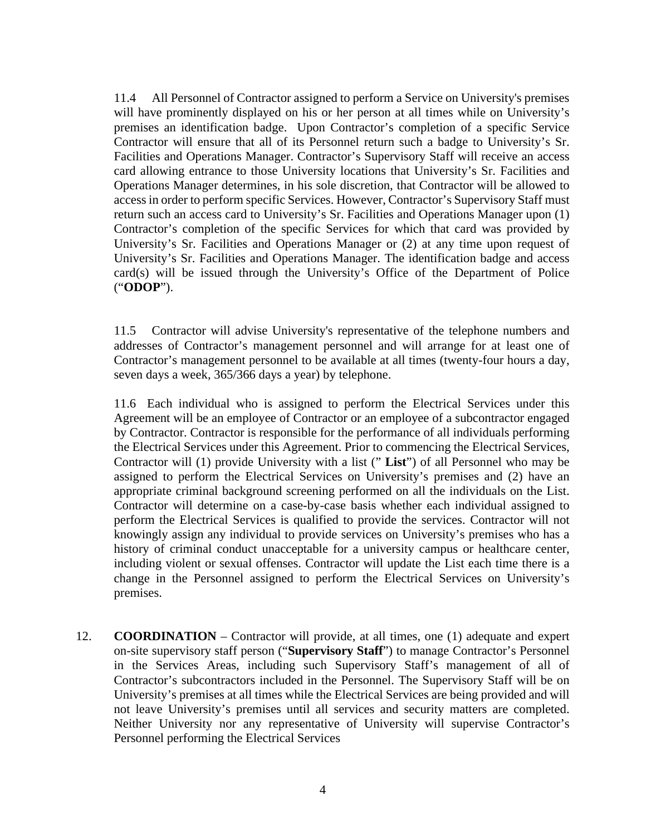11.4 All Personnel of Contractor assigned to perform a Service on University's premises will have prominently displayed on his or her person at all times while on University's premises an identification badge. Upon Contractor's completion of a specific Service Contractor will ensure that all of its Personnel return such a badge to University's Sr. Facilities and Operations Manager. Contractor's Supervisory Staff will receive an access card allowing entrance to those University locations that University's Sr. Facilities and Operations Manager determines, in his sole discretion, that Contractor will be allowed to access in order to perform specific Services. However, Contractor's Supervisory Staff must return such an access card to University's Sr. Facilities and Operations Manager upon (1) Contractor's completion of the specific Services for which that card was provided by University's Sr. Facilities and Operations Manager or (2) at any time upon request of University's Sr. Facilities and Operations Manager. The identification badge and access card(s) will be issued through the University's Office of the Department of Police ("**ODOP**").

11.5 Contractor will advise University's representative of the telephone numbers and addresses of Contractor's management personnel and will arrange for at least one of Contractor's management personnel to be available at all times (twenty-four hours a day, seven days a week, 365/366 days a year) by telephone.

11.6 Each individual who is assigned to perform the Electrical Services under this Agreement will be an employee of Contractor or an employee of a subcontractor engaged by Contractor. Contractor is responsible for the performance of all individuals performing the Electrical Services under this Agreement. Prior to commencing the Electrical Services, Contractor will (1) provide University with a list (" **List**") of all Personnel who may be assigned to perform the Electrical Services on University's premises and (2) have an appropriate criminal background screening performed on all the individuals on the List. Contractor will determine on a case-by-case basis whether each individual assigned to perform the Electrical Services is qualified to provide the services. Contractor will not knowingly assign any individual to provide services on University's premises who has a history of criminal conduct unacceptable for a university campus or healthcare center, including violent or sexual offenses. Contractor will update the List each time there is a change in the Personnel assigned to perform the Electrical Services on University's premises.

12. **COORDINATION** – Contractor will provide, at all times, one (1) adequate and expert on-site supervisory staff person ("**Supervisory Staff**") to manage Contractor's Personnel in the Services Areas, including such Supervisory Staff's management of all of Contractor's subcontractors included in the Personnel. The Supervisory Staff will be on University's premises at all times while the Electrical Services are being provided and will not leave University's premises until all services and security matters are completed. Neither University nor any representative of University will supervise Contractor's Personnel performing the Electrical Services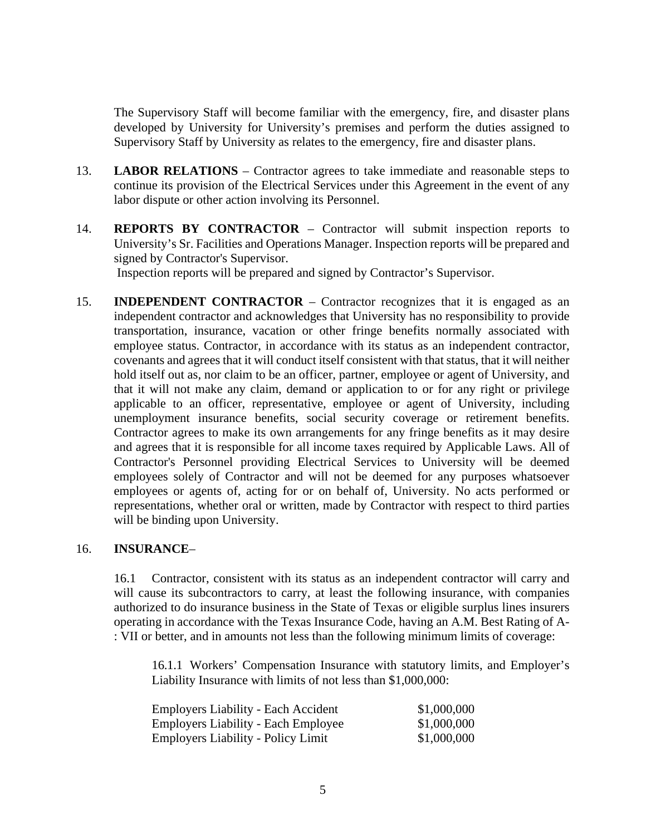The Supervisory Staff will become familiar with the emergency, fire, and disaster plans developed by University for University's premises and perform the duties assigned to Supervisory Staff by University as relates to the emergency, fire and disaster plans.

- 13. **LABOR RELATIONS** Contractor agrees to take immediate and reasonable steps to continue its provision of the Electrical Services under this Agreement in the event of any labor dispute or other action involving its Personnel.
- 14. **REPORTS BY CONTRACTOR** Contractor will submit inspection reports to University's Sr. Facilities and Operations Manager. Inspection reports will be prepared and signed by Contractor's Supervisor. Inspection reports will be prepared and signed by Contractor's Supervisor.
- 15. **INDEPENDENT CONTRACTOR** Contractor recognizes that it is engaged as an independent contractor and acknowledges that University has no responsibility to provide transportation, insurance, vacation or other fringe benefits normally associated with employee status. Contractor, in accordance with its status as an independent contractor, covenants and agrees that it will conduct itself consistent with that status, that it will neither hold itself out as, nor claim to be an officer, partner, employee or agent of University, and that it will not make any claim, demand or application to or for any right or privilege applicable to an officer, representative, employee or agent of University, including unemployment insurance benefits, social security coverage or retirement benefits. Contractor agrees to make its own arrangements for any fringe benefits as it may desire and agrees that it is responsible for all income taxes required by Applicable Laws. All of Contractor's Personnel providing Electrical Services to University will be deemed employees solely of Contractor and will not be deemed for any purposes whatsoever employees or agents of, acting for or on behalf of, University. No acts performed or representations, whether oral or written, made by Contractor with respect to third parties will be binding upon University.

## 16. **INSURANCE**–

16.1 Contractor, consistent with its status as an independent contractor will carry and will cause its subcontractors to carry, at least the following insurance, with companies authorized to do insurance business in the State of Texas or eligible surplus lines insurers operating in accordance with the Texas Insurance Code, having an A.M. Best Rating of A- : VII or better, and in amounts not less than the following minimum limits of coverage:

16.1.1 Workers' Compensation Insurance with statutory limits, and Employer's Liability Insurance with limits of not less than \$1,000,000:

| Employers Liability - Each Accident       | \$1,000,000 |
|-------------------------------------------|-------------|
| Employers Liability - Each Employee       | \$1,000,000 |
| <b>Employers Liability - Policy Limit</b> | \$1,000,000 |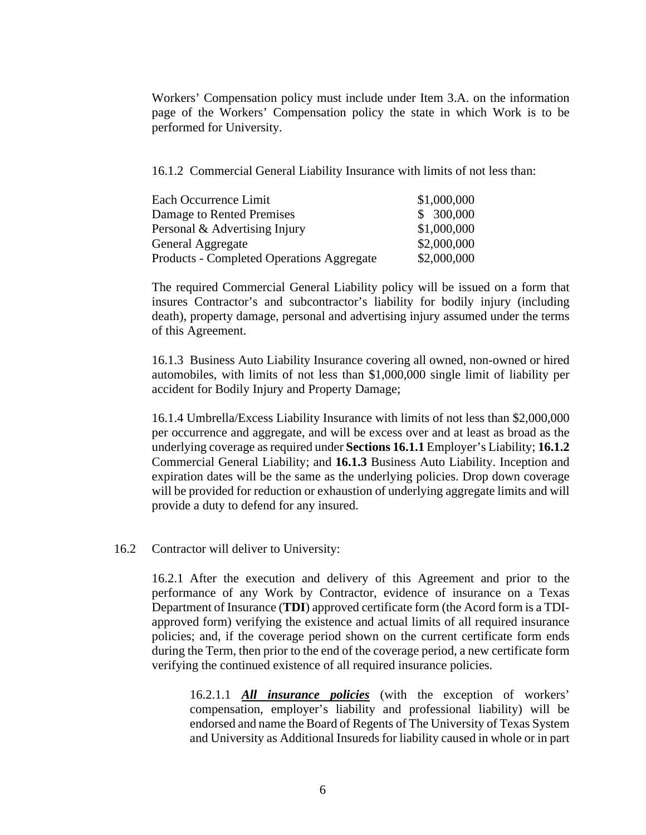Workers' Compensation policy must include under Item 3.A. on the information page of the Workers' Compensation policy the state in which Work is to be performed for University.

16.1.2 Commercial General Liability Insurance with limits of not less than:

| Each Occurrence Limit                            | \$1,000,000 |
|--------------------------------------------------|-------------|
| Damage to Rented Premises                        | \$300,000   |
| Personal & Advertising Injury                    | \$1,000,000 |
| General Aggregate                                | \$2,000,000 |
| <b>Products - Completed Operations Aggregate</b> | \$2,000,000 |

The required Commercial General Liability policy will be issued on a form that insures Contractor's and subcontractor's liability for bodily injury (including death), property damage, personal and advertising injury assumed under the terms of this Agreement.

16.1.3 Business Auto Liability Insurance covering all owned, non-owned or hired automobiles, with limits of not less than \$1,000,000 single limit of liability per accident for Bodily Injury and Property Damage;

16.1.4 Umbrella/Excess Liability Insurance with limits of not less than \$2,000,000 per occurrence and aggregate, and will be excess over and at least as broad as the underlying coverage as required under **Sections 16.1.1** Employer's Liability; **16.1.2** Commercial General Liability; and **16.1.3** Business Auto Liability. Inception and expiration dates will be the same as the underlying policies. Drop down coverage will be provided for reduction or exhaustion of underlying aggregate limits and will provide a duty to defend for any insured.

16.2 Contractor will deliver to University:

16.2.1 After the execution and delivery of this Agreement and prior to the performance of any Work by Contractor, evidence of insurance on a Texas Department of Insurance (**TDI**) approved certificate form (the Acord form is a TDIapproved form) verifying the existence and actual limits of all required insurance policies; and, if the coverage period shown on the current certificate form ends during the Term, then prior to the end of the coverage period, a new certificate form verifying the continued existence of all required insurance policies.

16.2.1.1 *All insurance policies* (with the exception of workers' compensation, employer's liability and professional liability) will be endorsed and name the Board of Regents of The University of Texas System and University as Additional Insureds for liability caused in whole or in part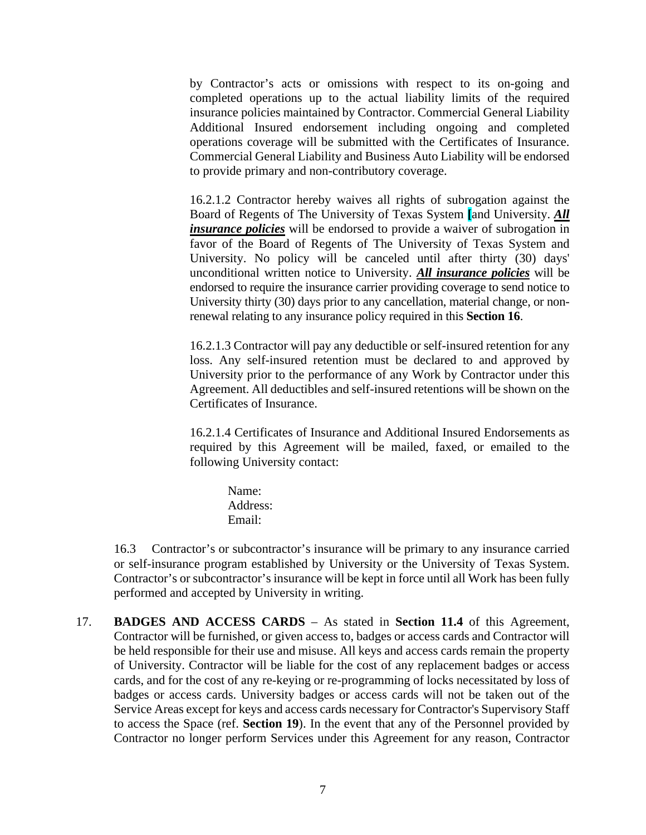by Contractor's acts or omissions with respect to its on-going and completed operations up to the actual liability limits of the required insurance policies maintained by Contractor. Commercial General Liability Additional Insured endorsement including ongoing and completed operations coverage will be submitted with the Certificates of Insurance. Commercial General Liability and Business Auto Liability will be endorsed to provide primary and non-contributory coverage.

16.2.1.2 Contractor hereby waives all rights of subrogation against the Board of Regents of The University of Texas System **[**and University. *All insurance policies* will be endorsed to provide a waiver of subrogation in favor of the Board of Regents of The University of Texas System and University. No policy will be canceled until after thirty (30) days' unconditional written notice to University. *All insurance policies* will be endorsed to require the insurance carrier providing coverage to send notice to University thirty (30) days prior to any cancellation, material change, or nonrenewal relating to any insurance policy required in this **Section 16**.

16.2.1.3 Contractor will pay any deductible or self-insured retention for any loss. Any self-insured retention must be declared to and approved by University prior to the performance of any Work by Contractor under this Agreement. All deductibles and self-insured retentions will be shown on the Certificates of Insurance.

16.2.1.4 Certificates of Insurance and Additional Insured Endorsements as required by this Agreement will be mailed, faxed, or emailed to the following University contact:

> Name: Address: Email:

16.3 Contractor's or subcontractor's insurance will be primary to any insurance carried or self-insurance program established by University or the University of Texas System. Contractor's or subcontractor's insurance will be kept in force until all Work has been fully performed and accepted by University in writing.

17. **BADGES AND ACCESS CARDS** – As stated in **Section 11.4** of this Agreement, Contractor will be furnished, or given access to, badges or access cards and Contractor will be held responsible for their use and misuse. All keys and access cards remain the property of University. Contractor will be liable for the cost of any replacement badges or access cards, and for the cost of any re-keying or re-programming of locks necessitated by loss of badges or access cards. University badges or access cards will not be taken out of the Service Areas except for keys and access cards necessary for Contractor's Supervisory Staff to access the Space (ref. **Section 19**). In the event that any of the Personnel provided by Contractor no longer perform Services under this Agreement for any reason, Contractor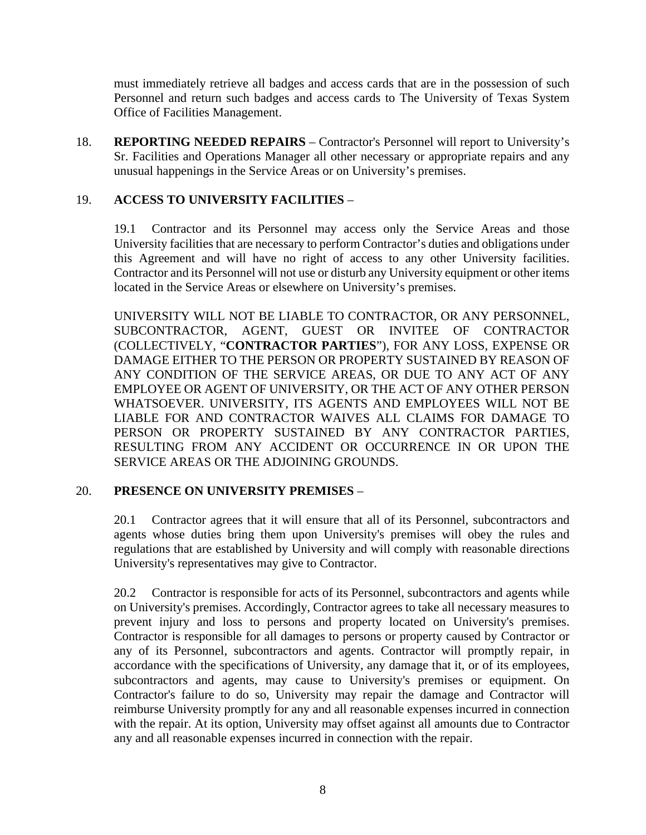must immediately retrieve all badges and access cards that are in the possession of such Personnel and return such badges and access cards to The University of Texas System Office of Facilities Management.

18. **REPORTING NEEDED REPAIRS** – Contractor's Personnel will report to University's Sr. Facilities and Operations Manager all other necessary or appropriate repairs and any unusual happenings in the Service Areas or on University's premises.

## 19. **ACCESS TO UNIVERSITY FACILITIES** –

19.1 Contractor and its Personnel may access only the Service Areas and those University facilities that are necessary to perform Contractor's duties and obligations under this Agreement and will have no right of access to any other University facilities. Contractor and its Personnel will not use or disturb any University equipment or other items located in the Service Areas or elsewhere on University's premises.

UNIVERSITY WILL NOT BE LIABLE TO CONTRACTOR, OR ANY PERSONNEL, SUBCONTRACTOR, AGENT, GUEST OR INVITEE OF CONTRACTOR (COLLECTIVELY, "**CONTRACTOR PARTIES**"), FOR ANY LOSS, EXPENSE OR DAMAGE EITHER TO THE PERSON OR PROPERTY SUSTAINED BY REASON OF ANY CONDITION OF THE SERVICE AREAS, OR DUE TO ANY ACT OF ANY EMPLOYEE OR AGENT OF UNIVERSITY, OR THE ACT OF ANY OTHER PERSON WHATSOEVER. UNIVERSITY, ITS AGENTS AND EMPLOYEES WILL NOT BE LIABLE FOR AND CONTRACTOR WAIVES ALL CLAIMS FOR DAMAGE TO PERSON OR PROPERTY SUSTAINED BY ANY CONTRACTOR PARTIES, RESULTING FROM ANY ACCIDENT OR OCCURRENCE IN OR UPON THE SERVICE AREAS OR THE ADJOINING GROUNDS.

## 20. **PRESENCE ON UNIVERSITY PREMISES** –

20.1 Contractor agrees that it will ensure that all of its Personnel, subcontractors and agents whose duties bring them upon University's premises will obey the rules and regulations that are established by University and will comply with reasonable directions University's representatives may give to Contractor.

20.2 Contractor is responsible for acts of its Personnel, subcontractors and agents while on University's premises. Accordingly, Contractor agrees to take all necessary measures to prevent injury and loss to persons and property located on University's premises. Contractor is responsible for all damages to persons or property caused by Contractor or any of its Personnel, subcontractors and agents. Contractor will promptly repair, in accordance with the specifications of University, any damage that it, or of its employees, subcontractors and agents, may cause to University's premises or equipment. On Contractor's failure to do so, University may repair the damage and Contractor will reimburse University promptly for any and all reasonable expenses incurred in connection with the repair. At its option, University may offset against all amounts due to Contractor any and all reasonable expenses incurred in connection with the repair.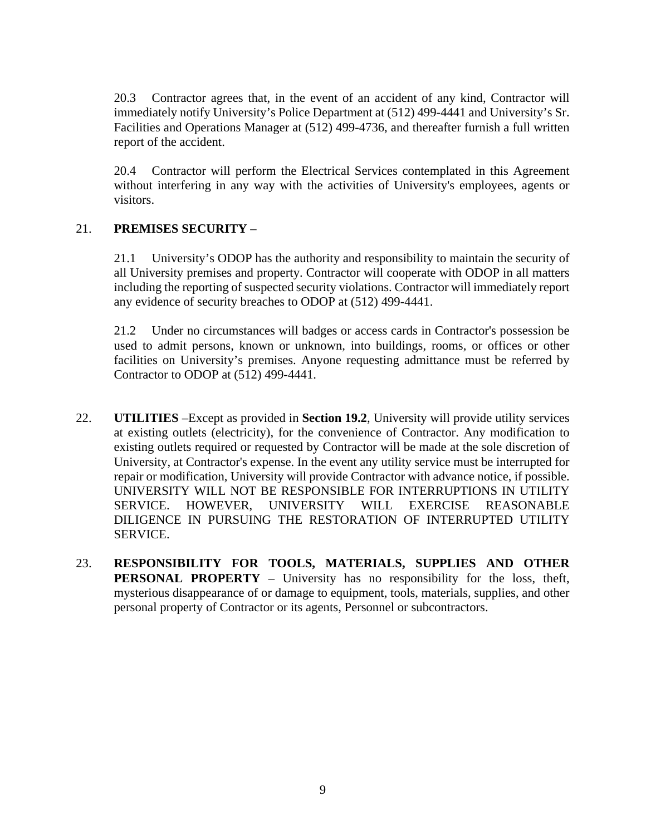20.3 Contractor agrees that, in the event of an accident of any kind, Contractor will immediately notify University's Police Department at (512) 499-4441 and University's Sr. Facilities and Operations Manager at (512) 499-4736, and thereafter furnish a full written report of the accident.

20.4 Contractor will perform the Electrical Services contemplated in this Agreement without interfering in any way with the activities of University's employees, agents or visitors.

## 21. **PREMISES SECURITY** –

21.1 University's ODOP has the authority and responsibility to maintain the security of all University premises and property. Contractor will cooperate with ODOP in all matters including the reporting of suspected security violations. Contractor will immediately report any evidence of security breaches to ODOP at (512) 499-4441.

21.2 Under no circumstances will badges or access cards in Contractor's possession be used to admit persons, known or unknown, into buildings, rooms, or offices or other facilities on University's premises. Anyone requesting admittance must be referred by Contractor to ODOP at (512) 499-4441.

- 22. **UTILITIES** –Except as provided in **Section 19.2**, University will provide utility services at existing outlets (electricity), for the convenience of Contractor. Any modification to existing outlets required or requested by Contractor will be made at the sole discretion of University, at Contractor's expense. In the event any utility service must be interrupted for repair or modification, University will provide Contractor with advance notice, if possible. UNIVERSITY WILL NOT BE RESPONSIBLE FOR INTERRUPTIONS IN UTILITY SERVICE. HOWEVER, UNIVERSITY WILL EXERCISE REASONABLE DILIGENCE IN PURSUING THE RESTORATION OF INTERRUPTED UTILITY SERVICE.
- 23. **RESPONSIBILITY FOR TOOLS, MATERIALS, SUPPLIES AND OTHER PERSONAL PROPERTY** – University has no responsibility for the loss, theft, mysterious disappearance of or damage to equipment, tools, materials, supplies, and other personal property of Contractor or its agents, Personnel or subcontractors.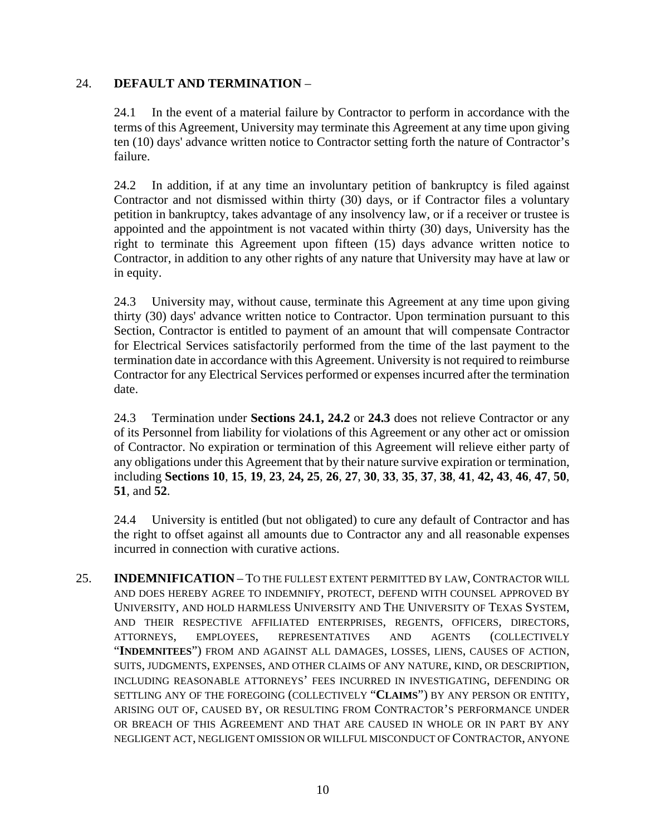## 24. **DEFAULT AND TERMINATION** –

24.1 In the event of a material failure by Contractor to perform in accordance with the terms of this Agreement, University may terminate this Agreement at any time upon giving ten (10) days' advance written notice to Contractor setting forth the nature of Contractor's failure.

24.2 In addition, if at any time an involuntary petition of bankruptcy is filed against Contractor and not dismissed within thirty (30) days, or if Contractor files a voluntary petition in bankruptcy, takes advantage of any insolvency law, or if a receiver or trustee is appointed and the appointment is not vacated within thirty (30) days, University has the right to terminate this Agreement upon fifteen (15) days advance written notice to Contractor, in addition to any other rights of any nature that University may have at law or in equity.

24.3 University may, without cause, terminate this Agreement at any time upon giving thirty (30) days' advance written notice to Contractor. Upon termination pursuant to this Section, Contractor is entitled to payment of an amount that will compensate Contractor for Electrical Services satisfactorily performed from the time of the last payment to the termination date in accordance with this Agreement. University is not required to reimburse Contractor for any Electrical Services performed or expenses incurred after the termination date.

24.3 Termination under **Sections 24.1, 24.2** or **24.3** does not relieve Contractor or any of its Personnel from liability for violations of this Agreement or any other act or omission of Contractor. No expiration or termination of this Agreement will relieve either party of any obligations under this Agreement that by their nature survive expiration or termination, including **Sections 10**, **15**, **19**, **23**, **24, 25**, **26**, **27**, **30**, **33**, **35**, **37**, **38**, **41**, **42, 43**, **46**, **47**, **50**, **51**, and **52**.

24.4 University is entitled (but not obligated) to cure any default of Contractor and has the right to offset against all amounts due to Contractor any and all reasonable expenses incurred in connection with curative actions.

25. **INDEMNIFICATION** – TO THE FULLEST EXTENT PERMITTED BY LAW, CONTRACTOR WILL AND DOES HEREBY AGREE TO INDEMNIFY, PROTECT, DEFEND WITH COUNSEL APPROVED BY UNIVERSITY, AND HOLD HARMLESS UNIVERSITY AND THE UNIVERSITY OF TEXAS SYSTEM, AND THEIR RESPECTIVE AFFILIATED ENTERPRISES, REGENTS, OFFICERS, DIRECTORS, ATTORNEYS, EMPLOYEES, REPRESENTATIVES AND AGENTS (COLLECTIVELY "**INDEMNITEES**") FROM AND AGAINST ALL DAMAGES, LOSSES, LIENS, CAUSES OF ACTION, SUITS, JUDGMENTS, EXPENSES, AND OTHER CLAIMS OF ANY NATURE, KIND, OR DESCRIPTION, INCLUDING REASONABLE ATTORNEYS' FEES INCURRED IN INVESTIGATING, DEFENDING OR SETTLING ANY OF THE FOREGOING (COLLECTIVELY "**CLAIMS**") BY ANY PERSON OR ENTITY, ARISING OUT OF, CAUSED BY, OR RESULTING FROM CONTRACTOR'S PERFORMANCE UNDER OR BREACH OF THIS AGREEMENT AND THAT ARE CAUSED IN WHOLE OR IN PART BY ANY NEGLIGENT ACT, NEGLIGENT OMISSION OR WILLFUL MISCONDUCT OF CONTRACTOR, ANYONE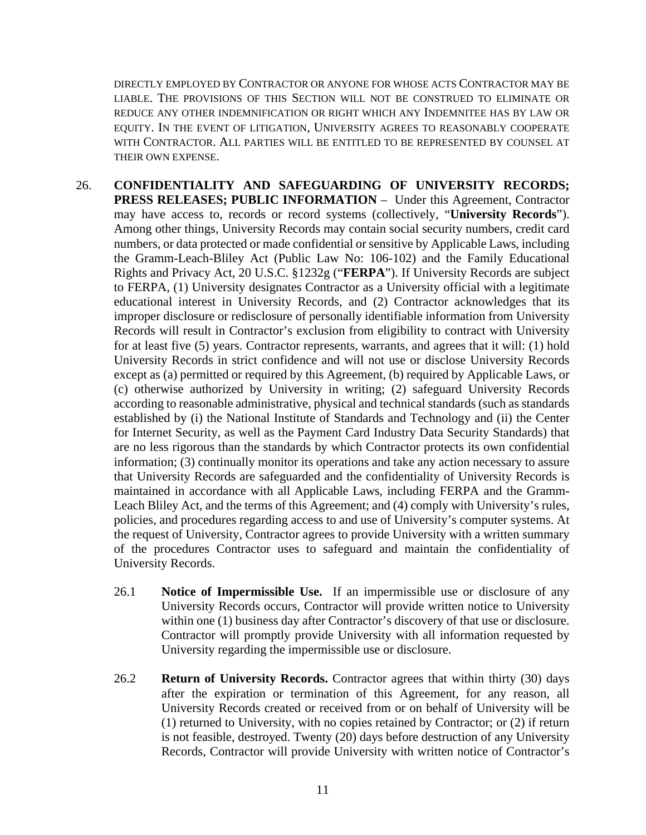DIRECTLY EMPLOYED BY CONTRACTOR OR ANYONE FOR WHOSE ACTS CONTRACTOR MAY BE LIABLE. THE PROVISIONS OF THIS SECTION WILL NOT BE CONSTRUED TO ELIMINATE OR REDUCE ANY OTHER INDEMNIFICATION OR RIGHT WHICH ANY INDEMNITEE HAS BY LAW OR EQUITY. IN THE EVENT OF LITIGATION, UNIVERSITY AGREES TO REASONABLY COOPERATE WITH CONTRACTOR. ALL PARTIES WILL BE ENTITLED TO BE REPRESENTED BY COUNSEL AT THEIR OWN EXPENSE.

- 26. **CONFIDENTIALITY AND SAFEGUARDING OF UNIVERSITY RECORDS; PRESS RELEASES; PUBLIC INFORMATION** – Under this Agreement, Contractor may have access to, records or record systems (collectively, "**University Records**"). Among other things, University Records may contain social security numbers, credit card numbers, or data protected or made confidential or sensitive by Applicable Laws, including the Gramm-Leach-Bliley Act (Public Law No: 106-102) and the Family Educational Rights and Privacy Act, 20 U.S.C. §1232g ("**FERPA**"). If University Records are subject to FERPA, (1) University designates Contractor as a University official with a legitimate educational interest in University Records, and (2) Contractor acknowledges that its improper disclosure or redisclosure of personally identifiable information from University Records will result in Contractor's exclusion from eligibility to contract with University for at least five (5) years. Contractor represents, warrants, and agrees that it will: (1) hold University Records in strict confidence and will not use or disclose University Records except as (a) permitted or required by this Agreement, (b) required by Applicable Laws, or (c) otherwise authorized by University in writing; (2) safeguard University Records according to reasonable administrative, physical and technical standards (such as standards established by (i) the National Institute of Standards and Technology and (ii) the Center for Internet Security, as well as the Payment Card Industry Data Security Standards) that are no less rigorous than the standards by which Contractor protects its own confidential information; (3) continually monitor its operations and take any action necessary to assure that University Records are safeguarded and the confidentiality of University Records is maintained in accordance with all Applicable Laws, including FERPA and the Gramm-Leach Bliley Act, and the terms of this Agreement; and (4) comply with University's rules, policies, and procedures regarding access to and use of University's computer systems. At the request of University, Contractor agrees to provide University with a written summary of the procedures Contractor uses to safeguard and maintain the confidentiality of University Records.
	- 26.1 **Notice of Impermissible Use.** If an impermissible use or disclosure of any University Records occurs, Contractor will provide written notice to University within one (1) business day after Contractor's discovery of that use or disclosure. Contractor will promptly provide University with all information requested by University regarding the impermissible use or disclosure.
	- 26.2 **Return of University Records.** Contractor agrees that within thirty (30) days after the expiration or termination of this Agreement, for any reason, all University Records created or received from or on behalf of University will be (1) returned to University, with no copies retained by Contractor; or (2) if return is not feasible, destroyed. Twenty (20) days before destruction of any University Records, Contractor will provide University with written notice of Contractor's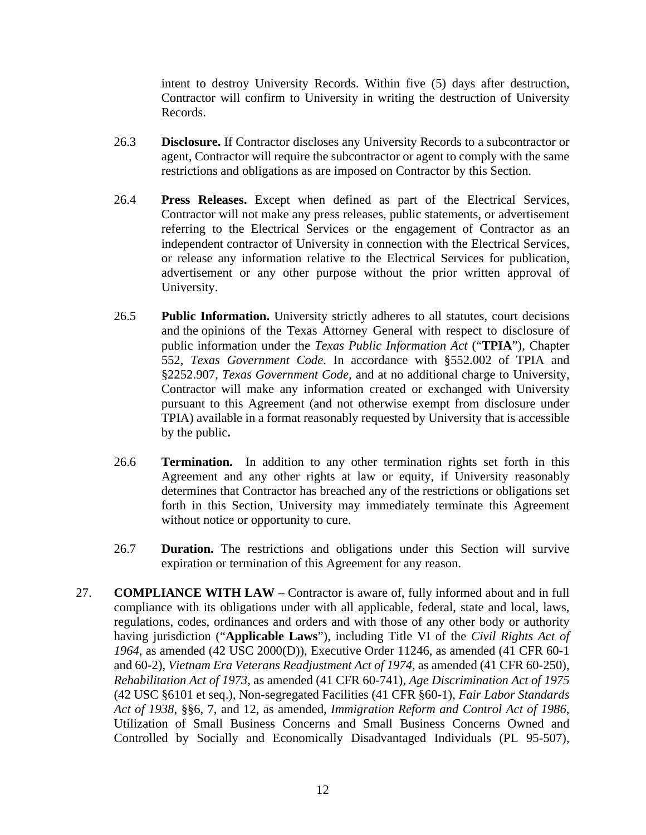intent to destroy University Records. Within five (5) days after destruction, Contractor will confirm to University in writing the destruction of University Records.

- 26.3 **Disclosure.** If Contractor discloses any University Records to a subcontractor or agent, Contractor will require the subcontractor or agent to comply with the same restrictions and obligations as are imposed on Contractor by this Section.
- 26.4 **Press Releases.** Except when defined as part of the Electrical Services, Contractor will not make any press releases, public statements, or advertisement referring to the Electrical Services or the engagement of Contractor as an independent contractor of University in connection with the Electrical Services, or release any information relative to the Electrical Services for publication, advertisement or any other purpose without the prior written approval of University.
- 26.5 **Public Information.** University strictly adheres to all statutes, court decisions and the opinions of the Texas Attorney General with respect to disclosure of public information under the *Texas Public Information Act* ("**TPIA**"), Chapter 552, *Texas Government Code*. In accordance with §552.002 of TPIA and §2252.907, *Texas Government Code*, and at no additional charge to University, Contractor will make any information created or exchanged with University pursuant to this Agreement (and not otherwise exempt from disclosure under TPIA) available in a format reasonably requested by University that is accessible by the public**.**
- 26.6 **Termination.** In addition to any other termination rights set forth in this Agreement and any other rights at law or equity, if University reasonably determines that Contractor has breached any of the restrictions or obligations set forth in this Section, University may immediately terminate this Agreement without notice or opportunity to cure.
- 26.7 **Duration.** The restrictions and obligations under this Section will survive expiration or termination of this Agreement for any reason.
- 27. **COMPLIANCE WITH LAW** Contractor is aware of, fully informed about and in full compliance with its obligations under with all applicable, federal, state and local, laws, regulations, codes, ordinances and orders and with those of any other body or authority having jurisdiction ("**Applicable Laws**"), including Title VI of the *Civil Rights Act of 1964*, as amended (42 USC 2000(D)), Executive Order 11246, as amended (41 CFR 60-1 and 60-2), *Vietnam Era Veterans Readjustment Act of 1974*, as amended (41 CFR 60-250), *Rehabilitation Act of 1973*, as amended (41 CFR 60-741), *Age Discrimination Act of 1975* (42 USC §6101 et seq.), Non-segregated Facilities (41 CFR §60-1), *Fair Labor Standards Act of 1938*, §§6, 7, and 12, as amended, *Immigration Reform and Control Act of 1986*, Utilization of Small Business Concerns and Small Business Concerns Owned and Controlled by Socially and Economically Disadvantaged Individuals (PL 95-507),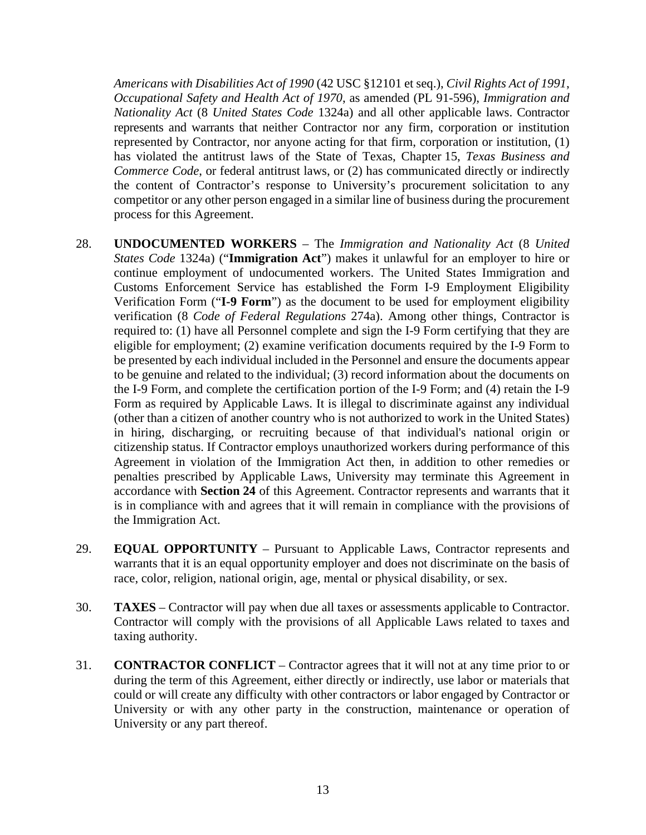*Americans with Disabilities Act of 1990* (42 USC §12101 et seq.), *Civil Rights Act of 1991*, *Occupational Safety and Health Act of 1970*, as amended (PL 91-596), *Immigration and Nationality Act* (8 *United States Code* 1324a) and all other applicable laws. Contractor represents and warrants that neither Contractor nor any firm, corporation or institution represented by Contractor, nor anyone acting for that firm, corporation or institution, (1) has violated the antitrust laws of the State of Texas, Chapter 15, *Texas Business and Commerce Code*, or federal antitrust laws, or (2) has communicated directly or indirectly the content of Contractor's response to University's procurement solicitation to any competitor or any other person engaged in a similar line of business during the procurement process for this Agreement.

- 28. **UNDOCUMENTED WORKERS** The *Immigration and Nationality Act* (8 *United States Code* 1324a) ("**Immigration Act**") makes it unlawful for an employer to hire or continue employment of undocumented workers. The United States Immigration and Customs Enforcement Service has established the Form I-9 Employment Eligibility Verification Form ("**I-9 Form**") as the document to be used for employment eligibility verification (8 *Code of Federal Regulations* 274a). Among other things, Contractor is required to: (1) have all Personnel complete and sign the I-9 Form certifying that they are eligible for employment; (2) examine verification documents required by the I-9 Form to be presented by each individual included in the Personnel and ensure the documents appear to be genuine and related to the individual; (3) record information about the documents on the I-9 Form, and complete the certification portion of the I-9 Form; and (4) retain the I-9 Form as required by Applicable Laws. It is illegal to discriminate against any individual (other than a citizen of another country who is not authorized to work in the United States) in hiring, discharging, or recruiting because of that individual's national origin or citizenship status. If Contractor employs unauthorized workers during performance of this Agreement in violation of the Immigration Act then, in addition to other remedies or penalties prescribed by Applicable Laws, University may terminate this Agreement in accordance with **Section 24** of this Agreement. Contractor represents and warrants that it is in compliance with and agrees that it will remain in compliance with the provisions of the Immigration Act.
- 29. **EQUAL OPPORTUNITY** Pursuant to Applicable Laws, Contractor represents and warrants that it is an equal opportunity employer and does not discriminate on the basis of race, color, religion, national origin, age, mental or physical disability, or sex.
- 30. **TAXES** Contractor will pay when due all taxes or assessments applicable to Contractor. Contractor will comply with the provisions of all Applicable Laws related to taxes and taxing authority.
- 31. **CONTRACTOR CONFLICT**  Contractor agrees that it will not at any time prior to or during the term of this Agreement, either directly or indirectly, use labor or materials that could or will create any difficulty with other contractors or labor engaged by Contractor or University or with any other party in the construction, maintenance or operation of University or any part thereof.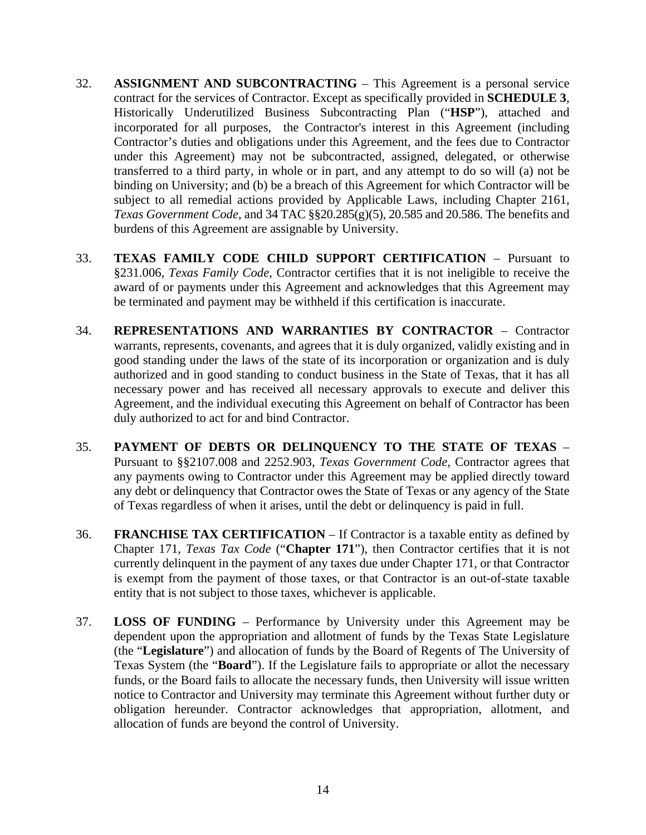- 32. **ASSIGNMENT AND SUBCONTRACTING** This Agreement is a personal service contract for the services of Contractor. Except as specifically provided in **SCHEDULE 3**, Historically Underutilized Business Subcontracting Plan ("**HSP**"), attached and incorporated for all purposes, the Contractor's interest in this Agreement (including Contractor's duties and obligations under this Agreement, and the fees due to Contractor under this Agreement) may not be subcontracted, assigned, delegated, or otherwise transferred to a third party, in whole or in part, and any attempt to do so will (a) not be binding on University; and (b) be a breach of this Agreement for which Contractor will be subject to all remedial actions provided by Applicable Laws, including Chapter 2161, *Texas Government Code*, and 34 TAC §§20.285(g)(5), 20.585 and 20.586. The benefits and burdens of this Agreement are assignable by University.
- 33. **TEXAS FAMILY CODE CHILD SUPPORT CERTIFICATION** Pursuant to §231.006, *Texas Family Code*, Contractor certifies that it is not ineligible to receive the award of or payments under this Agreement and acknowledges that this Agreement may be terminated and payment may be withheld if this certification is inaccurate.
- 34. **REPRESENTATIONS AND WARRANTIES BY CONTRACTOR** Contractor warrants, represents, covenants, and agrees that it is duly organized, validly existing and in good standing under the laws of the state of its incorporation or organization and is duly authorized and in good standing to conduct business in the State of Texas, that it has all necessary power and has received all necessary approvals to execute and deliver this Agreement, and the individual executing this Agreement on behalf of Contractor has been duly authorized to act for and bind Contractor.
- 35. **PAYMENT OF DEBTS OR DELINQUENCY TO THE STATE OF TEXAS** Pursuant to §§2107.008 and 2252.903, *Texas Government Code*, Contractor agrees that any payments owing to Contractor under this Agreement may be applied directly toward any debt or delinquency that Contractor owes the State of Texas or any agency of the State of Texas regardless of when it arises, until the debt or delinquency is paid in full.
- 36. **FRANCHISE TAX CERTIFICATION** If Contractor is a taxable entity as defined by Chapter 171, *Texas Tax Code* ("**Chapter 171**"), then Contractor certifies that it is not currently delinquent in the payment of any taxes due under Chapter 171, or that Contractor is exempt from the payment of those taxes, or that Contractor is an out-of-state taxable entity that is not subject to those taxes, whichever is applicable.
- 37. **LOSS OF FUNDING** Performance by University under this Agreement may be dependent upon the appropriation and allotment of funds by the Texas State Legislature (the "**Legislature**") and allocation of funds by the Board of Regents of The University of Texas System (the "**Board**"). If the Legislature fails to appropriate or allot the necessary funds, or the Board fails to allocate the necessary funds, then University will issue written notice to Contractor and University may terminate this Agreement without further duty or obligation hereunder. Contractor acknowledges that appropriation, allotment, and allocation of funds are beyond the control of University.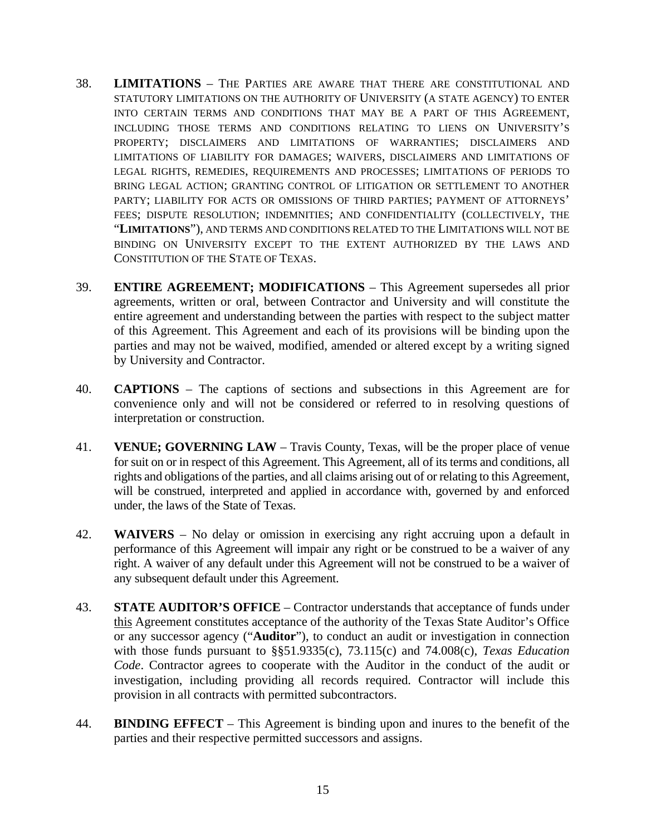- 38. **LIMITATIONS** THE PARTIES ARE AWARE THAT THERE ARE CONSTITUTIONAL AND STATUTORY LIMITATIONS ON THE AUTHORITY OF UNIVERSITY (A STATE AGENCY) TO ENTER INTO CERTAIN TERMS AND CONDITIONS THAT MAY BE A PART OF THIS AGREEMENT, INCLUDING THOSE TERMS AND CONDITIONS RELATING TO LIENS ON UNIVERSITY'S PROPERTY; DISCLAIMERS AND LIMITATIONS OF WARRANTIES; DISCLAIMERS AND LIMITATIONS OF LIABILITY FOR DAMAGES; WAIVERS, DISCLAIMERS AND LIMITATIONS OF LEGAL RIGHTS, REMEDIES, REQUIREMENTS AND PROCESSES; LIMITATIONS OF PERIODS TO BRING LEGAL ACTION; GRANTING CONTROL OF LITIGATION OR SETTLEMENT TO ANOTHER PARTY; LIABILITY FOR ACTS OR OMISSIONS OF THIRD PARTIES; PAYMENT OF ATTORNEYS' FEES; DISPUTE RESOLUTION; INDEMNITIES; AND CONFIDENTIALITY (COLLECTIVELY, THE "**LIMITATIONS**"), AND TERMS AND CONDITIONS RELATED TO THE LIMITATIONS WILL NOT BE BINDING ON UNIVERSITY EXCEPT TO THE EXTENT AUTHORIZED BY THE LAWS AND CONSTITUTION OF THE STATE OF TEXAS.
- 39. **ENTIRE AGREEMENT; MODIFICATIONS** This Agreement supersedes all prior agreements, written or oral, between Contractor and University and will constitute the entire agreement and understanding between the parties with respect to the subject matter of this Agreement. This Agreement and each of its provisions will be binding upon the parties and may not be waived, modified, amended or altered except by a writing signed by University and Contractor.
- 40. **CAPTIONS** The captions of sections and subsections in this Agreement are for convenience only and will not be considered or referred to in resolving questions of interpretation or construction.
- 41. **VENUE; GOVERNING LAW** Travis County, Texas, will be the proper place of venue for suit on or in respect of this Agreement. This Agreement, all of its terms and conditions, all rights and obligations of the parties, and all claims arising out of or relating to this Agreement, will be construed, interpreted and applied in accordance with, governed by and enforced under, the laws of the State of Texas.
- 42. **WAIVERS** No delay or omission in exercising any right accruing upon a default in performance of this Agreement will impair any right or be construed to be a waiver of any right. A waiver of any default under this Agreement will not be construed to be a waiver of any subsequent default under this Agreement.
- 43. **STATE AUDITOR'S OFFICE** Contractor understands that acceptance of funds under this Agreement constitutes acceptance of the authority of the Texas State Auditor's Office or any successor agency ("**Auditor**"), to conduct an audit or investigation in connection with those funds pursuant to §§51.9335(c), 73.115(c) and 74.008(c), *Texas Education Code*. Contractor agrees to cooperate with the Auditor in the conduct of the audit or investigation, including providing all records required. Contractor will include this provision in all contracts with permitted subcontractors.
- 44. **BINDING EFFECT** This Agreement is binding upon and inures to the benefit of the parties and their respective permitted successors and assigns.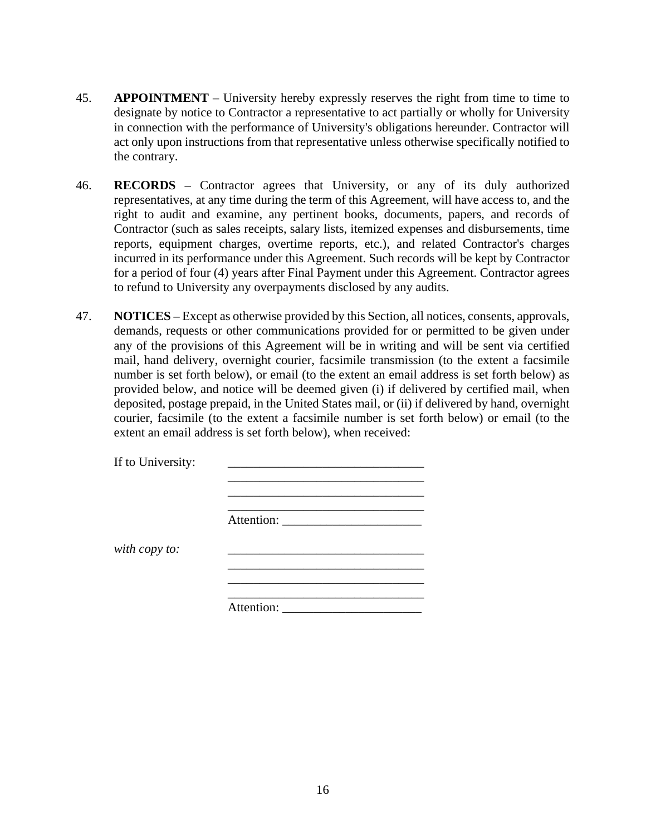- 45. **APPOINTMENT** University hereby expressly reserves the right from time to time to designate by notice to Contractor a representative to act partially or wholly for University in connection with the performance of University's obligations hereunder. Contractor will act only upon instructions from that representative unless otherwise specifically notified to the contrary.
- 46. **RECORDS** Contractor agrees that University, or any of its duly authorized representatives, at any time during the term of this Agreement, will have access to, and the right to audit and examine, any pertinent books, documents, papers, and records of Contractor (such as sales receipts, salary lists, itemized expenses and disbursements, time reports, equipment charges, overtime reports, etc.), and related Contractor's charges incurred in its performance under this Agreement. Such records will be kept by Contractor for a period of four (4) years after Final Payment under this Agreement. Contractor agrees to refund to University any overpayments disclosed by any audits.
- 47. **NOTICES**  Except as otherwise provided by this Section, all notices, consents, approvals, demands, requests or other communications provided for or permitted to be given under any of the provisions of this Agreement will be in writing and will be sent via certified mail, hand delivery, overnight courier, facsimile transmission (to the extent a facsimile number is set forth below), or email (to the extent an email address is set forth below) as provided below, and notice will be deemed given (i) if delivered by certified mail, when deposited, postage prepaid, in the United States mail, or (ii) if delivered by hand, overnight courier, facsimile (to the extent a facsimile number is set forth below) or email (to the extent an email address is set forth below), when received:

| If to University: |            |
|-------------------|------------|
|                   |            |
|                   |            |
|                   |            |
|                   |            |
|                   |            |
| with copy to:     |            |
|                   |            |
|                   |            |
|                   |            |
|                   | Attention: |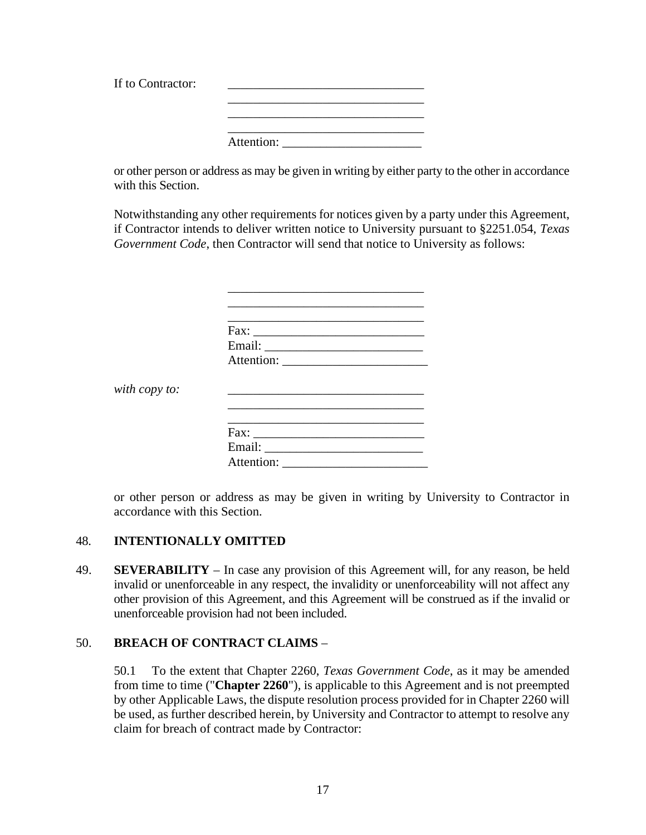| If to Contractor: |            |
|-------------------|------------|
|                   |            |
|                   |            |
|                   | Attention: |

or other person or address as may be given in writing by either party to the other in accordance with this Section.

Notwithstanding any other requirements for notices given by a party under this Agreement, if Contractor intends to deliver written notice to University pursuant to §2251.054, *Texas Government Code*, then Contractor will send that notice to University as follows:

|               | Fax:       |
|---------------|------------|
|               |            |
|               |            |
|               |            |
| with copy to: |            |
|               |            |
|               | Fax:       |
|               |            |
|               | Attention: |

or other person or address as may be given in writing by University to Contractor in accordance with this Section.

## 48. **INTENTIONALLY OMITTED**

49. **SEVERABILITY** – In case any provision of this Agreement will, for any reason, be held invalid or unenforceable in any respect, the invalidity or unenforceability will not affect any other provision of this Agreement, and this Agreement will be construed as if the invalid or unenforceable provision had not been included.

## 50. **BREACH OF CONTRACT CLAIMS** –

50.1 To the extent that Chapter 2260, *Texas Government Code*, as it may be amended from time to time ("**Chapter 2260**"), is applicable to this Agreement and is not preempted by other Applicable Laws, the dispute resolution process provided for in Chapter 2260 will be used, as further described herein, by University and Contractor to attempt to resolve any claim for breach of contract made by Contractor: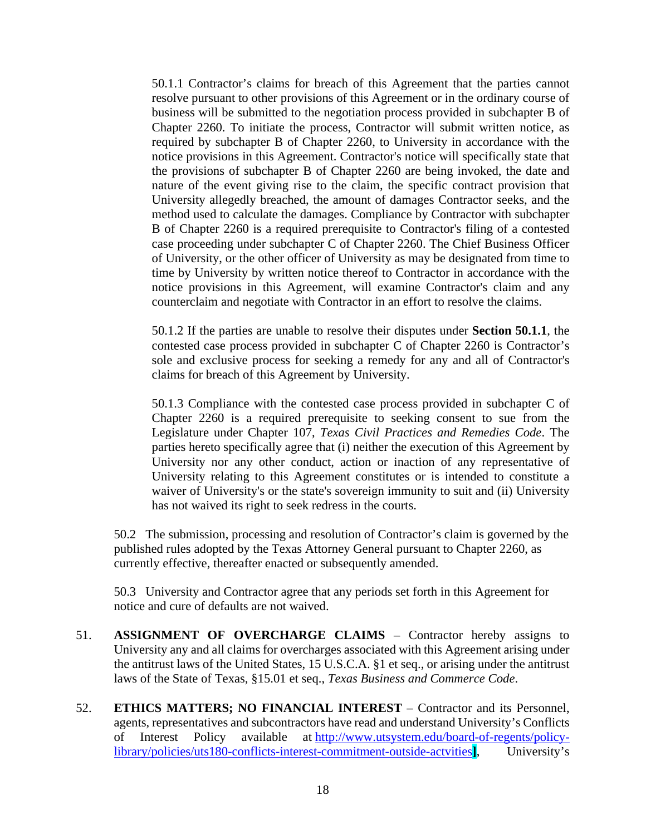50.1.1 Contractor's claims for breach of this Agreement that the parties cannot resolve pursuant to other provisions of this Agreement or in the ordinary course of business will be submitted to the negotiation process provided in subchapter B of Chapter 2260. To initiate the process, Contractor will submit written notice, as required by subchapter B of Chapter 2260, to University in accordance with the notice provisions in this Agreement. Contractor's notice will specifically state that the provisions of subchapter B of Chapter 2260 are being invoked, the date and nature of the event giving rise to the claim, the specific contract provision that University allegedly breached, the amount of damages Contractor seeks, and the method used to calculate the damages. Compliance by Contractor with subchapter B of Chapter 2260 is a required prerequisite to Contractor's filing of a contested case proceeding under subchapter C of Chapter 2260. The Chief Business Officer of University, or the other officer of University as may be designated from time to time by University by written notice thereof to Contractor in accordance with the notice provisions in this Agreement, will examine Contractor's claim and any counterclaim and negotiate with Contractor in an effort to resolve the claims.

50.1.2 If the parties are unable to resolve their disputes under **Section 50.1.1**, the contested case process provided in subchapter C of Chapter 2260 is Contractor's sole and exclusive process for seeking a remedy for any and all of Contractor's claims for breach of this Agreement by University.

50.1.3 Compliance with the contested case process provided in subchapter C of Chapter 2260 is a required prerequisite to seeking consent to sue from the Legislature under Chapter 107, *Texas Civil Practices and Remedies Code*. The parties hereto specifically agree that (i) neither the execution of this Agreement by University nor any other conduct, action or inaction of any representative of University relating to this Agreement constitutes or is intended to constitute a waiver of University's or the state's sovereign immunity to suit and (ii) University has not waived its right to seek redress in the courts.

50.2 The submission, processing and resolution of Contractor's claim is governed by the published rules adopted by the Texas Attorney General pursuant to Chapter 2260, as currently effective, thereafter enacted or subsequently amended.

50.3 University and Contractor agree that any periods set forth in this Agreement for notice and cure of defaults are not waived.

- 51. **ASSIGNMENT OF OVERCHARGE CLAIMS** Contractor hereby assigns to University any and all claims for overcharges associated with this Agreement arising under the antitrust laws of the United States, 15 U.S.C.A. §1 et seq., or arising under the antitrust laws of the State of Texas, §15.01 et seq., *Texas Business and Commerce Code*.
- 52. **ETHICS MATTERS; NO FINANCIAL INTEREST** Contractor and its Personnel, agents, representatives and subcontractors have read and understand University's Conflicts of Interest Policy available at [http://www.utsystem.edu/board-of-regents/policy](http://www.utsystem.edu/board-of-regents/policy-library/policies/uts180-conflicts-interest-commitment-outside-actvities)[library/policies/uts180-conflicts-interest-commitment-outside-actvities](http://www.utsystem.edu/board-of-regents/policy-library/policies/uts180-conflicts-interest-commitment-outside-actvities)**]**, University's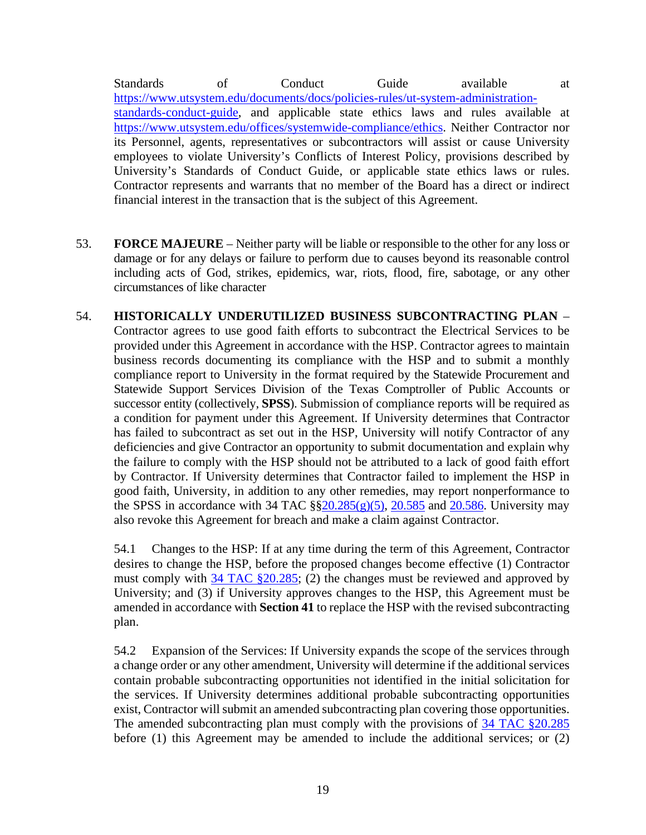Standards of Conduct Guide available at [https://www.utsystem.edu/documents/docs/policies-rules/ut-system-administration](https://www.utsystem.edu/documents/docs/policies-rules/ut-system-administration-standards-conduct-guide)[standards-conduct-guide,](https://www.utsystem.edu/documents/docs/policies-rules/ut-system-administration-standards-conduct-guide) and applicable state ethics laws and rules available at [https://www.utsystem.edu/offices/systemwide-compliance/ethics.](https://www.utsystem.edu/offices/systemwide-compliance/ethics) Neither Contractor nor its Personnel, agents, representatives or subcontractors will assist or cause University employees to violate University's Conflicts of Interest Policy, provisions described by University's Standards of Conduct Guide, or applicable state ethics laws or rules. Contractor represents and warrants that no member of the Board has a direct or indirect financial interest in the transaction that is the subject of this Agreement.

- 53. **FORCE MAJEURE**  Neither party will be liable or responsible to the other for any loss or damage or for any delays or failure to perform due to causes beyond its reasonable control including acts of God, strikes, epidemics, war, riots, flood, fire, sabotage, or any other circumstances of like character
- 54. **HISTORICALLY UNDERUTILIZED BUSINESS SUBCONTRACTING PLAN** Contractor agrees to use good faith efforts to subcontract the Electrical Services to be provided under this Agreement in accordance with the HSP. Contractor agrees to maintain business records documenting its compliance with the HSP and to submit a monthly compliance report to University in the format required by the Statewide Procurement and Statewide Support Services Division of the Texas Comptroller of Public Accounts or successor entity (collectively, **SPSS**). Submission of compliance reports will be required as a condition for payment under this Agreement. If University determines that Contractor has failed to subcontract as set out in the HSP, University will notify Contractor of any deficiencies and give Contractor an opportunity to submit documentation and explain why the failure to comply with the HSP should not be attributed to a lack of good faith effort by Contractor. If University determines that Contractor failed to implement the HSP in good faith, University, in addition to any other remedies, may report nonperformance to the SPSS in accordance with 34 TAC  $\S$  $\S$ 20.285(g)(5), [20.585](http://texreg.sos.state.tx.us/public/readtac$ext.TacPage?sl=R&app=9&p_dir=&p_rloc=&p_tloc=&p_ploc=&pg=1&p_tac=&ti=34&pt=1&ch=20&rl=585) and [20.586.](http://texreg.sos.state.tx.us/public/readtac$ext.TacPage?sl=R&app=9&p_dir=&p_rloc=&p_tloc=&p_ploc=&pg=1&p_tac=&ti=34&pt=1&ch=20&rl=586) University may also revoke this Agreement for breach and make a claim against Contractor.

54.1 Changes to the HSP: If at any time during the term of this Agreement, Contractor desires to change the HSP, before the proposed changes become effective (1) Contractor must comply with 34 [TAC §20.285;](http://texreg.sos.state.tx.us/public/readtac$ext.TacPage?sl=R&app=9&p_dir=&p_rloc=&p_tloc=&p_ploc=&pg=1&p_tac=&ti=34&pt=1&ch=20&rl=285) (2) the changes must be reviewed and approved by University; and (3) if University approves changes to the HSP, this Agreement must be amended in accordance with **Section 41** to replace the HSP with the revised subcontracting plan.

54.2 Expansion of the Services: If University expands the scope of the services through a change order or any other amendment, University will determine if the additional services contain probable subcontracting opportunities not identified in the initial solicitation for the services. If University determines additional probable subcontracting opportunities exist, Contractor will submit an amended subcontracting plan covering those opportunities. The amended subcontracting plan must comply with the provisions of 34 [TAC §20.285](http://texreg.sos.state.tx.us/public/readtac$ext.TacPage?sl=R&app=9&p_dir=&p_rloc=&p_tloc=&p_ploc=&pg=1&p_tac=&ti=34&pt=1&ch=20&rl=285) before (1) this Agreement may be amended to include the additional services; or (2)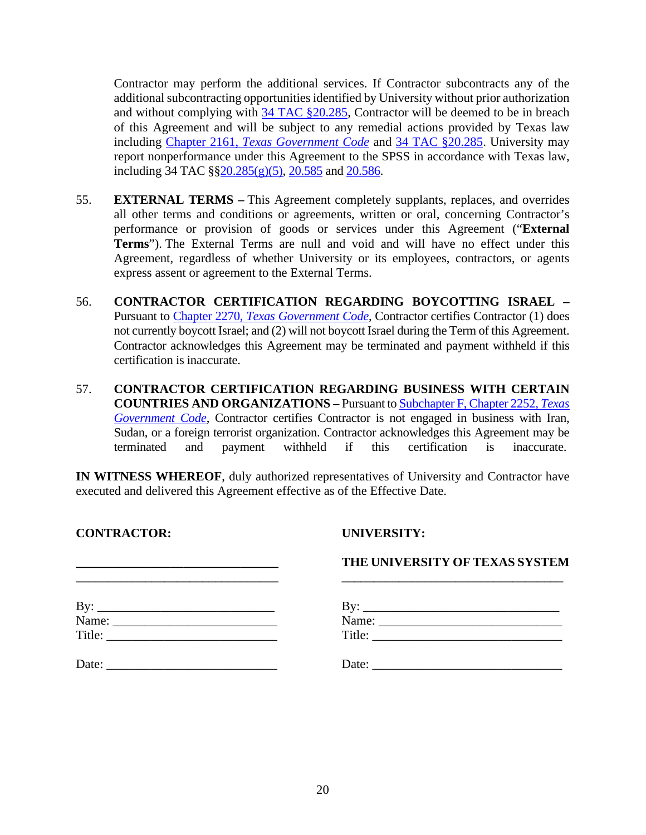Contractor may perform the additional services. If Contractor subcontracts any of the additional subcontracting opportunities identified by University without prior authorization and without complying with 34 [TAC §20.285,](http://texreg.sos.state.tx.us/public/readtac$ext.TacPage?sl=R&app=9&p_dir=&p_rloc=&p_tloc=&p_ploc=&pg=1&p_tac=&ti=34&pt=1&ch=20&rl=285) Contractor will be deemed to be in breach of this Agreement and will be subject to any remedial actions provided by Texas law including Chapter 2161, *[Texas Government Code](http://www.statutes.legis.state.tx.us/Docs/GV/htm/GV.2161.htm)* and 34 [TAC §20.285.](http://texreg.sos.state.tx.us/public/readtac$ext.TacPage?sl=R&app=9&p_dir=&p_rloc=&p_tloc=&p_ploc=&pg=1&p_tac=&ti=34&pt=1&ch=20&rl=285) University may report nonperformance under this Agreement to the SPSS in accordance with Texas law, including 34 TAC  $\S$  $\S$ 20.285(g)(5), [20.585](http://texreg.sos.state.tx.us/public/readtac$ext.TacPage?sl=R&app=9&p_dir=&p_rloc=&p_tloc=&p_ploc=&pg=1&p_tac=&ti=34&pt=1&ch=20&rl=585) and [20.586.](http://texreg.sos.state.tx.us/public/readtac$ext.TacPage?sl=R&app=9&p_dir=&p_rloc=&p_tloc=&p_ploc=&pg=1&p_tac=&ti=34&pt=1&ch=20&rl=586)

- 55. **EXTERNAL TERMS –** This Agreement completely supplants, replaces, and overrides all other terms and conditions or agreements, written or oral, concerning Contractor's performance or provision of goods or services under this Agreement ("**External Terms**"). The External Terms are null and void and will have no effect under this Agreement, regardless of whether University or its employees, contractors, or agents express assent or agreement to the External Terms.
- 56. **CONTRACTOR CERTIFICATION REGARDING BOYCOTTING ISRAEL –** Pursuant to Chapter 2270, *[Texas Government Code](http://www.statutes.legis.state.tx.us/Docs/GV/htm/GV.2270.v2.htm)*, Contractor certifies Contractor (1) does not currently boycott Israel; and (2) will not boycott Israel during the Term of this Agreement. Contractor acknowledges this Agreement may be terminated and payment withheld if this certification is inaccurate.
- 57. **CONTRACTOR CERTIFICATION REGARDING BUSINESS WITH CERTAIN COUNTRIES AND ORGANIZATIONS –** Pursuant t[o Subchapter F, Chapter 2252,](http://www.statutes.legis.state.tx.us/Docs/GV/htm/GV.2252.htm#F) *Texas [Government Code](http://www.statutes.legis.state.tx.us/Docs/GV/htm/GV.2252.htm#F)*, Contractor certifies Contractor is not engaged in business with Iran, Sudan, or a foreign terrorist organization. Contractor acknowledges this Agreement may be terminated and payment withheld if this certification is inaccurate.

**IN WITNESS WHEREOF**, duly authorized representatives of University and Contractor have executed and delivered this Agreement effective as of the Effective Date.

**CONTRACTOR: UNIVERSITY:**

# **\_\_\_\_\_\_\_\_\_\_\_\_\_\_\_\_\_\_\_\_\_\_\_\_\_\_\_\_\_\_\_\_ THE UNIVERSITY OF TEXAS SYSTEM \_\_\_\_\_\_\_\_\_\_\_\_\_\_\_\_\_\_\_\_\_\_\_\_\_\_\_\_\_\_\_\_ \_\_\_\_\_\_\_\_\_\_\_\_\_\_\_\_\_\_\_\_\_\_\_\_\_\_\_\_\_\_\_\_\_\_\_** By: \_\_\_\_\_\_\_\_\_\_\_\_\_\_\_\_\_\_\_\_\_\_\_\_\_\_\_\_ By: \_\_\_\_\_\_\_\_\_\_\_\_\_\_\_\_\_\_\_\_\_\_\_\_\_\_\_\_\_\_\_ Name: \_\_\_\_\_\_\_\_\_\_\_\_\_\_\_\_\_\_\_\_\_\_\_\_\_\_ Name: \_\_\_\_\_\_\_\_\_\_\_\_\_\_\_\_\_\_\_\_\_\_\_\_\_\_\_\_\_ Title: \_\_\_\_\_\_\_\_\_\_\_\_\_\_\_\_\_\_\_\_\_\_\_\_\_\_\_ Title: \_\_\_\_\_\_\_\_\_\_\_\_\_\_\_\_\_\_\_\_\_\_\_\_\_\_\_\_\_\_ Date: \_\_\_\_\_\_\_\_\_\_\_\_\_\_\_\_\_\_\_\_\_\_\_\_\_\_\_ Date: \_\_\_\_\_\_\_\_\_\_\_\_\_\_\_\_\_\_\_\_\_\_\_\_\_\_\_\_\_\_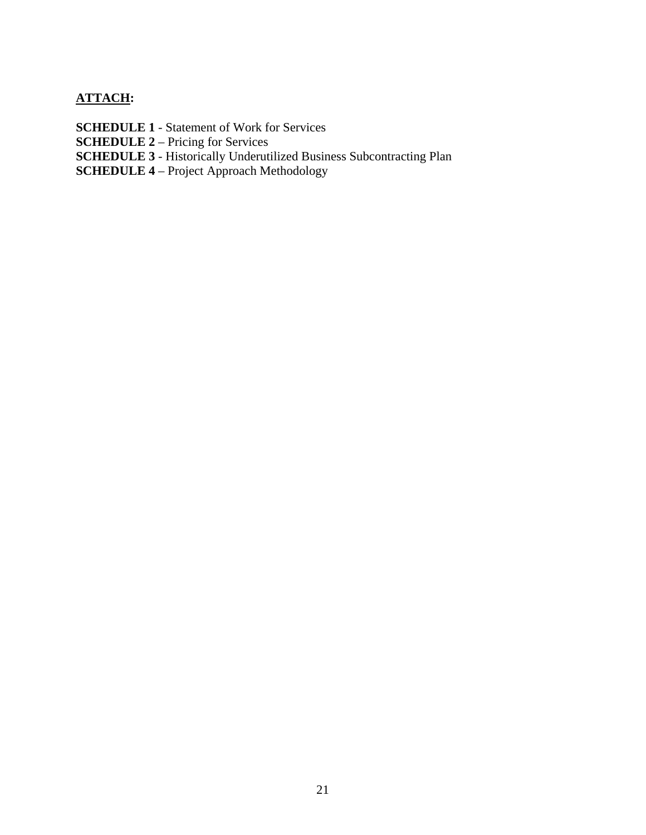## **ATTACH:**

- **SCHEDULE 1**  Statement of Work for Services
- **SCHEDULE 2** Pricing for Services
- **SCHEDULE 3** Historically Underutilized Business Subcontracting Plan
- **SCHEDULE 4** Project Approach Methodology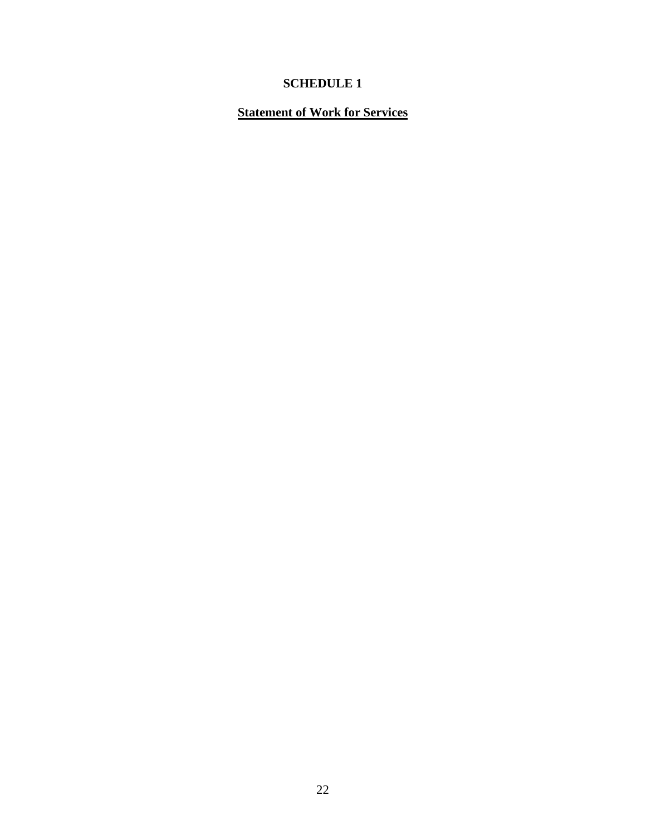# **Statement of Work for Services**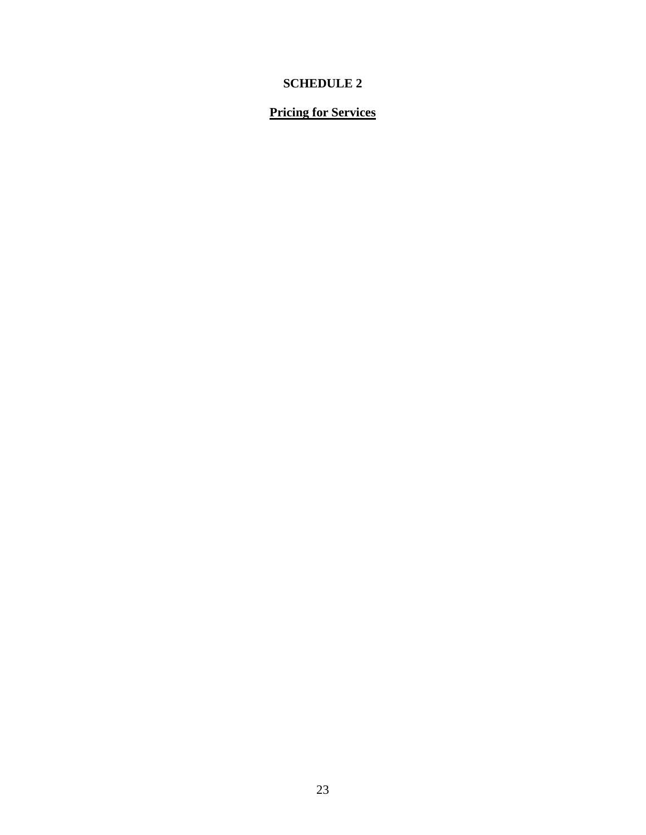## **Pricing for Services**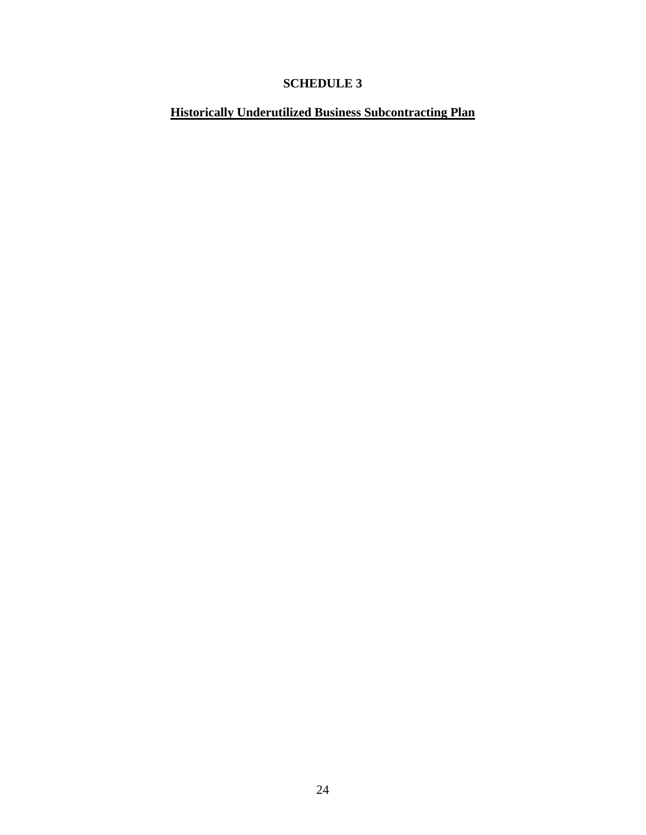# **Historically Underutilized Business Subcontracting Plan**